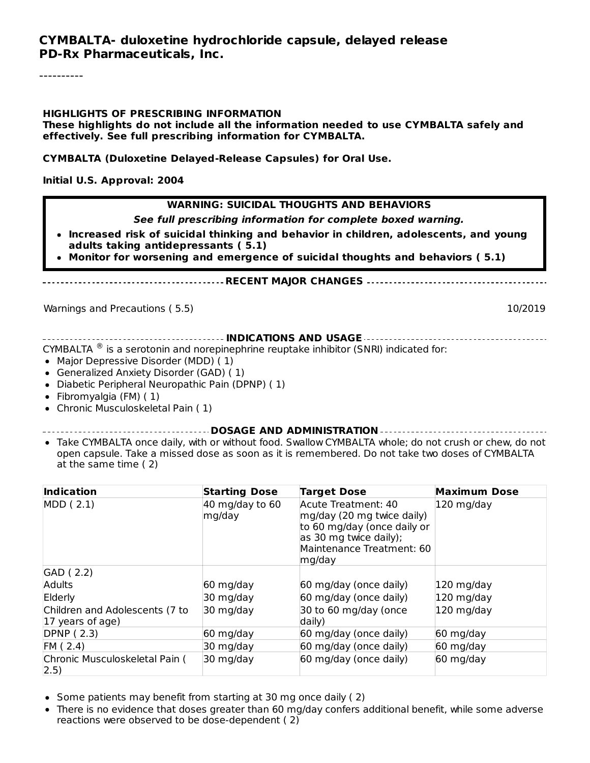#### **CYMBALTA- duloxetine hydrochloride capsule, delayed release PD-Rx Pharmaceuticals, Inc.**

----------

#### **HIGHLIGHTS OF PRESCRIBING INFORMATION**

**These highlights do not include all the information needed to use CYMBALTA safely and effectively. See full prescribing information for CYMBALTA.**

**CYMBALTA (Duloxetine Delayed-Release Capsules) for Oral Use.**

**Initial U.S. Approval: 2004**

#### **WARNING: SUICIDAL THOUGHTS AND BEHAVIORS**

#### **See full prescribing information for complete boxed warning.**

- **Increased risk of suicidal thinking and behavior in children, adolescents, and young adults taking antidepressants ( 5.1)**
- **Monitor for worsening and emergence of suicidal thoughts and behaviors ( 5.1)**

**RECENT MAJOR CHANGES**

Warnings and Precautions (5.5) 10/2019

**INDICATIONS AND USAGE**

CYMBALTA  $^{\circledR}$  is a serotonin and norepinephrine reuptake inhibitor (SNRI) indicated for:

- Major Depressive Disorder (MDD) ( 1)
- Generalized Anxiety Disorder (GAD) ( 1)
- Diabetic Peripheral Neuropathic Pain (DPNP) ( 1)
- Fibromyalgia (FM) ( 1)
- Chronic Musculoskeletal Pain ( 1)

#### **DOSAGE AND ADMINISTRATION**

Take CYMBALTA once daily, with or without food. Swallow CYMBALTA whole; do not crush or chew, do not open capsule. Take a missed dose as soon as it is remembered. Do not take two doses of CYMBALTA at the same time ( 2)

| Indication                                                    | <b>Starting Dose</b>      | <b>Target Dose</b>                                                                                                                                | <b>Maximum Dose</b> |
|---------------------------------------------------------------|---------------------------|---------------------------------------------------------------------------------------------------------------------------------------------------|---------------------|
| MDD(2.1)                                                      | 40 mg/day to 60<br>mg/day | Acute Treatment: 40<br>mg/day (20 mg twice daily)<br>to 60 mg/day (once daily or<br>as 30 mg twice daily);<br>Maintenance Treatment: 60<br>mg/day | $120$ mg/day        |
| GAD (2.2)                                                     |                           |                                                                                                                                                   |                     |
| <b>Adults</b>                                                 | 60 mg/day                 | 60 mg/day (once daily)                                                                                                                            | $120$ mg/day        |
| Elderly                                                       | 30 mg/day                 | 60 mg/day (once daily)                                                                                                                            | $120$ mg/day        |
| Children and Adolescents (7 to<br>$ 17 \rangle$ years of age) | 30 mg/day                 | 30 to 60 mg/day (once<br>daily)                                                                                                                   | $120$ mg/day        |
| <b>DPNP</b> (2.3)                                             | 60 mg/day                 | 60 mg/day (once daily)                                                                                                                            | 60 mg/day           |
| FM(2.4)                                                       | 30 mg/day                 | 60 mg/day (once daily)                                                                                                                            | 60 mg/day           |
| Chronic Musculoskeletal Pain (<br>(2.5)                       | 30 mg/day                 | 60 mg/day (once daily)                                                                                                                            | 60 mg/day           |

- Some patients may benefit from starting at 30 mg once daily (2)
- There is no evidence that doses greater than 60 mg/day confers additional benefit, while some adverse reactions were observed to be dose-dependent ( 2)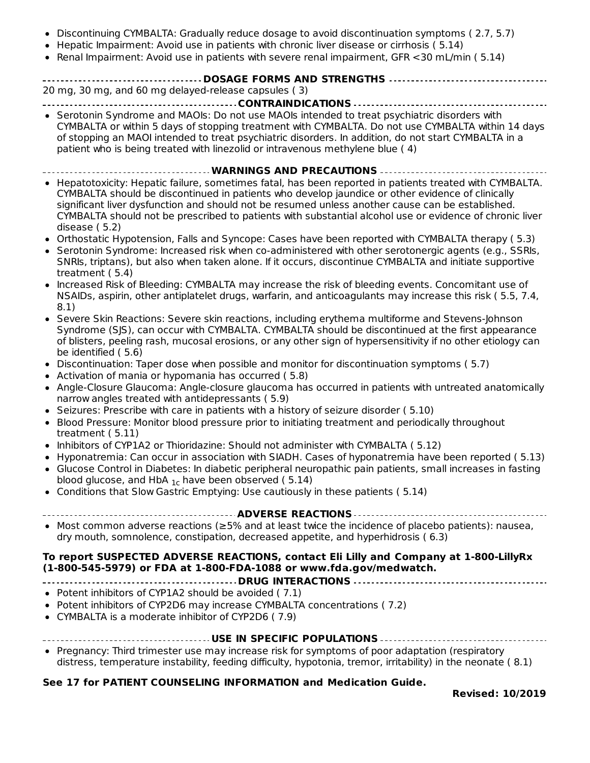| • Discontinuing CYMBALTA: Gradually reduce dosage to avoid discontinuation symptoms (2.7, 5.7)<br>• Hepatic Impairment: Avoid use in patients with chronic liver disease or cirrhosis (5.14)<br>• Renal Impairment: Avoid use in patients with severe renal impairment, GFR < 30 mL/min (5.14)                                                                                                                                                 |
|------------------------------------------------------------------------------------------------------------------------------------------------------------------------------------------------------------------------------------------------------------------------------------------------------------------------------------------------------------------------------------------------------------------------------------------------|
| DOSAGE FORMS AND STRENGTHS                                                                                                                                                                                                                                                                                                                                                                                                                     |
| 20 mg, 30 mg, and 60 mg delayed-release capsules (3)                                                                                                                                                                                                                                                                                                                                                                                           |
| • Serotonin Syndrome and MAOIs: Do not use MAOIs intended to treat psychiatric disorders with<br>CYMBALTA or within 5 days of stopping treatment with CYMBALTA. Do not use CYMBALTA within 14 days<br>of stopping an MAOI intended to treat psychiatric disorders. In addition, do not start CYMBALTA in a<br>patient who is being treated with linezolid or intravenous methylene blue (4)                                                    |
| ---------------------------- WARNINGS AND PRECAUTIONS ---------------------------                                                                                                                                                                                                                                                                                                                                                              |
| • Hepatotoxicity: Hepatic failure, sometimes fatal, has been reported in patients treated with CYMBALTA.<br>CYMBALTA should be discontinued in patients who develop jaundice or other evidence of clinically<br>significant liver dysfunction and should not be resumed unless another cause can be established.<br>CYMBALTA should not be prescribed to patients with substantial alcohol use or evidence of chronic liver<br>disease $(5.2)$ |
| • Orthostatic Hypotension, Falls and Syncope: Cases have been reported with CYMBALTA therapy (5.3)<br>• Serotonin Syndrome: Increased risk when co-administered with other serotonergic agents (e.g., SSRIs,<br>SNRIs, triptans), but also when taken alone. If it occurs, discontinue CYMBALTA and initiate supportive                                                                                                                        |
| treatment $(5.4)$<br>Increased Risk of Bleeding: CYMBALTA may increase the risk of bleeding events. Concomitant use of<br>NSAIDs, aspirin, other antiplatelet drugs, warfarin, and anticoagulants may increase this risk (5.5, 7.4,<br>8.1)                                                                                                                                                                                                    |
| • Severe Skin Reactions: Severe skin reactions, including erythema multiforme and Stevens-Johnson<br>Syndrome (SJS), can occur with CYMBALTA. CYMBALTA should be discontinued at the first appearance<br>of blisters, peeling rash, mucosal erosions, or any other sign of hypersensitivity if no other etiology can<br>be identified (5.6)                                                                                                    |
| Discontinuation: Taper dose when possible and monitor for discontinuation symptoms (5.7)                                                                                                                                                                                                                                                                                                                                                       |
| • Activation of mania or hypomania has occurred (5.8)<br>• Angle-Closure Glaucoma: Angle-closure glaucoma has occurred in patients with untreated anatomically<br>narrow angles treated with antidepressants (5.9)                                                                                                                                                                                                                             |
| • Seizures: Prescribe with care in patients with a history of seizure disorder (5.10)<br>• Blood Pressure: Monitor blood pressure prior to initiating treatment and periodically throughout<br>treatment $(5.11)$                                                                                                                                                                                                                              |
| Inhibitors of CYP1A2 or Thioridazine: Should not administer with CYMBALTA (5.12)                                                                                                                                                                                                                                                                                                                                                               |
| Hyponatremia: Can occur in association with SIADH. Cases of hyponatremia have been reported (5.13)<br>• Glucose Control in Diabetes: In diabetic peripheral neuropathic pain patients, small increases in fasting<br>blood glucose, and HbA $_{1c}$ have been observed (5.14)                                                                                                                                                                  |
| • Conditions that Slow Gastric Emptying: Use cautiously in these patients (5.14)                                                                                                                                                                                                                                                                                                                                                               |
|                                                                                                                                                                                                                                                                                                                                                                                                                                                |
| • Most common adverse reactions ( $\geq$ 5% and at least twice the incidence of placebo patients): nausea,<br>dry mouth, somnolence, constipation, decreased appetite, and hyperhidrosis (6.3)                                                                                                                                                                                                                                                 |
| To report SUSPECTED ADVERSE REACTIONS, contact Eli Lilly and Company at 1-800-LillyRx<br>(1-800-545-5979) or FDA at 1-800-FDA-1088 or www.fda.gov/medwatch.                                                                                                                                                                                                                                                                                    |
| • Potent inhibitors of CYP1A2 should be avoided (7.1)                                                                                                                                                                                                                                                                                                                                                                                          |
| • Potent inhibitors of CYP2D6 may increase CYMBALTA concentrations (7.2)<br>• CYMBALTA is a moderate inhibitor of CYP2D6 (7.9)                                                                                                                                                                                                                                                                                                                 |
|                                                                                                                                                                                                                                                                                                                                                                                                                                                |
| • Pregnancy: Third trimester use may increase risk for symptoms of poor adaptation (respiratory<br>distress, temperature instability, feeding difficulty, hypotonia, tremor, irritability) in the neonate (8.1)                                                                                                                                                                                                                                |

#### **See 17 for PATIENT COUNSELING INFORMATION and Medication Guide.**

**Revised: 10/2019**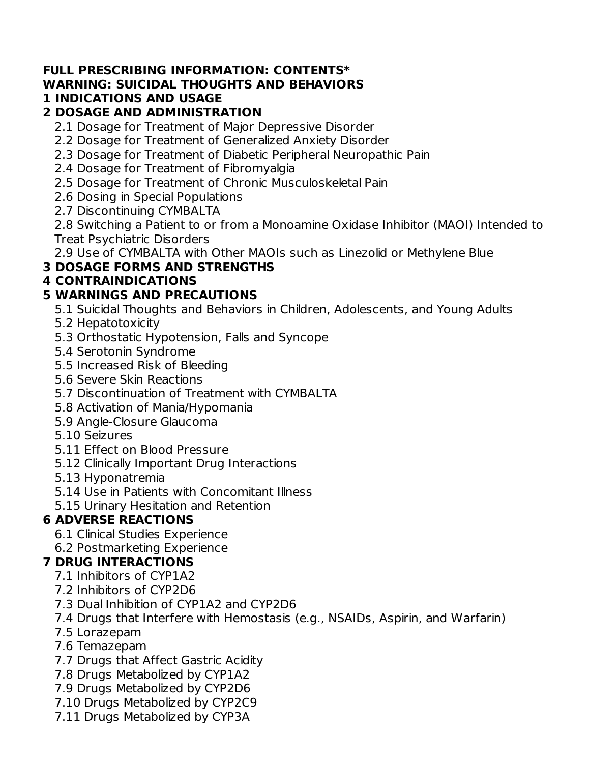## **FULL PRESCRIBING INFORMATION: CONTENTS\***

#### **WARNING: SUICIDAL THOUGHTS AND BEHAVIORS**

### **1 INDICATIONS AND USAGE**

#### **2 DOSAGE AND ADMINISTRATION**

2.1 Dosage for Treatment of Major Depressive Disorder

- 2.2 Dosage for Treatment of Generalized Anxiety Disorder
- 2.3 Dosage for Treatment of Diabetic Peripheral Neuropathic Pain
- 2.4 Dosage for Treatment of Fibromyalgia
- 2.5 Dosage for Treatment of Chronic Musculoskeletal Pain
- 2.6 Dosing in Special Populations
- 2.7 Discontinuing CYMBALTA

2.8 Switching a Patient to or from a Monoamine Oxidase Inhibitor (MAOI) Intended to Treat Psychiatric Disorders

2.9 Use of CYMBALTA with Other MAOIs such as Linezolid or Methylene Blue

### **3 DOSAGE FORMS AND STRENGTHS**

### **4 CONTRAINDICATIONS**

### **5 WARNINGS AND PRECAUTIONS**

5.1 Suicidal Thoughts and Behaviors in Children, Adolescents, and Young Adults

- 5.2 Hepatotoxicity
- 5.3 Orthostatic Hypotension, Falls and Syncope
- 5.4 Serotonin Syndrome
- 5.5 Increased Risk of Bleeding
- 5.6 Severe Skin Reactions
- 5.7 Discontinuation of Treatment with CYMBALTA
- 5.8 Activation of Mania/Hypomania
- 5.9 Angle-Closure Glaucoma
- 5.10 Seizures
- 5.11 Effect on Blood Pressure
- 5.12 Clinically Important Drug Interactions
- 5.13 Hyponatremia
- 5.14 Use in Patients with Concomitant Illness
- 5.15 Urinary Hesitation and Retention

### **6 ADVERSE REACTIONS**

- 6.1 Clinical Studies Experience
- 6.2 Postmarketing Experience

### **7 DRUG INTERACTIONS**

- 7.1 Inhibitors of CYP1A2
- 7.2 Inhibitors of CYP2D6
- 7.3 Dual Inhibition of CYP1A2 and CYP2D6
- 7.4 Drugs that Interfere with Hemostasis (e.g., NSAIDs, Aspirin, and Warfarin)
- 7.5 Lorazepam
- 7.6 Temazepam
- 7.7 Drugs that Affect Gastric Acidity
- 7.8 Drugs Metabolized by CYP1A2
- 7.9 Drugs Metabolized by CYP2D6
- 7.10 Drugs Metabolized by CYP2C9
- 7.11 Drugs Metabolized by CYP3A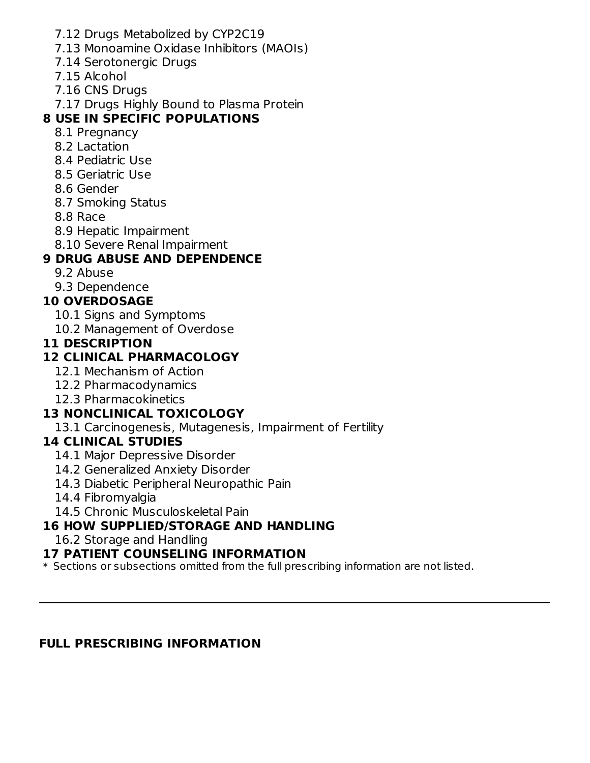- 7.12 Drugs Metabolized by CYP2C19
- 7.13 Monoamine Oxidase Inhibitors (MAOIs)
- 7.14 Serotonergic Drugs
- 7.15 Alcohol
- 7.16 CNS Drugs
- 7.17 Drugs Highly Bound to Plasma Protein

## **8 USE IN SPECIFIC POPULATIONS**

- 8.1 Pregnancy
- 8.2 Lactation
- 8.4 Pediatric Use
- 8.5 Geriatric Use
- 8.6 Gender
- 8.7 Smoking Status
- 8.8 Race
- 8.9 Hepatic Impairment
- 8.10 Severe Renal Impairment

# **9 DRUG ABUSE AND DEPENDENCE**

- 9.2 Abuse
- 9.3 Dependence

# **10 OVERDOSAGE**

- 10.1 Signs and Symptoms
- 10.2 Management of Overdose

### **11 DESCRIPTION**

### **12 CLINICAL PHARMACOLOGY**

- 12.1 Mechanism of Action
- 12.2 Pharmacodynamics
- 12.3 Pharmacokinetics

### **13 NONCLINICAL TOXICOLOGY**

13.1 Carcinogenesis, Mutagenesis, Impairment of Fertility

### **14 CLINICAL STUDIES**

- 14.1 Major Depressive Disorder
- 14.2 Generalized Anxiety Disorder
- 14.3 Diabetic Peripheral Neuropathic Pain
- 14.4 Fibromyalgia
- 14.5 Chronic Musculoskeletal Pain

### **16 HOW SUPPLIED/STORAGE AND HANDLING**

16.2 Storage and Handling

### **17 PATIENT COUNSELING INFORMATION**

\* Sections or subsections omitted from the full prescribing information are not listed.

### **FULL PRESCRIBING INFORMATION**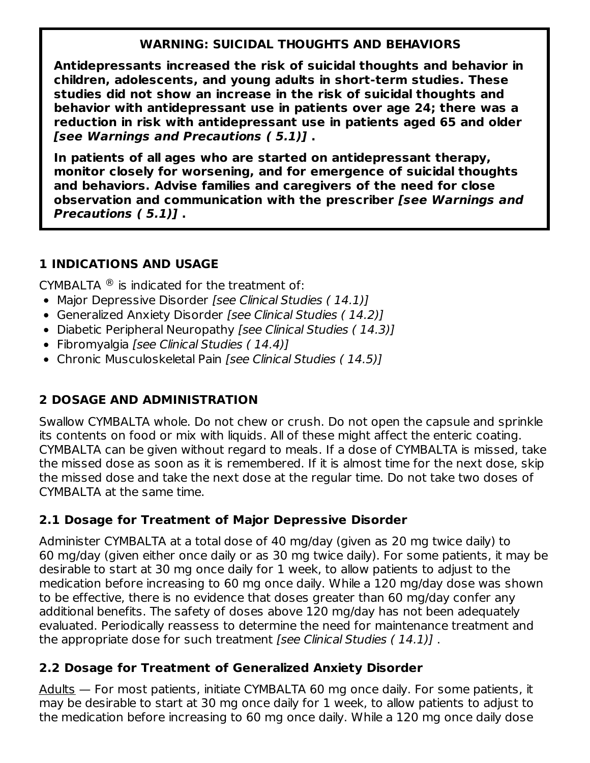### **WARNING: SUICIDAL THOUGHTS AND BEHAVIORS**

**Antidepressants increased the risk of suicidal thoughts and behavior in children, adolescents, and young adults in short-term studies. These studies did not show an increase in the risk of suicidal thoughts and behavior with antidepressant use in patients over age 24; there was a reduction in risk with antidepressant use in patients aged 65 and older [see Warnings and Precautions ( 5.1)] .**

**In patients of all ages who are started on antidepressant therapy, monitor closely for worsening, and for emergence of suicidal thoughts and behaviors. Advise families and caregivers of the need for close observation and communication with the prescriber [see Warnings and Precautions ( 5.1)] .**

### **1 INDICATIONS AND USAGE**

CYMBALTA  $\mathcal{R}$  is indicated for the treatment of:

- Major Depressive Disorder [see Clinical Studies (14.1)]
- Generalized Anxiety Disorder [see Clinical Studies (14.2)]
- Diabetic Peripheral Neuropathy [see Clinical Studies (14.3)]
- Fibromyalgia [see Clinical Studies (14.4)]
- Chronic Musculoskeletal Pain [see Clinical Studies (14.5)]

### **2 DOSAGE AND ADMINISTRATION**

Swallow CYMBALTA whole. Do not chew or crush. Do not open the capsule and sprinkle its contents on food or mix with liquids. All of these might affect the enteric coating. CYMBALTA can be given without regard to meals. If a dose of CYMBALTA is missed, take the missed dose as soon as it is remembered. If it is almost time for the next dose, skip the missed dose and take the next dose at the regular time. Do not take two doses of CYMBALTA at the same time.

### **2.1 Dosage for Treatment of Major Depressive Disorder**

Administer CYMBALTA at a total dose of 40 mg/day (given as 20 mg twice daily) to 60 mg/day (given either once daily or as 30 mg twice daily). For some patients, it may be desirable to start at 30 mg once daily for 1 week, to allow patients to adjust to the medication before increasing to 60 mg once daily. While a 120 mg/day dose was shown to be effective, there is no evidence that doses greater than 60 mg/day confer any additional benefits. The safety of doses above 120 mg/day has not been adequately evaluated. Periodically reassess to determine the need for maintenance treatment and the appropriate dose for such treatment [see Clinical Studies (14.1)].

### **2.2 Dosage for Treatment of Generalized Anxiety Disorder**

Adults — For most patients, initiate CYMBALTA 60 mg once daily. For some patients, it may be desirable to start at 30 mg once daily for 1 week, to allow patients to adjust to the medication before increasing to 60 mg once daily. While a 120 mg once daily dose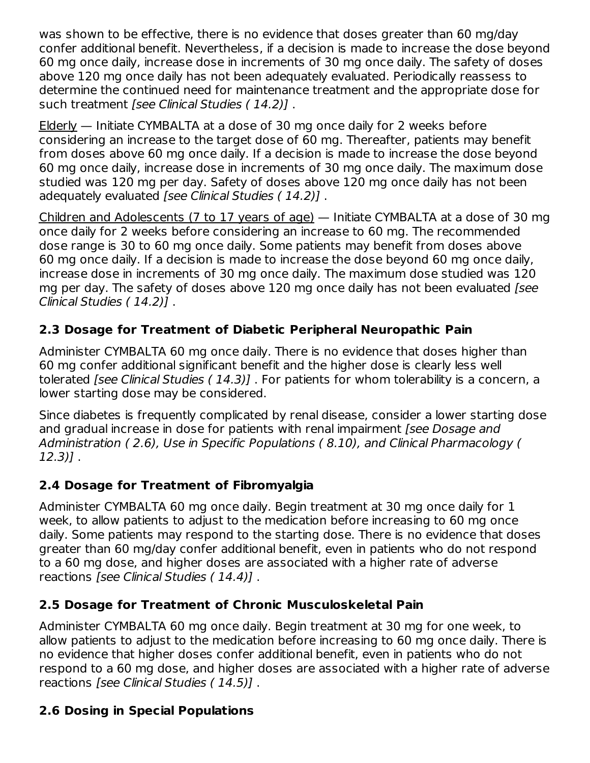was shown to be effective, there is no evidence that doses greater than 60 mg/day confer additional benefit. Nevertheless, if a decision is made to increase the dose beyond 60 mg once daily, increase dose in increments of 30 mg once daily. The safety of doses above 120 mg once daily has not been adequately evaluated. Periodically reassess to determine the continued need for maintenance treatment and the appropriate dose for such treatment [see Clinical Studies (14.2)].

Elderly — Initiate CYMBALTA at a dose of 30 mg once daily for 2 weeks before considering an increase to the target dose of 60 mg. Thereafter, patients may benefit from doses above 60 mg once daily. If a decision is made to increase the dose beyond 60 mg once daily, increase dose in increments of 30 mg once daily. The maximum dose studied was 120 mg per day. Safety of doses above 120 mg once daily has not been adequately evaluated [see Clinical Studies (14.2)].

Children and Adolescents (7 to 17 years of age) — Initiate CYMBALTA at a dose of 30 mg once daily for 2 weeks before considering an increase to 60 mg. The recommended dose range is 30 to 60 mg once daily. Some patients may benefit from doses above 60 mg once daily. If a decision is made to increase the dose beyond 60 mg once daily, increase dose in increments of 30 mg once daily. The maximum dose studied was 120 mg per day. The safety of doses above 120 mg once daily has not been evaluated [see Clinical Studies ( 14.2)] .

### **2.3 Dosage for Treatment of Diabetic Peripheral Neuropathic Pain**

Administer CYMBALTA 60 mg once daily. There is no evidence that doses higher than 60 mg confer additional significant benefit and the higher dose is clearly less well tolerated *[see Clinical Studies (14.3)]*. For patients for whom tolerability is a concern, a lower starting dose may be considered.

Since diabetes is frequently complicated by renal disease, consider a lower starting dose and gradual increase in dose for patients with renal impairment [see Dosage and Administration ( 2.6), Use in Specific Populations ( 8.10), and Clinical Pharmacology (  $12.3)1$ .

### **2.4 Dosage for Treatment of Fibromyalgia**

Administer CYMBALTA 60 mg once daily. Begin treatment at 30 mg once daily for 1 week, to allow patients to adjust to the medication before increasing to 60 mg once daily. Some patients may respond to the starting dose. There is no evidence that doses greater than 60 mg/day confer additional benefit, even in patients who do not respond to a 60 mg dose, and higher doses are associated with a higher rate of adverse reactions [see Clinical Studies ( 14.4)] .

### **2.5 Dosage for Treatment of Chronic Musculoskeletal Pain**

Administer CYMBALTA 60 mg once daily. Begin treatment at 30 mg for one week, to allow patients to adjust to the medication before increasing to 60 mg once daily. There is no evidence that higher doses confer additional benefit, even in patients who do not respond to a 60 mg dose, and higher doses are associated with a higher rate of adverse reactions [see Clinical Studies ( 14.5)] .

### **2.6 Dosing in Special Populations**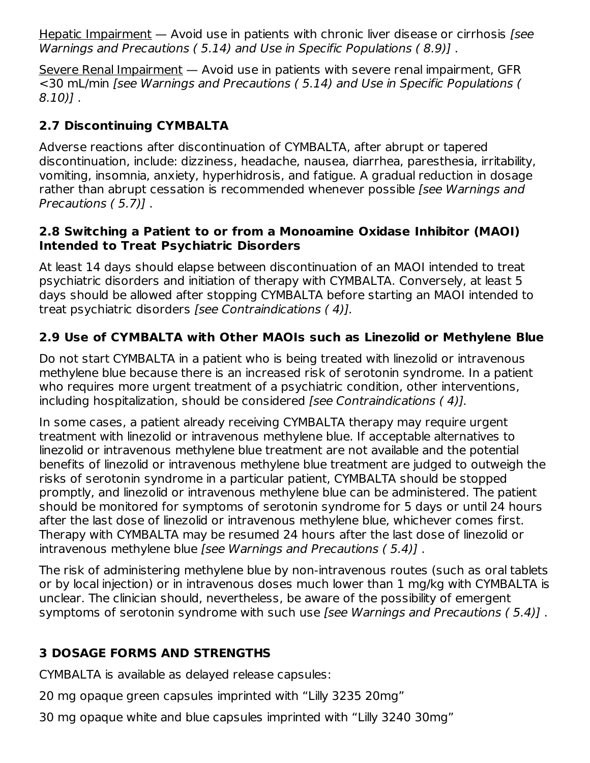Hepatic Impairment — Avoid use in patients with chronic liver disease or cirrhosis [see Warnings and Precautions ( 5.14) and Use in Specific Populations ( 8.9)] .

Severe Renal Impairment — Avoid use in patients with severe renal impairment, GFR <30 mL/min [see Warnings and Precautions ( 5.14) and Use in Specific Populations ( 8.10)] .

# **2.7 Discontinuing CYMBALTA**

Adverse reactions after discontinuation of CYMBALTA, after abrupt or tapered discontinuation, include: dizziness, headache, nausea, diarrhea, paresthesia, irritability, vomiting, insomnia, anxiety, hyperhidrosis, and fatigue. A gradual reduction in dosage rather than abrupt cessation is recommended whenever possible [see Warnings and Precautions ( 5.7)] .

### **2.8 Switching a Patient to or from a Monoamine Oxidase Inhibitor (MAOI) Intended to Treat Psychiatric Disorders**

At least 14 days should elapse between discontinuation of an MAOI intended to treat psychiatric disorders and initiation of therapy with CYMBALTA. Conversely, at least 5 days should be allowed after stopping CYMBALTA before starting an MAOI intended to treat psychiatric disorders [see Contraindications ( 4)].

# **2.9 Use of CYMBALTA with Other MAOIs such as Linezolid or Methylene Blue**

Do not start CYMBALTA in a patient who is being treated with linezolid or intravenous methylene blue because there is an increased risk of serotonin syndrome. In a patient who requires more urgent treatment of a psychiatric condition, other interventions, including hospitalization, should be considered [see Contraindications ( 4)].

In some cases, a patient already receiving CYMBALTA therapy may require urgent treatment with linezolid or intravenous methylene blue. If acceptable alternatives to linezolid or intravenous methylene blue treatment are not available and the potential benefits of linezolid or intravenous methylene blue treatment are judged to outweigh the risks of serotonin syndrome in a particular patient, CYMBALTA should be stopped promptly, and linezolid or intravenous methylene blue can be administered. The patient should be monitored for symptoms of serotonin syndrome for 5 days or until 24 hours after the last dose of linezolid or intravenous methylene blue, whichever comes first. Therapy with CYMBALTA may be resumed 24 hours after the last dose of linezolid or intravenous methylene blue [see Warnings and Precautions ( 5.4)] .

The risk of administering methylene blue by non-intravenous routes (such as oral tablets or by local injection) or in intravenous doses much lower than 1 mg/kg with CYMBALTA is unclear. The clinician should, nevertheless, be aware of the possibility of emergent symptoms of serotonin syndrome with such use *[see Warnings and Precautions (5.4)]*.

# **3 DOSAGE FORMS AND STRENGTHS**

CYMBALTA is available as delayed release capsules:

- 20 mg opaque green capsules imprinted with "Lilly 3235 20mg"
- 30 mg opaque white and blue capsules imprinted with "Lilly 3240 30mg"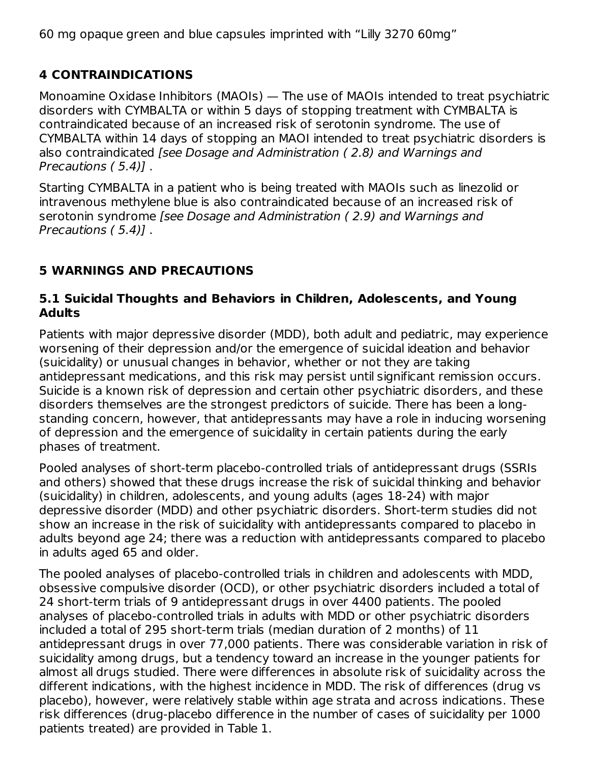60 mg opaque green and blue capsules imprinted with "Lilly 3270 60mg"

### **4 CONTRAINDICATIONS**

Monoamine Oxidase Inhibitors (MAOIs) — The use of MAOIs intended to treat psychiatric disorders with CYMBALTA or within 5 days of stopping treatment with CYMBALTA is contraindicated because of an increased risk of serotonin syndrome. The use of CYMBALTA within 14 days of stopping an MAOI intended to treat psychiatric disorders is also contraindicated [see Dosage and Administration ( 2.8) and Warnings and Precautions ( 5.4)] .

Starting CYMBALTA in a patient who is being treated with MAOIs such as linezolid or intravenous methylene blue is also contraindicated because of an increased risk of serotonin syndrome [see Dosage and Administration ( 2.9) and Warnings and Precautions ( 5.4)] .

### **5 WARNINGS AND PRECAUTIONS**

#### **5.1 Suicidal Thoughts and Behaviors in Children, Adolescents, and Young Adults**

Patients with major depressive disorder (MDD), both adult and pediatric, may experience worsening of their depression and/or the emergence of suicidal ideation and behavior (suicidality) or unusual changes in behavior, whether or not they are taking antidepressant medications, and this risk may persist until significant remission occurs. Suicide is a known risk of depression and certain other psychiatric disorders, and these disorders themselves are the strongest predictors of suicide. There has been a longstanding concern, however, that antidepressants may have a role in inducing worsening of depression and the emergence of suicidality in certain patients during the early phases of treatment.

Pooled analyses of short-term placebo-controlled trials of antidepressant drugs (SSRIs and others) showed that these drugs increase the risk of suicidal thinking and behavior (suicidality) in children, adolescents, and young adults (ages 18-24) with major depressive disorder (MDD) and other psychiatric disorders. Short-term studies did not show an increase in the risk of suicidality with antidepressants compared to placebo in adults beyond age 24; there was a reduction with antidepressants compared to placebo in adults aged 65 and older.

The pooled analyses of placebo-controlled trials in children and adolescents with MDD, obsessive compulsive disorder (OCD), or other psychiatric disorders included a total of 24 short-term trials of 9 antidepressant drugs in over 4400 patients. The pooled analyses of placebo-controlled trials in adults with MDD or other psychiatric disorders included a total of 295 short-term trials (median duration of 2 months) of 11 antidepressant drugs in over 77,000 patients. There was considerable variation in risk of suicidality among drugs, but a tendency toward an increase in the younger patients for almost all drugs studied. There were differences in absolute risk of suicidality across the different indications, with the highest incidence in MDD. The risk of differences (drug vs placebo), however, were relatively stable within age strata and across indications. These risk differences (drug-placebo difference in the number of cases of suicidality per 1000 patients treated) are provided in Table 1.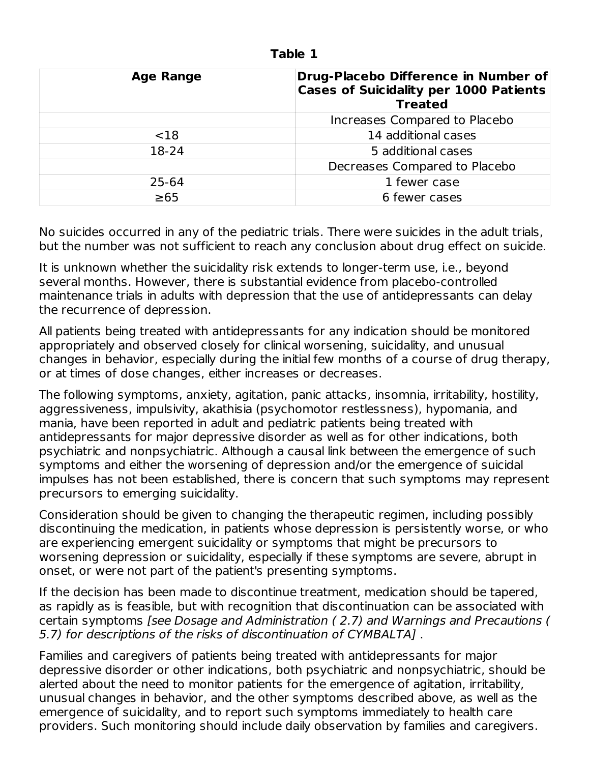| <b>Age Range</b> | <b>Drug-Placebo Difference in Number of</b><br><b>Cases of Suicidality per 1000 Patients</b><br><b>Treated</b> |
|------------------|----------------------------------------------------------------------------------------------------------------|
|                  | Increases Compared to Placebo                                                                                  |
| < 18             | 14 additional cases                                                                                            |
| 18-24            | 5 additional cases                                                                                             |
|                  | Decreases Compared to Placebo                                                                                  |
| $25 - 64$        | 1 fewer case                                                                                                   |
| $\geq 65$        | 6 fewer cases                                                                                                  |

**Table 1**

No suicides occurred in any of the pediatric trials. There were suicides in the adult trials, but the number was not sufficient to reach any conclusion about drug effect on suicide.

It is unknown whether the suicidality risk extends to longer-term use, i.e., beyond several months. However, there is substantial evidence from placebo-controlled maintenance trials in adults with depression that the use of antidepressants can delay the recurrence of depression.

All patients being treated with antidepressants for any indication should be monitored appropriately and observed closely for clinical worsening, suicidality, and unusual changes in behavior, especially during the initial few months of a course of drug therapy, or at times of dose changes, either increases or decreases.

The following symptoms, anxiety, agitation, panic attacks, insomnia, irritability, hostility, aggressiveness, impulsivity, akathisia (psychomotor restlessness), hypomania, and mania, have been reported in adult and pediatric patients being treated with antidepressants for major depressive disorder as well as for other indications, both psychiatric and nonpsychiatric. Although a causal link between the emergence of such symptoms and either the worsening of depression and/or the emergence of suicidal impulses has not been established, there is concern that such symptoms may represent precursors to emerging suicidality.

Consideration should be given to changing the therapeutic regimen, including possibly discontinuing the medication, in patients whose depression is persistently worse, or who are experiencing emergent suicidality or symptoms that might be precursors to worsening depression or suicidality, especially if these symptoms are severe, abrupt in onset, or were not part of the patient's presenting symptoms.

If the decision has been made to discontinue treatment, medication should be tapered, as rapidly as is feasible, but with recognition that discontinuation can be associated with certain symptoms [see Dosage and Administration ( 2.7) and Warnings and Precautions ( 5.7) for descriptions of the risks of discontinuation of CYMBALTA] .

Families and caregivers of patients being treated with antidepressants for major depressive disorder or other indications, both psychiatric and nonpsychiatric, should be alerted about the need to monitor patients for the emergence of agitation, irritability, unusual changes in behavior, and the other symptoms described above, as well as the emergence of suicidality, and to report such symptoms immediately to health care providers. Such monitoring should include daily observation by families and caregivers.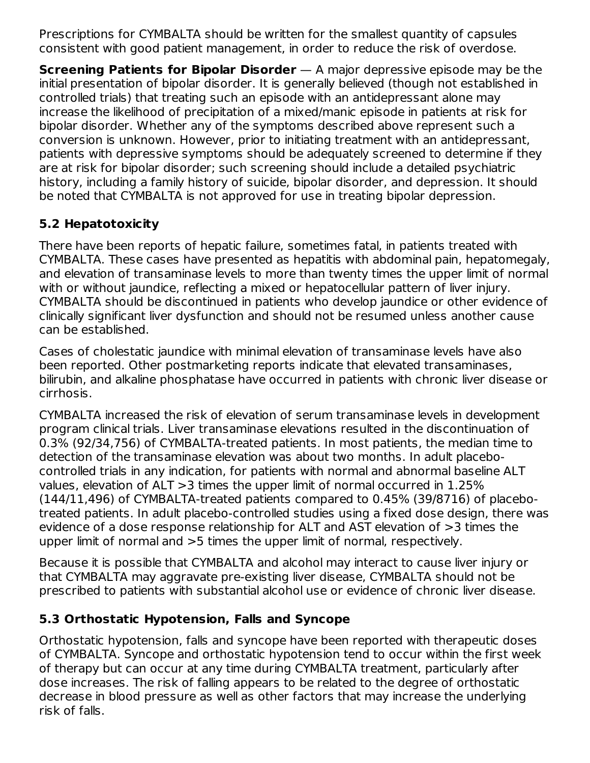Prescriptions for CYMBALTA should be written for the smallest quantity of capsules consistent with good patient management, in order to reduce the risk of overdose.

**Screening Patients for Bipolar Disorder** — A major depressive episode may be the initial presentation of bipolar disorder. It is generally believed (though not established in controlled trials) that treating such an episode with an antidepressant alone may increase the likelihood of precipitation of a mixed/manic episode in patients at risk for bipolar disorder. Whether any of the symptoms described above represent such a conversion is unknown. However, prior to initiating treatment with an antidepressant, patients with depressive symptoms should be adequately screened to determine if they are at risk for bipolar disorder; such screening should include a detailed psychiatric history, including a family history of suicide, bipolar disorder, and depression. It should be noted that CYMBALTA is not approved for use in treating bipolar depression.

### **5.2 Hepatotoxicity**

There have been reports of hepatic failure, sometimes fatal, in patients treated with CYMBALTA. These cases have presented as hepatitis with abdominal pain, hepatomegaly, and elevation of transaminase levels to more than twenty times the upper limit of normal with or without jaundice, reflecting a mixed or hepatocellular pattern of liver injury. CYMBALTA should be discontinued in patients who develop jaundice or other evidence of clinically significant liver dysfunction and should not be resumed unless another cause can be established.

Cases of cholestatic jaundice with minimal elevation of transaminase levels have also been reported. Other postmarketing reports indicate that elevated transaminases, bilirubin, and alkaline phosphatase have occurred in patients with chronic liver disease or cirrhosis.

CYMBALTA increased the risk of elevation of serum transaminase levels in development program clinical trials. Liver transaminase elevations resulted in the discontinuation of 0.3% (92/34,756) of CYMBALTA-treated patients. In most patients, the median time to detection of the transaminase elevation was about two months. In adult placebocontrolled trials in any indication, for patients with normal and abnormal baseline ALT values, elevation of ALT >3 times the upper limit of normal occurred in 1.25% (144/11,496) of CYMBALTA-treated patients compared to 0.45% (39/8716) of placebotreated patients. In adult placebo-controlled studies using a fixed dose design, there was evidence of a dose response relationship for ALT and AST elevation of >3 times the upper limit of normal and >5 times the upper limit of normal, respectively.

Because it is possible that CYMBALTA and alcohol may interact to cause liver injury or that CYMBALTA may aggravate pre-existing liver disease, CYMBALTA should not be prescribed to patients with substantial alcohol use or evidence of chronic liver disease.

### **5.3 Orthostatic Hypotension, Falls and Syncope**

Orthostatic hypotension, falls and syncope have been reported with therapeutic doses of CYMBALTA. Syncope and orthostatic hypotension tend to occur within the first week of therapy but can occur at any time during CYMBALTA treatment, particularly after dose increases. The risk of falling appears to be related to the degree of orthostatic decrease in blood pressure as well as other factors that may increase the underlying risk of falls.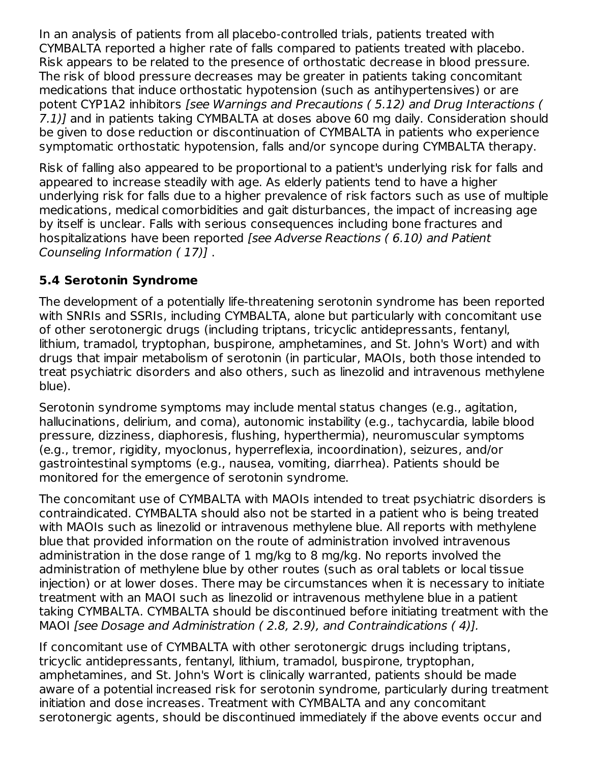In an analysis of patients from all placebo-controlled trials, patients treated with CYMBALTA reported a higher rate of falls compared to patients treated with placebo. Risk appears to be related to the presence of orthostatic decrease in blood pressure. The risk of blood pressure decreases may be greater in patients taking concomitant medications that induce orthostatic hypotension (such as antihypertensives) or are potent CYP1A2 inhibitors [see Warnings and Precautions ( 5.12) and Drug Interactions ( 7.1)] and in patients taking CYMBALTA at doses above 60 mg daily. Consideration should be given to dose reduction or discontinuation of CYMBALTA in patients who experience symptomatic orthostatic hypotension, falls and/or syncope during CYMBALTA therapy.

Risk of falling also appeared to be proportional to a patient's underlying risk for falls and appeared to increase steadily with age. As elderly patients tend to have a higher underlying risk for falls due to a higher prevalence of risk factors such as use of multiple medications, medical comorbidities and gait disturbances, the impact of increasing age by itself is unclear. Falls with serious consequences including bone fractures and hospitalizations have been reported [see Adverse Reactions ( 6.10) and Patient Counseling Information ( 17)] .

### **5.4 Serotonin Syndrome**

The development of a potentially life-threatening serotonin syndrome has been reported with SNRIs and SSRIs, including CYMBALTA, alone but particularly with concomitant use of other serotonergic drugs (including triptans, tricyclic antidepressants, fentanyl, lithium, tramadol, tryptophan, buspirone, amphetamines, and St. John's Wort) and with drugs that impair metabolism of serotonin (in particular, MAOIs, both those intended to treat psychiatric disorders and also others, such as linezolid and intravenous methylene blue).

Serotonin syndrome symptoms may include mental status changes (e.g., agitation, hallucinations, delirium, and coma), autonomic instability (e.g., tachycardia, labile blood pressure, dizziness, diaphoresis, flushing, hyperthermia), neuromuscular symptoms (e.g., tremor, rigidity, myoclonus, hyperreflexia, incoordination), seizures, and/or gastrointestinal symptoms (e.g., nausea, vomiting, diarrhea). Patients should be monitored for the emergence of serotonin syndrome.

The concomitant use of CYMBALTA with MAOIs intended to treat psychiatric disorders is contraindicated. CYMBALTA should also not be started in a patient who is being treated with MAOIs such as linezolid or intravenous methylene blue. All reports with methylene blue that provided information on the route of administration involved intravenous administration in the dose range of 1 mg/kg to 8 mg/kg. No reports involved the administration of methylene blue by other routes (such as oral tablets or local tissue injection) or at lower doses. There may be circumstances when it is necessary to initiate treatment with an MAOI such as linezolid or intravenous methylene blue in a patient taking CYMBALTA. CYMBALTA should be discontinued before initiating treatment with the MAOI [see Dosage and Administration ( 2.8, 2.9), and Contraindications ( 4)].

If concomitant use of CYMBALTA with other serotonergic drugs including triptans, tricyclic antidepressants, fentanyl, lithium, tramadol, buspirone, tryptophan, amphetamines, and St. John's Wort is clinically warranted, patients should be made aware of a potential increased risk for serotonin syndrome, particularly during treatment initiation and dose increases. Treatment with CYMBALTA and any concomitant serotonergic agents, should be discontinued immediately if the above events occur and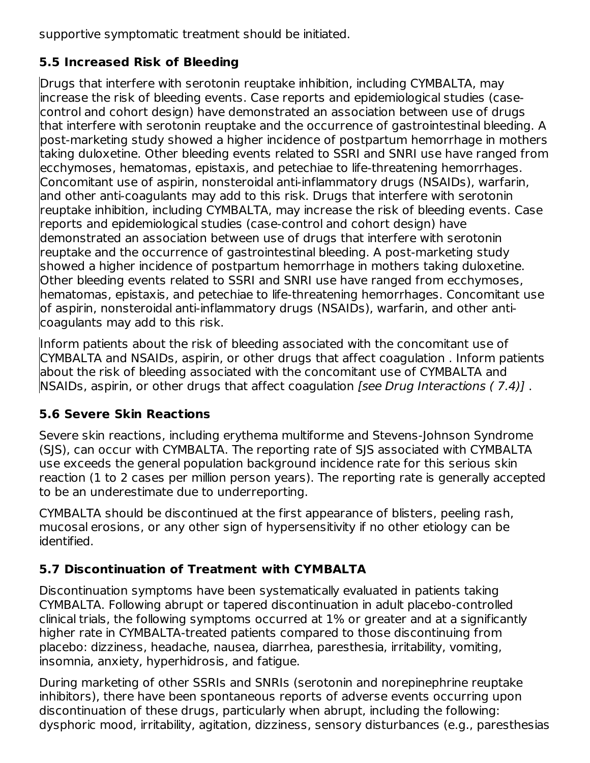supportive symptomatic treatment should be initiated.

# **5.5 Increased Risk of Bleeding**

Drugs that interfere with serotonin reuptake inhibition, including CYMBALTA, may increase the risk of bleeding events. Case reports and epidemiological studies (casecontrol and cohort design) have demonstrated an association between use of drugs that interfere with serotonin reuptake and the occurrence of gastrointestinal bleeding. A post-marketing study showed a higher incidence of postpartum hemorrhage in mothers taking duloxetine. Other bleeding events related to SSRI and SNRI use have ranged from ecchymoses, hematomas, epistaxis, and petechiae to life-threatening hemorrhages. Concomitant use of aspirin, nonsteroidal anti-inflammatory drugs (NSAIDs), warfarin, and other anti-coagulants may add to this risk. Drugs that interfere with serotonin reuptake inhibition, including CYMBALTA, may increase the risk of bleeding events. Case reports and epidemiological studies (case-control and cohort design) have demonstrated an association between use of drugs that interfere with serotonin reuptake and the occurrence of gastrointestinal bleeding. A post-marketing study showed a higher incidence of postpartum hemorrhage in mothers taking duloxetine. Other bleeding events related to SSRI and SNRI use have ranged from ecchymoses, hematomas, epistaxis, and petechiae to life-threatening hemorrhages. Concomitant use of aspirin, nonsteroidal anti-inflammatory drugs (NSAIDs), warfarin, and other anticoagulants may add to this risk.

Inform patients about the risk of bleeding associated with the concomitant use of CYMBALTA and NSAIDs, aspirin, or other drugs that affect coagulation . Inform patients about the risk of bleeding associated with the concomitant use of CYMBALTA and NSAIDs, aspirin, or other drugs that affect coagulation *[see Drug Interactions (7.4)]*.

### **5.6 Severe Skin Reactions**

Severe skin reactions, including erythema multiforme and Stevens-Johnson Syndrome (SJS), can occur with CYMBALTA. The reporting rate of SJS associated with CYMBALTA use exceeds the general population background incidence rate for this serious skin reaction (1 to 2 cases per million person years). The reporting rate is generally accepted to be an underestimate due to underreporting.

CYMBALTA should be discontinued at the first appearance of blisters, peeling rash, mucosal erosions, or any other sign of hypersensitivity if no other etiology can be identified.

### **5.7 Discontinuation of Treatment with CYMBALTA**

Discontinuation symptoms have been systematically evaluated in patients taking CYMBALTA. Following abrupt or tapered discontinuation in adult placebo-controlled clinical trials, the following symptoms occurred at 1% or greater and at a significantly higher rate in CYMBALTA-treated patients compared to those discontinuing from placebo: dizziness, headache, nausea, diarrhea, paresthesia, irritability, vomiting, insomnia, anxiety, hyperhidrosis, and fatigue.

During marketing of other SSRIs and SNRIs (serotonin and norepinephrine reuptake inhibitors), there have been spontaneous reports of adverse events occurring upon discontinuation of these drugs, particularly when abrupt, including the following: dysphoric mood, irritability, agitation, dizziness, sensory disturbances (e.g., paresthesias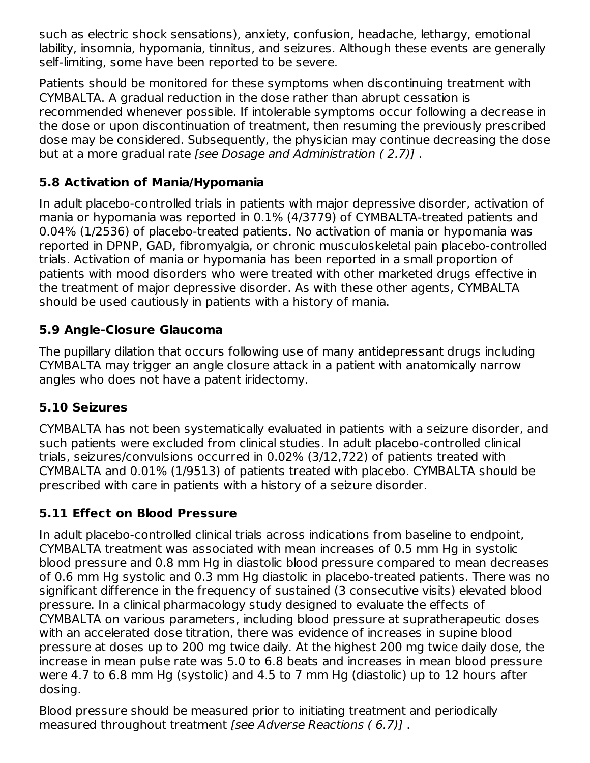such as electric shock sensations), anxiety, confusion, headache, lethargy, emotional lability, insomnia, hypomania, tinnitus, and seizures. Although these events are generally self-limiting, some have been reported to be severe.

Patients should be monitored for these symptoms when discontinuing treatment with CYMBALTA. A gradual reduction in the dose rather than abrupt cessation is recommended whenever possible. If intolerable symptoms occur following a decrease in the dose or upon discontinuation of treatment, then resuming the previously prescribed dose may be considered. Subsequently, the physician may continue decreasing the dose but at a more gradual rate [see Dosage and Administration ( 2.7)] .

### **5.8 Activation of Mania/Hypomania**

In adult placebo-controlled trials in patients with major depressive disorder, activation of mania or hypomania was reported in 0.1% (4/3779) of CYMBALTA-treated patients and 0.04% (1/2536) of placebo-treated patients. No activation of mania or hypomania was reported in DPNP, GAD, fibromyalgia, or chronic musculoskeletal pain placebo-controlled trials. Activation of mania or hypomania has been reported in a small proportion of patients with mood disorders who were treated with other marketed drugs effective in the treatment of major depressive disorder. As with these other agents, CYMBALTA should be used cautiously in patients with a history of mania.

### **5.9 Angle-Closure Glaucoma**

The pupillary dilation that occurs following use of many antidepressant drugs including CYMBALTA may trigger an angle closure attack in a patient with anatomically narrow angles who does not have a patent iridectomy.

### **5.10 Seizures**

CYMBALTA has not been systematically evaluated in patients with a seizure disorder, and such patients were excluded from clinical studies. In adult placebo-controlled clinical trials, seizures/convulsions occurred in 0.02% (3/12,722) of patients treated with CYMBALTA and 0.01% (1/9513) of patients treated with placebo. CYMBALTA should be prescribed with care in patients with a history of a seizure disorder.

### **5.11 Effect on Blood Pressure**

In adult placebo-controlled clinical trials across indications from baseline to endpoint, CYMBALTA treatment was associated with mean increases of 0.5 mm Hg in systolic blood pressure and 0.8 mm Hg in diastolic blood pressure compared to mean decreases of 0.6 mm Hg systolic and 0.3 mm Hg diastolic in placebo-treated patients. There was no significant difference in the frequency of sustained (3 consecutive visits) elevated blood pressure. In a clinical pharmacology study designed to evaluate the effects of CYMBALTA on various parameters, including blood pressure at supratherapeutic doses with an accelerated dose titration, there was evidence of increases in supine blood pressure at doses up to 200 mg twice daily. At the highest 200 mg twice daily dose, the increase in mean pulse rate was 5.0 to 6.8 beats and increases in mean blood pressure were 4.7 to 6.8 mm Hg (systolic) and 4.5 to 7 mm Hg (diastolic) up to 12 hours after dosing.

Blood pressure should be measured prior to initiating treatment and periodically measured throughout treatment [see Adverse Reactions ( 6.7)] .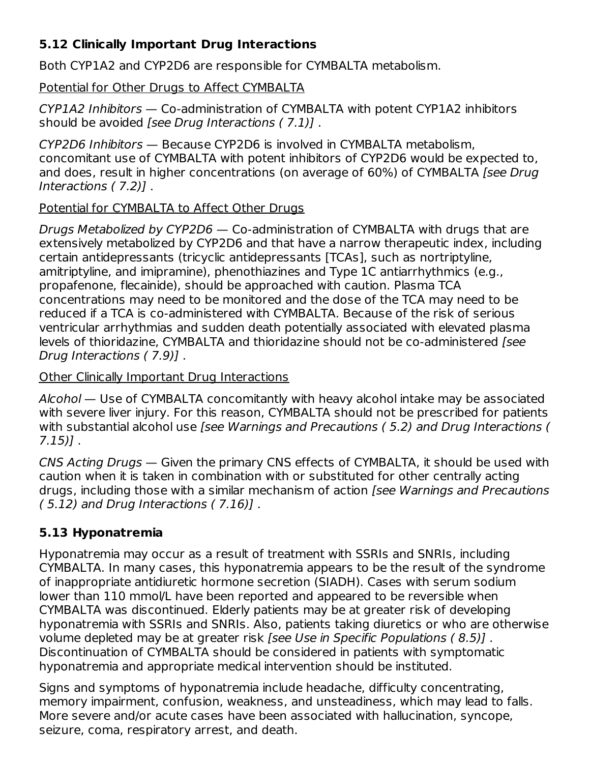# **5.12 Clinically Important Drug Interactions**

Both CYP1A2 and CYP2D6 are responsible for CYMBALTA metabolism.

Potential for Other Drugs to Affect CYMBALTA

CYP1A2 Inhibitors — Co-administration of CYMBALTA with potent CYP1A2 inhibitors should be avoided [see Drug Interactions (7.1)].

CYP2D6 Inhibitors — Because CYP2D6 is involved in CYMBALTA metabolism, concomitant use of CYMBALTA with potent inhibitors of CYP2D6 would be expected to, and does, result in higher concentrations (on average of 60%) of CYMBALTA [see Drug Interactions ( 7.2)] .

Potential for CYMBALTA to Affect Other Drugs

Drugs Metabolized by CYP2D6 — Co-administration of CYMBALTA with drugs that are extensively metabolized by CYP2D6 and that have a narrow therapeutic index, including certain antidepressants (tricyclic antidepressants [TCAs], such as nortriptyline, amitriptyline, and imipramine), phenothiazines and Type 1C antiarrhythmics (e.g., propafenone, flecainide), should be approached with caution. Plasma TCA concentrations may need to be monitored and the dose of the TCA may need to be reduced if a TCA is co-administered with CYMBALTA. Because of the risk of serious ventricular arrhythmias and sudden death potentially associated with elevated plasma levels of thioridazine, CYMBALTA and thioridazine should not be co-administered *[see*] Drug Interactions ( 7.9)] .

Other Clinically Important Drug Interactions

Alcohol — Use of CYMBALTA concomitantly with heavy alcohol intake may be associated with severe liver injury. For this reason, CYMBALTA should not be prescribed for patients with substantial alcohol use [see Warnings and Precautions ( 5.2) and Drug Interactions (  $7.15$ ) $1.$ 

CNS Acting Drugs — Given the primary CNS effects of CYMBALTA, it should be used with caution when it is taken in combination with or substituted for other centrally acting drugs, including those with a similar mechanism of action [see Warnings and Precautions ( 5.12) and Drug Interactions ( 7.16)] .

# **5.13 Hyponatremia**

Hyponatremia may occur as a result of treatment with SSRIs and SNRIs, including CYMBALTA. In many cases, this hyponatremia appears to be the result of the syndrome of inappropriate antidiuretic hormone secretion (SIADH). Cases with serum sodium lower than 110 mmol/L have been reported and appeared to be reversible when CYMBALTA was discontinued. Elderly patients may be at greater risk of developing hyponatremia with SSRIs and SNRIs. Also, patients taking diuretics or who are otherwise volume depleted may be at greater risk [see Use in Specific Populations ( 8.5)] . Discontinuation of CYMBALTA should be considered in patients with symptomatic hyponatremia and appropriate medical intervention should be instituted.

Signs and symptoms of hyponatremia include headache, difficulty concentrating, memory impairment, confusion, weakness, and unsteadiness, which may lead to falls. More severe and/or acute cases have been associated with hallucination, syncope, seizure, coma, respiratory arrest, and death.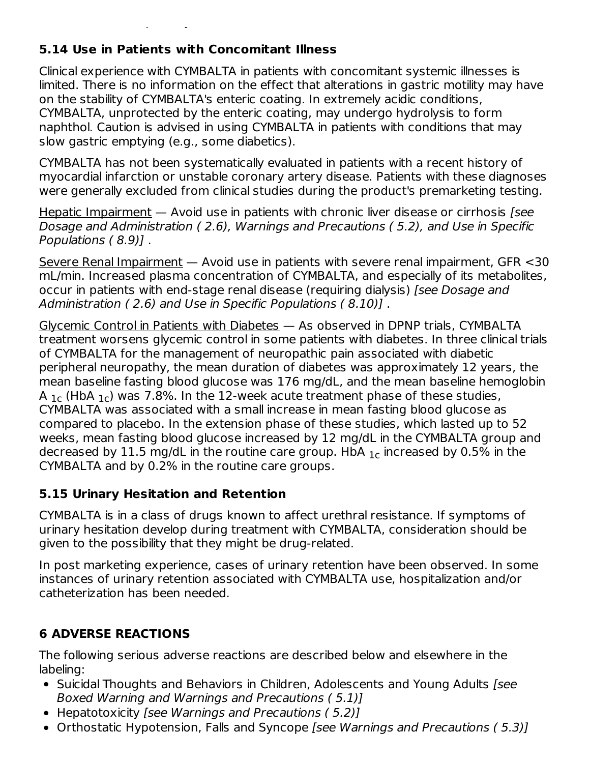#### **5.14 Use in Patients with Concomitant Illness**

Clinical experience with CYMBALTA in patients with concomitant systemic illnesses is limited. There is no information on the effect that alterations in gastric motility may have on the stability of CYMBALTA's enteric coating. In extremely acidic conditions, CYMBALTA, unprotected by the enteric coating, may undergo hydrolysis to form naphthol. Caution is advised in using CYMBALTA in patients with conditions that may slow gastric emptying (e.g., some diabetics).

CYMBALTA has not been systematically evaluated in patients with a recent history of myocardial infarction or unstable coronary artery disease. Patients with these diagnoses were generally excluded from clinical studies during the product's premarketing testing.

Hepatic Impairment — Avoid use in patients with chronic liver disease or cirrhosis [see Dosage and Administration ( 2.6), Warnings and Precautions ( 5.2), and Use in Specific Populations ( 8.9)] .

Severe Renal Impairment — Avoid use in patients with severe renal impairment, GFR <30 mL/min. Increased plasma concentration of CYMBALTA, and especially of its metabolites, occur in patients with end-stage renal disease (requiring dialysis) [see Dosage and Administration ( 2.6) and Use in Specific Populations ( 8.10)] .

Glycemic Control in Patients with Diabetes — As observed in DPNP trials, CYMBALTA treatment worsens glycemic control in some patients with diabetes. In three clinical trials of CYMBALTA for the management of neuropathic pain associated with diabetic peripheral neuropathy, the mean duration of diabetes was approximately 12 years, the mean baseline fasting blood glucose was 176 mg/dL, and the mean baseline hemoglobin A  $_{\rm 1c}$  (HbA  $_{\rm 1c}$ ) was 7.8%. In the 12-week acute treatment phase of these studies, CYMBALTA was associated with a small increase in mean fasting blood glucose as compared to placebo. In the extension phase of these studies, which lasted up to 52 weeks, mean fasting blood glucose increased by 12 mg/dL in the CYMBALTA group and decreased by 11.5 mg/dL in the routine care group. HbA  $_{\rm 1c}$  increased by 0.5% in the CYMBALTA and by 0.2% in the routine care groups.

#### **5.15 Urinary Hesitation and Retention**

CYMBALTA is in a class of drugs known to affect urethral resistance. If symptoms of urinary hesitation develop during treatment with CYMBALTA, consideration should be given to the possibility that they might be drug-related.

In post marketing experience, cases of urinary retention have been observed. In some instances of urinary retention associated with CYMBALTA use, hospitalization and/or catheterization has been needed.

### **6 ADVERSE REACTIONS**

The following serious adverse reactions are described below and elsewhere in the labeling:

- Suicidal Thoughts and Behaviors in Children, Adolescents and Young Adults [see Boxed Warning and Warnings and Precautions ( 5.1)]
- Hepatotoxicity [see Warnings and Precautions (5.2)]
- Orthostatic Hypotension, Falls and Syncope [see Warnings and Precautions (5.3)]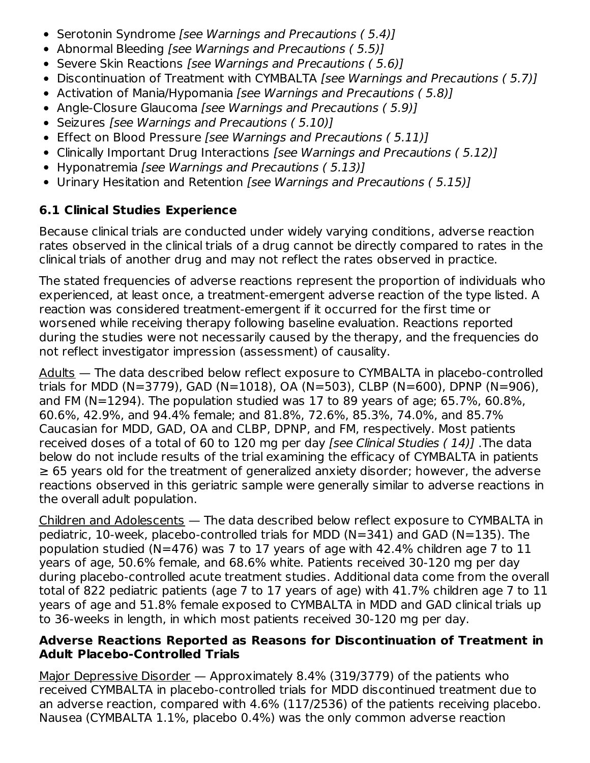- Serotonin Syndrome [see Warnings and Precautions (5.4)]
- Abnormal Bleeding [see Warnings and Precautions (5.5)]
- Severe Skin Reactions [see Warnings and Precautions (5.6)]
- Discontinuation of Treatment with CYMBALTA [see Warnings and Precautions (5.7)]
- Activation of Mania/Hypomania *[see Warnings and Precautions (5.8)]*
- Angle-Closure Glaucoma [see Warnings and Precautions (5.9)]
- Seizures [see Warnings and Precautions (5.10)]
- Effect on Blood Pressure [see Warnings and Precautions (5.11)]
- Clinically Important Drug Interactions *[see Warnings and Precautions (5.12)]*
- Hyponatremia [see Warnings and Precautions (5.13)]
- Urinary Hesitation and Retention *[see Warnings and Precautions (5.15)]*

# **6.1 Clinical Studies Experience**

Because clinical trials are conducted under widely varying conditions, adverse reaction rates observed in the clinical trials of a drug cannot be directly compared to rates in the clinical trials of another drug and may not reflect the rates observed in practice.

The stated frequencies of adverse reactions represent the proportion of individuals who experienced, at least once, a treatment-emergent adverse reaction of the type listed. A reaction was considered treatment-emergent if it occurred for the first time or worsened while receiving therapy following baseline evaluation. Reactions reported during the studies were not necessarily caused by the therapy, and the frequencies do not reflect investigator impression (assessment) of causality.

Adults — The data described below reflect exposure to CYMBALTA in placebo-controlled trials for MDD (N=3779), GAD (N=1018), OA (N=503), CLBP (N=600), DPNP (N=906), and FM (N=1294). The population studied was 17 to 89 years of age; 65.7%, 60.8%, 60.6%, 42.9%, and 94.4% female; and 81.8%, 72.6%, 85.3%, 74.0%, and 85.7% Caucasian for MDD, GAD, OA and CLBP, DPNP, and FM, respectively. Most patients received doses of a total of 60 to 120 mg per day [see Clinical Studies ( 14)] .The data below do not include results of the trial examining the efficacy of CYMBALTA in patients ≥ 65 years old for the treatment of generalized anxiety disorder; however, the adverse reactions observed in this geriatric sample were generally similar to adverse reactions in the overall adult population.

Children and Adolescents — The data described below reflect exposure to CYMBALTA in pediatric, 10-week, placebo-controlled trials for MDD (N=341) and GAD (N=135). The population studied (N=476) was 7 to 17 years of age with 42.4% children age 7 to 11 years of age, 50.6% female, and 68.6% white. Patients received 30-120 mg per day during placebo-controlled acute treatment studies. Additional data come from the overall total of 822 pediatric patients (age 7 to 17 years of age) with 41.7% children age 7 to 11 years of age and 51.8% female exposed to CYMBALTA in MDD and GAD clinical trials up to 36-weeks in length, in which most patients received 30-120 mg per day.

#### **Adverse Reactions Reported as Reasons for Discontinuation of Treatment in Adult Placebo-Controlled Trials**

Major Depressive Disorder — Approximately 8.4% (319/3779) of the patients who received CYMBALTA in placebo-controlled trials for MDD discontinued treatment due to an adverse reaction, compared with 4.6% (117/2536) of the patients receiving placebo. Nausea (CYMBALTA 1.1%, placebo 0.4%) was the only common adverse reaction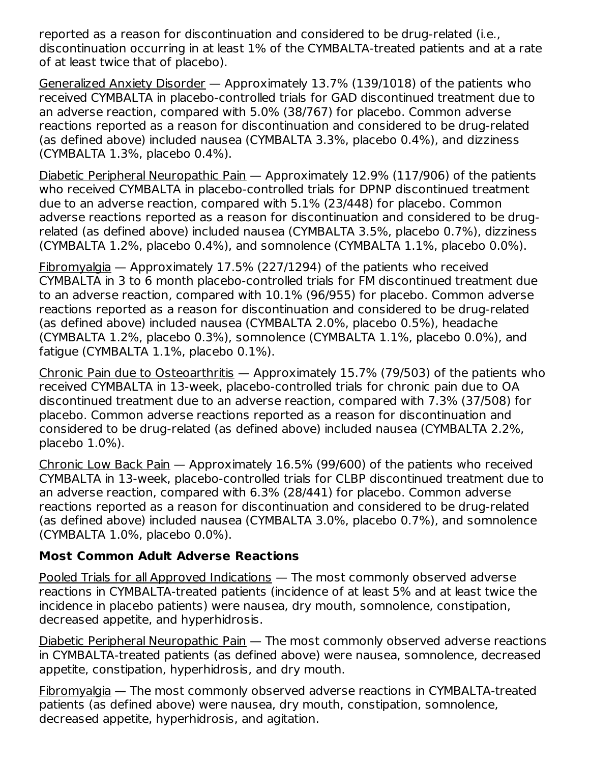reported as a reason for discontinuation and considered to be drug-related (i.e., discontinuation occurring in at least 1% of the CYMBALTA-treated patients and at a rate of at least twice that of placebo).

Generalized Anxiety Disorder — Approximately 13.7% (139/1018) of the patients who received CYMBALTA in placebo-controlled trials for GAD discontinued treatment due to an adverse reaction, compared with 5.0% (38/767) for placebo. Common adverse reactions reported as a reason for discontinuation and considered to be drug-related (as defined above) included nausea (CYMBALTA 3.3%, placebo 0.4%), and dizziness (CYMBALTA 1.3%, placebo 0.4%).

Diabetic Peripheral Neuropathic Pain — Approximately 12.9% (117/906) of the patients who received CYMBALTA in placebo-controlled trials for DPNP discontinued treatment due to an adverse reaction, compared with 5.1% (23/448) for placebo. Common adverse reactions reported as a reason for discontinuation and considered to be drugrelated (as defined above) included nausea (CYMBALTA 3.5%, placebo 0.7%), dizziness (CYMBALTA 1.2%, placebo 0.4%), and somnolence (CYMBALTA 1.1%, placebo 0.0%).

Fibromyalgia — Approximately 17.5% (227/1294) of the patients who received CYMBALTA in 3 to 6 month placebo-controlled trials for FM discontinued treatment due to an adverse reaction, compared with 10.1% (96/955) for placebo. Common adverse reactions reported as a reason for discontinuation and considered to be drug-related (as defined above) included nausea (CYMBALTA 2.0%, placebo 0.5%), headache (CYMBALTA 1.2%, placebo 0.3%), somnolence (CYMBALTA 1.1%, placebo 0.0%), and fatigue (CYMBALTA 1.1%, placebo 0.1%).

Chronic Pain due to Osteoarthritis — Approximately 15.7% (79/503) of the patients who received CYMBALTA in 13-week, placebo-controlled trials for chronic pain due to OA discontinued treatment due to an adverse reaction, compared with 7.3% (37/508) for placebo. Common adverse reactions reported as a reason for discontinuation and considered to be drug-related (as defined above) included nausea (CYMBALTA 2.2%, placebo 1.0%).

Chronic Low Back Pain — Approximately 16.5% (99/600) of the patients who received CYMBALTA in 13-week, placebo-controlled trials for CLBP discontinued treatment due to an adverse reaction, compared with 6.3% (28/441) for placebo. Common adverse reactions reported as a reason for discontinuation and considered to be drug-related (as defined above) included nausea (CYMBALTA 3.0%, placebo 0.7%), and somnolence (CYMBALTA 1.0%, placebo 0.0%).

### **Most Common Adult Adverse Reactions**

Pooled Trials for all Approved Indications — The most commonly observed adverse reactions in CYMBALTA-treated patients (incidence of at least 5% and at least twice the incidence in placebo patients) were nausea, dry mouth, somnolence, constipation, decreased appetite, and hyperhidrosis.

Diabetic Peripheral Neuropathic Pain — The most commonly observed adverse reactions in CYMBALTA-treated patients (as defined above) were nausea, somnolence, decreased appetite, constipation, hyperhidrosis, and dry mouth.

Fibromyalgia — The most commonly observed adverse reactions in CYMBALTA-treated patients (as defined above) were nausea, dry mouth, constipation, somnolence, decreased appetite, hyperhidrosis, and agitation.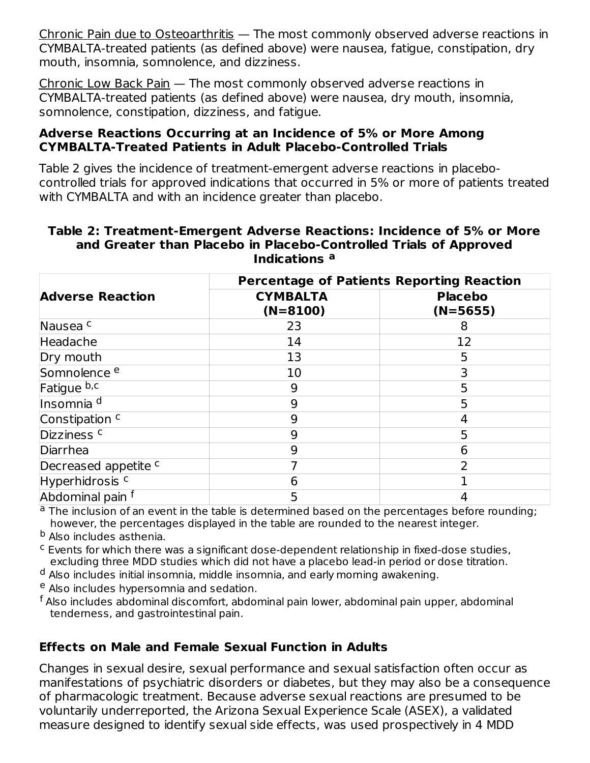Chronic Pain due to Osteoarthritis — The most commonly observed adverse reactions in CYMBALTA-treated patients (as defined above) were nausea, fatigue, constipation, dry mouth, insomnia, somnolence, and dizziness.

Chronic Low Back Pain — The most commonly observed adverse reactions in CYMBALTA-treated patients (as defined above) were nausea, dry mouth, insomnia, somnolence, constipation, dizziness, and fatigue.

#### **Adverse Reactions Occurring at an Incidence of 5% or More Among CYMBALTA-Treated Patients in Adult Placebo-Controlled Trials**

Table 2 gives the incidence of treatment-emergent adverse reactions in placebocontrolled trials for approved indications that occurred in 5% or more of patients treated with CYMBALTA and with an incidence greater than placebo.

#### **Table 2: Treatment-Emergent Adverse Reactions: Incidence of 5% or More and Greater than Placebo in Placebo-Controlled Trials of Approved Indications a**

|                                 | <b>Percentage of Patients Reporting Reaction</b> |                              |  |  |
|---------------------------------|--------------------------------------------------|------------------------------|--|--|
| <b>Adverse Reaction</b>         | <b>CYMBALTA</b><br>$(N=8100)$                    | <b>Placebo</b><br>$(N=5655)$ |  |  |
| Nausea <sup>c</sup>             | 23                                               | 8                            |  |  |
| Headache                        | 14                                               | 12                           |  |  |
| Dry mouth                       | 13                                               | 5                            |  |  |
| Somnolence <sup>e</sup>         | 10                                               | 3                            |  |  |
| Fatigue b,c                     | 9                                                | 5                            |  |  |
| Insomnia <sup>d</sup>           | 9                                                | 5                            |  |  |
| Constipation c                  | 9                                                |                              |  |  |
| Dizziness <sup>c</sup>          | 9                                                | 5                            |  |  |
| Diarrhea                        | 9                                                | 6                            |  |  |
| Decreased appetite <sup>c</sup> |                                                  | フ                            |  |  |
| Hyperhidrosis <sup>c</sup>      |                                                  |                              |  |  |
| Abdominal pain f                | 5                                                |                              |  |  |

<sup>a</sup> The inclusion of an event in the table is determined based on the percentages before rounding; however, the percentages displayed in the table are rounded to the nearest integer.

<sup>b</sup> Also includes asthenia.

 $\rm ^c$  Events for which there was a significant dose-dependent relationship in fixed-dose studies, excluding three MDD studies which did not have a placebo lead-in period or dose titration.

 $^{\mathsf{d}}$  Also includes initial insomnia, middle insomnia, and early morning awakening.

<sup>e</sup> Also includes hypersomnia and sedation.

 $^{\mathsf{f}}$  Also includes abdominal discomfort, abdominal pain lower, abdominal pain upper, abdominal tenderness, and gastrointestinal pain.

### **Effects on Male and Female Sexual Function in Adults**

Changes in sexual desire, sexual performance and sexual satisfaction often occur as manifestations of psychiatric disorders or diabetes, but they may also be a consequence of pharmacologic treatment. Because adverse sexual reactions are presumed to be voluntarily underreported, the Arizona Sexual Experience Scale (ASEX), a validated measure designed to identify sexual side effects, was used prospectively in 4 MDD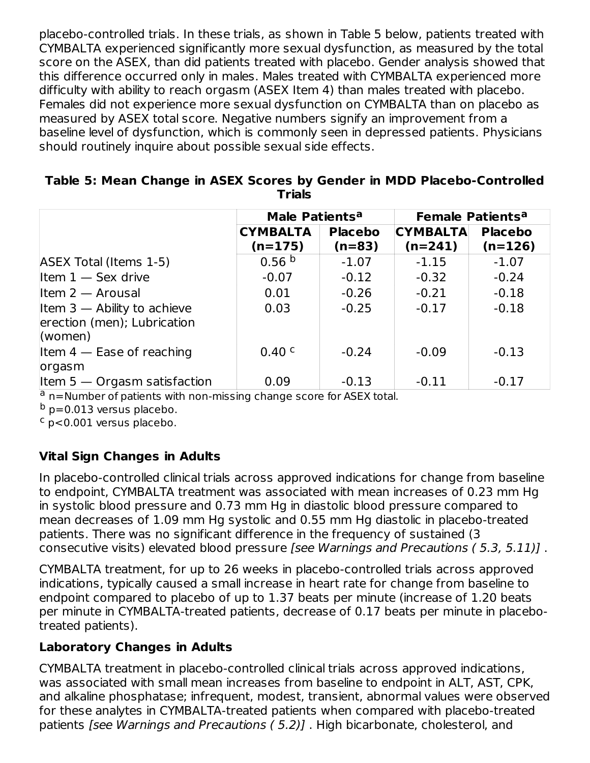placebo-controlled trials. In these trials, as shown in Table 5 below, patients treated with CYMBALTA experienced significantly more sexual dysfunction, as measured by the total score on the ASEX, than did patients treated with placebo. Gender analysis showed that this difference occurred only in males. Males treated with CYMBALTA experienced more difficulty with ability to reach orgasm (ASEX Item 4) than males treated with placebo. Females did not experience more sexual dysfunction on CYMBALTA than on placebo as measured by ASEX total score. Negative numbers signify an improvement from a baseline level of dysfunction, which is commonly seen in depressed patients. Physicians should routinely inquire about possible sexual side effects.

|                                                                         | Male Patients <sup>a</sup>   |                            |                              | Female Patients <sup>a</sup> |
|-------------------------------------------------------------------------|------------------------------|----------------------------|------------------------------|------------------------------|
|                                                                         | <b>CYMBALTA</b><br>$(n=175)$ | <b>Placebo</b><br>$(n=83)$ | <b>CYMBALTA</b><br>$(n=241)$ | <b>Placebo</b><br>$(n=126)$  |
| ASEX Total (Items 1-5)                                                  | 0.56 <sup>b</sup>            | $-1.07$                    | $-1.15$                      | $-1.07$                      |
| Item $1 -$ Sex drive                                                    | $-0.07$                      | $-0.12$                    | $-0.32$                      | $-0.24$                      |
| Item $2 -$ Arousal                                                      | 0.01                         | $-0.26$                    | $-0.21$                      | $-0.18$                      |
| Item $3 -$ Ability to achieve<br>erection (men); Lubrication<br>(women) | 0.03                         | $-0.25$                    | $-0.17$                      | $-0.18$                      |
| Item $4$ — Ease of reaching<br>orgasm                                   | 0.40 <sup>c</sup>            | $-0.24$                    | $-0.09$                      | $-0.13$                      |
| Item $5 -$ Orgasm satisfaction                                          | 0.09                         | $-0.13$                    | $-0.11$                      | $-0.17$                      |

| Table 5: Mean Change in ASEX Scores by Gender in MDD Placebo-Controlled |               |  |  |
|-------------------------------------------------------------------------|---------------|--|--|
|                                                                         | <b>Trials</b> |  |  |

a n=Number of patients with non-missing change score for ASEX total.

 $^{\rm b}$  p=0.013 versus placebo.

<sup>c</sup> p<0.001 versus placebo.

### **Vital Sign Changes in Adults**

In placebo-controlled clinical trials across approved indications for change from baseline to endpoint, CYMBALTA treatment was associated with mean increases of 0.23 mm Hg in systolic blood pressure and 0.73 mm Hg in diastolic blood pressure compared to mean decreases of 1.09 mm Hg systolic and 0.55 mm Hg diastolic in placebo-treated patients. There was no significant difference in the frequency of sustained (3 consecutive visits) elevated blood pressure [see Warnings and Precautions ( 5.3, 5.11)] .

CYMBALTA treatment, for up to 26 weeks in placebo-controlled trials across approved indications, typically caused a small increase in heart rate for change from baseline to endpoint compared to placebo of up to 1.37 beats per minute (increase of 1.20 beats per minute in CYMBALTA-treated patients, decrease of 0.17 beats per minute in placebotreated patients).

### **Laboratory Changes in Adults**

CYMBALTA treatment in placebo-controlled clinical trials across approved indications, was associated with small mean increases from baseline to endpoint in ALT, AST, CPK, and alkaline phosphatase; infrequent, modest, transient, abnormal values were observed for these analytes in CYMBALTA-treated patients when compared with placebo-treated patients [see Warnings and Precautions ( 5.2)] . High bicarbonate, cholesterol, and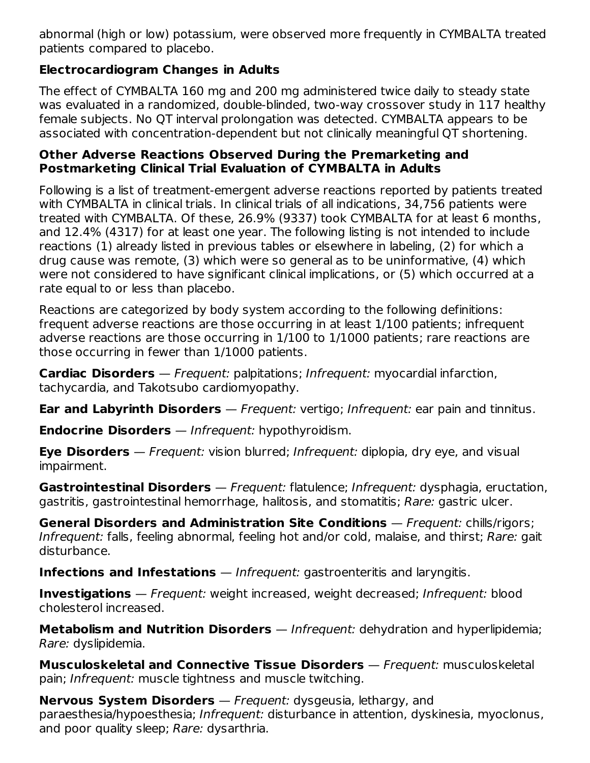abnormal (high or low) potassium, were observed more frequently in CYMBALTA treated patients compared to placebo.

### **Electrocardiogram Changes in Adults**

The effect of CYMBALTA 160 mg and 200 mg administered twice daily to steady state was evaluated in a randomized, double-blinded, two-way crossover study in 117 healthy female subjects. No QT interval prolongation was detected. CYMBALTA appears to be associated with concentration-dependent but not clinically meaningful QT shortening.

#### **Other Adverse Reactions Observed During the Premarketing and Postmarketing Clinical Trial Evaluation of CYMBALTA in Adults**

Following is a list of treatment-emergent adverse reactions reported by patients treated with CYMBALTA in clinical trials. In clinical trials of all indications, 34,756 patients were treated with CYMBALTA. Of these, 26.9% (9337) took CYMBALTA for at least 6 months, and 12.4% (4317) for at least one year. The following listing is not intended to include reactions (1) already listed in previous tables or elsewhere in labeling, (2) for which a drug cause was remote, (3) which were so general as to be uninformative, (4) which were not considered to have significant clinical implications, or (5) which occurred at a rate equal to or less than placebo.

Reactions are categorized by body system according to the following definitions: frequent adverse reactions are those occurring in at least 1/100 patients; infrequent adverse reactions are those occurring in 1/100 to 1/1000 patients; rare reactions are those occurring in fewer than 1/1000 patients.

**Cardiac Disorders** — Frequent: palpitations; Infrequent: myocardial infarction, tachycardia, and Takotsubo cardiomyopathy.

**Ear and Labyrinth Disorders** — Frequent: vertigo; Infrequent: ear pain and tinnitus.

**Endocrine Disorders** — Infrequent: hypothyroidism.

**Eye Disorders** — Frequent: vision blurred; Infrequent: diplopia, dry eye, and visual impairment.

**Gastrointestinal Disorders** — Frequent: flatulence; Infrequent: dysphagia, eructation, gastritis, gastrointestinal hemorrhage, halitosis, and stomatitis; Rare: gastric ulcer.

**General Disorders and Administration Site Conditions** — Frequent: chills/rigors; Infrequent: falls, feeling abnormal, feeling hot and/or cold, malaise, and thirst; Rare: gait disturbance.

**Infections and Infestations** — Infrequent: gastroenteritis and laryngitis.

**Investigations** — Frequent: weight increased, weight decreased; Infrequent: blood cholesterol increased.

**Metabolism and Nutrition Disorders** — Infrequent: dehydration and hyperlipidemia; Rare: dyslipidemia.

**Musculoskeletal and Connective Tissue Disorders** — Frequent: musculoskeletal pain; Infrequent: muscle tightness and muscle twitching.

**Nervous System Disorders** — Frequent: dysgeusia, lethargy, and paraesthesia/hypoesthesia; Infrequent: disturbance in attention, dyskinesia, myoclonus, and poor quality sleep; Rare: dysarthria.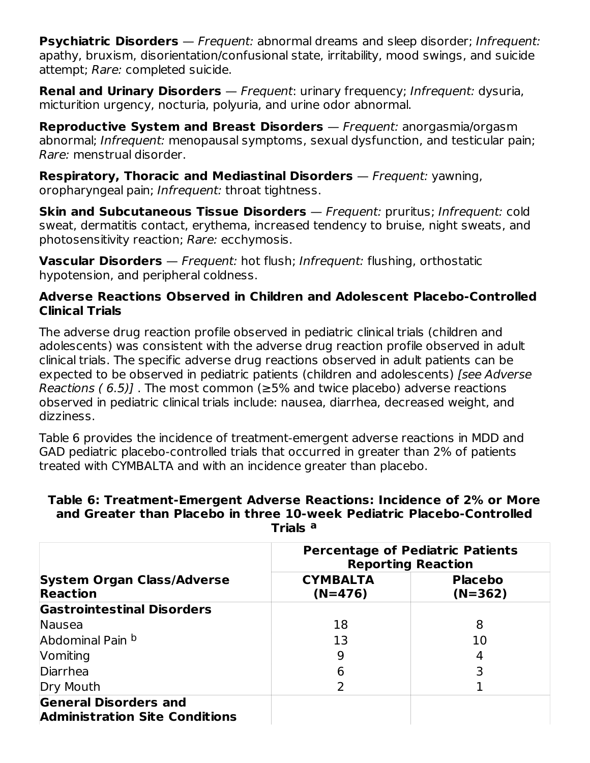**Psychiatric Disorders** — Frequent: abnormal dreams and sleep disorder; Infrequent: apathy, bruxism, disorientation/confusional state, irritability, mood swings, and suicide attempt; Rare: completed suicide.

**Renal and Urinary Disorders** — Frequent: urinary frequency; Infrequent: dysuria, micturition urgency, nocturia, polyuria, and urine odor abnormal.

**Reproductive System and Breast Disorders** — Frequent: anorgasmia/orgasm abnormal; Infrequent: menopausal symptoms, sexual dysfunction, and testicular pain; Rare: menstrual disorder.

**Respiratory, Thoracic and Mediastinal Disorders** — Frequent: yawning, oropharyngeal pain; Infrequent: throat tightness.

**Skin and Subcutaneous Tissue Disorders** — Frequent: pruritus; Infrequent: cold sweat, dermatitis contact, erythema, increased tendency to bruise, night sweats, and photosensitivity reaction; Rare: ecchymosis.

**Vascular Disorders** — Frequent: hot flush; Infrequent: flushing, orthostatic hypotension, and peripheral coldness.

#### **Adverse Reactions Observed in Children and Adolescent Placebo-Controlled Clinical Trials**

The adverse drug reaction profile observed in pediatric clinical trials (children and adolescents) was consistent with the adverse drug reaction profile observed in adult clinical trials. The specific adverse drug reactions observed in adult patients can be expected to be observed in pediatric patients (children and adolescents) [see Adverse Reactions (6.5)]. The most common ( $\geq$ 5% and twice placebo) adverse reactions observed in pediatric clinical trials include: nausea, diarrhea, decreased weight, and dizziness.

Table 6 provides the incidence of treatment-emergent adverse reactions in MDD and GAD pediatric placebo-controlled trials that occurred in greater than 2% of patients treated with CYMBALTA and with an incidence greater than placebo.

#### **Table 6: Treatment-Emergent Adverse Reactions: Incidence of 2% or More and Greater than Placebo in three 10-week Pediatric Placebo-Controlled Trials a**

|                                                                       | <b>Percentage of Pediatric Patients</b><br><b>Reporting Reaction</b> |                             |  |
|-----------------------------------------------------------------------|----------------------------------------------------------------------|-----------------------------|--|
| <b>System Organ Class/Adverse</b><br><b>Reaction</b>                  | <b>CYMBALTA</b><br>$(N=476)$                                         | <b>Placebo</b><br>$(N=362)$ |  |
| <b>Gastrointestinal Disorders</b>                                     |                                                                      |                             |  |
| Nausea                                                                | 18                                                                   | 8                           |  |
| Abdominal Pain b                                                      | 13                                                                   | 10                          |  |
| Vomiting                                                              | 9                                                                    | 4                           |  |
| Diarrhea                                                              | 6                                                                    | 3                           |  |
| Dry Mouth                                                             | 2                                                                    |                             |  |
| <b>General Disorders and</b><br><b>Administration Site Conditions</b> |                                                                      |                             |  |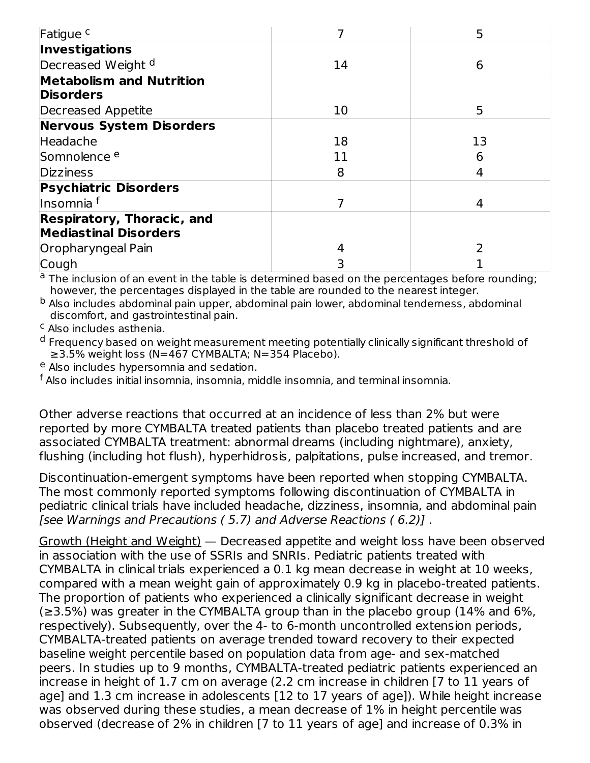| Fatigue <sup>c</sup>              |    | 5  |
|-----------------------------------|----|----|
| Investigations                    |    |    |
| Decreased Weight <sup>d</sup>     | 14 | 6  |
| <b>Metabolism and Nutrition</b>   |    |    |
| <b>Disorders</b>                  |    |    |
| Decreased Appetite                | 10 | 5  |
| <b>Nervous System Disorders</b>   |    |    |
| Headache                          | 18 | 13 |
| Somnolence <sup>e</sup>           | 11 | 6  |
| <b>Dizziness</b>                  | 8  | 4  |
| <b>Psychiatric Disorders</b>      |    |    |
| Insomnia f                        |    | 4  |
| <b>Respiratory, Thoracic, and</b> |    |    |
| <b>Mediastinal Disorders</b>      |    |    |
| Oropharyngeal Pain                | 4  |    |
| Cough                             |    |    |

<sup>a</sup> The inclusion of an event in the table is determined based on the percentages before rounding; however, the percentages displayed in the table are rounded to the nearest integer.

<sup>b</sup> Also includes abdominal pain upper, abdominal pain lower, abdominal tenderness, abdominal discomfort, and gastrointestinal pain.

<sup>c</sup> Also includes asthenia.

 $^{\mathsf{d}}$  Frequency based on weight measurement meeting potentially clinically significant threshold of ≥3.5% weight loss (N=467 CYMBALTA; N=354 Placebo).

<sup>e</sup> Also includes hypersomnia and sedation.

 $^{\mathsf{f}}$  Also includes initial insomnia, insomnia, middle insomnia, and terminal insomnia.

Other adverse reactions that occurred at an incidence of less than 2% but were reported by more CYMBALTA treated patients than placebo treated patients and are associated CYMBALTA treatment: abnormal dreams (including nightmare), anxiety, flushing (including hot flush), hyperhidrosis, palpitations, pulse increased, and tremor.

Discontinuation-emergent symptoms have been reported when stopping CYMBALTA. The most commonly reported symptoms following discontinuation of CYMBALTA in pediatric clinical trials have included headache, dizziness, insomnia, and abdominal pain [see Warnings and Precautions ( 5.7) and Adverse Reactions ( 6.2)] .

Growth (Height and Weight) — Decreased appetite and weight loss have been observed in association with the use of SSRIs and SNRIs. Pediatric patients treated with CYMBALTA in clinical trials experienced a 0.1 kg mean decrease in weight at 10 weeks, compared with a mean weight gain of approximately 0.9 kg in placebo-treated patients. The proportion of patients who experienced a clinically significant decrease in weight (≥3.5%) was greater in the CYMBALTA group than in the placebo group (14% and 6%, respectively). Subsequently, over the 4- to 6-month uncontrolled extension periods, CYMBALTA-treated patients on average trended toward recovery to their expected baseline weight percentile based on population data from age- and sex-matched peers. In studies up to 9 months, CYMBALTA-treated pediatric patients experienced an increase in height of 1.7 cm on average (2.2 cm increase in children [7 to 11 years of age] and 1.3 cm increase in adolescents [12 to 17 years of age]). While height increase was observed during these studies, a mean decrease of 1% in height percentile was observed (decrease of 2% in children [7 to 11 years of age] and increase of 0.3% in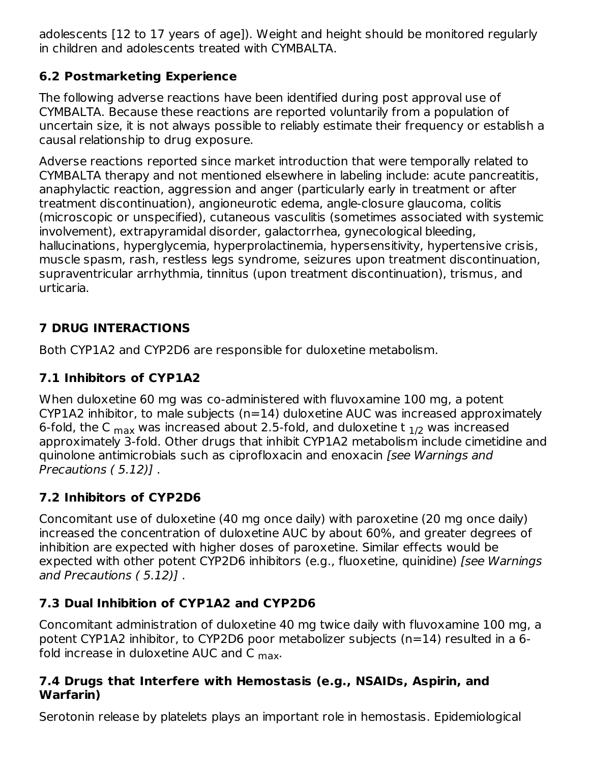adolescents [12 to 17 years of age]). Weight and height should be monitored regularly in children and adolescents treated with CYMBALTA.

### **6.2 Postmarketing Experience**

The following adverse reactions have been identified during post approval use of CYMBALTA. Because these reactions are reported voluntarily from a population of uncertain size, it is not always possible to reliably estimate their frequency or establish a causal relationship to drug exposure.

Adverse reactions reported since market introduction that were temporally related to CYMBALTA therapy and not mentioned elsewhere in labeling include: acute pancreatitis, anaphylactic reaction, aggression and anger (particularly early in treatment or after treatment discontinuation), angioneurotic edema, angle-closure glaucoma, colitis (microscopic or unspecified), cutaneous vasculitis (sometimes associated with systemic involvement), extrapyramidal disorder, galactorrhea, gynecological bleeding, hallucinations, hyperglycemia, hyperprolactinemia, hypersensitivity, hypertensive crisis, muscle spasm, rash, restless legs syndrome, seizures upon treatment discontinuation, supraventricular arrhythmia, tinnitus (upon treatment discontinuation), trismus, and urticaria.

# **7 DRUG INTERACTIONS**

Both CYP1A2 and CYP2D6 are responsible for duloxetine metabolism.

# **7.1 Inhibitors of CYP1A2**

When duloxetine 60 mg was co-administered with fluvoxamine 100 mg, a potent CYP1A2 inhibitor, to male subjects (n=14) duloxetine AUC was increased approximately 6-fold, the C  $_{\sf max}$  was increased about 2.5-fold, and duloxetine t  $_{1/2}$  was increased approximately 3-fold. Other drugs that inhibit CYP1A2 metabolism include cimetidine and quinolone antimicrobials such as ciprofloxacin and enoxacin [see Warnings and Precautions ( 5.12)] .

# **7.2 Inhibitors of CYP2D6**

Concomitant use of duloxetine (40 mg once daily) with paroxetine (20 mg once daily) increased the concentration of duloxetine AUC by about 60%, and greater degrees of inhibition are expected with higher doses of paroxetine. Similar effects would be expected with other potent CYP2D6 inhibitors (e.g., fluoxetine, quinidine) [see Warnings and Precautions ( 5.12)] .

# **7.3 Dual Inhibition of CYP1A2 and CYP2D6**

Concomitant administration of duloxetine 40 mg twice daily with fluvoxamine 100 mg, a potent CYP1A2 inhibitor, to CYP2D6 poor metabolizer subjects (n=14) resulted in a 6 fold increase in duloxetine AUC and C  $_{\sf max}$ .

### **7.4 Drugs that Interfere with Hemostasis (e.g., NSAIDs, Aspirin, and Warfarin)**

Serotonin release by platelets plays an important role in hemostasis. Epidemiological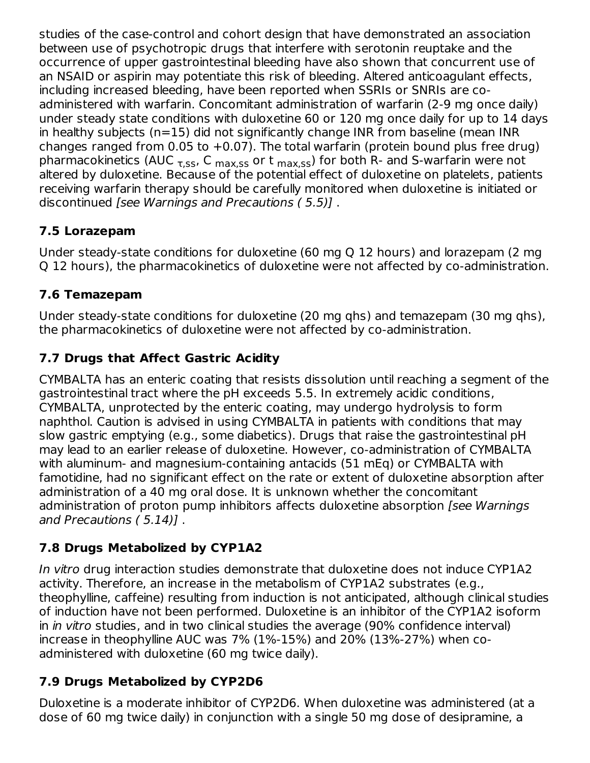studies of the case-control and cohort design that have demonstrated an association between use of psychotropic drugs that interfere with serotonin reuptake and the occurrence of upper gastrointestinal bleeding have also shown that concurrent use of an NSAID or aspirin may potentiate this risk of bleeding. Altered anticoagulant effects, including increased bleeding, have been reported when SSRIs or SNRIs are coadministered with warfarin. Concomitant administration of warfarin (2-9 mg once daily) under steady state conditions with duloxetine 60 or 120 mg once daily for up to 14 days in healthy subjects (n=15) did not significantly change INR from baseline (mean INR changes ranged from 0.05 to  $+0.07$ ). The total warfarin (protein bound plus free drug) pharmacokinetics (AUC <sub>τ,ss</sub>, C <sub>max,ss</sub> or t <sub>max,ss</sub>) for both R- and S-warfarin were not altered by duloxetine. Because of the potential effect of duloxetine on platelets, patients receiving warfarin therapy should be carefully monitored when duloxetine is initiated or discontinued [see Warnings and Precautions ( 5.5)] .

# **7.5 Lorazepam**

Under steady-state conditions for duloxetine (60 mg Q 12 hours) and lorazepam (2 mg Q 12 hours), the pharmacokinetics of duloxetine were not affected by co-administration.

### **7.6 Temazepam**

Under steady-state conditions for duloxetine (20 mg qhs) and temazepam (30 mg qhs), the pharmacokinetics of duloxetine were not affected by co-administration.

### **7.7 Drugs that Affect Gastric Acidity**

CYMBALTA has an enteric coating that resists dissolution until reaching a segment of the gastrointestinal tract where the pH exceeds 5.5. In extremely acidic conditions, CYMBALTA, unprotected by the enteric coating, may undergo hydrolysis to form naphthol. Caution is advised in using CYMBALTA in patients with conditions that may slow gastric emptying (e.g., some diabetics). Drugs that raise the gastrointestinal pH may lead to an earlier release of duloxetine. However, co-administration of CYMBALTA with aluminum- and magnesium-containing antacids (51 mEq) or CYMBALTA with famotidine, had no significant effect on the rate or extent of duloxetine absorption after administration of a 40 mg oral dose. It is unknown whether the concomitant administration of proton pump inhibitors affects duloxetine absorption [see Warnings] and Precautions ( 5.14)] .

### **7.8 Drugs Metabolized by CYP1A2**

In vitro drug interaction studies demonstrate that duloxetine does not induce CYP1A2 activity. Therefore, an increase in the metabolism of CYP1A2 substrates (e.g., theophylline, caffeine) resulting from induction is not anticipated, although clinical studies of induction have not been performed. Duloxetine is an inhibitor of the CYP1A2 isoform in in vitro studies, and in two clinical studies the average (90% confidence interval) increase in theophylline AUC was 7% (1%-15%) and 20% (13%-27%) when coadministered with duloxetine (60 mg twice daily).

### **7.9 Drugs Metabolized by CYP2D6**

Duloxetine is a moderate inhibitor of CYP2D6. When duloxetine was administered (at a dose of 60 mg twice daily) in conjunction with a single 50 mg dose of desipramine, a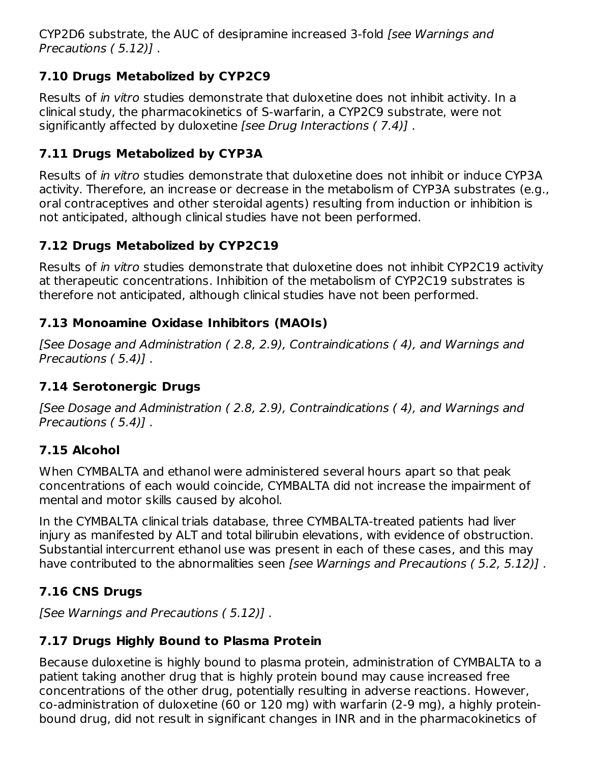CYP2D6 substrate, the AUC of desipramine increased 3-fold [see Warnings and Precautions ( 5.12)] .

# **7.10 Drugs Metabolized by CYP2C9**

Results of in vitro studies demonstrate that duloxetine does not inhibit activity. In a clinical study, the pharmacokinetics of S-warfarin, a CYP2C9 substrate, were not significantly affected by duloxetine [see Drug Interactions ( 7.4)] .

## **7.11 Drugs Metabolized by CYP3A**

Results of in vitro studies demonstrate that duloxetine does not inhibit or induce CYP3A activity. Therefore, an increase or decrease in the metabolism of CYP3A substrates (e.g., oral contraceptives and other steroidal agents) resulting from induction or inhibition is not anticipated, although clinical studies have not been performed.

# **7.12 Drugs Metabolized by CYP2C19**

Results of in vitro studies demonstrate that duloxetine does not inhibit CYP2C19 activity at therapeutic concentrations. Inhibition of the metabolism of CYP2C19 substrates is therefore not anticipated, although clinical studies have not been performed.

### **7.13 Monoamine Oxidase Inhibitors (MAOIs)**

[See Dosage and Administration ( 2.8, 2.9), Contraindications ( 4), and Warnings and Precautions ( 5.4)] .

## **7.14 Serotonergic Drugs**

[See Dosage and Administration ( 2.8, 2.9), Contraindications ( 4), and Warnings and Precautions ( 5.4)] .

### **7.15 Alcohol**

When CYMBALTA and ethanol were administered several hours apart so that peak concentrations of each would coincide, CYMBALTA did not increase the impairment of mental and motor skills caused by alcohol.

In the CYMBALTA clinical trials database, three CYMBALTA-treated patients had liver injury as manifested by ALT and total bilirubin elevations, with evidence of obstruction. Substantial intercurrent ethanol use was present in each of these cases, and this may have contributed to the abnormalities seen [see Warnings and Precautions (5.2, 5.12)].

# **7.16 CNS Drugs**

[See Warnings and Precautions ( 5.12)] .

### **7.17 Drugs Highly Bound to Plasma Protein**

Because duloxetine is highly bound to plasma protein, administration of CYMBALTA to a patient taking another drug that is highly protein bound may cause increased free concentrations of the other drug, potentially resulting in adverse reactions. However, co-administration of duloxetine (60 or 120 mg) with warfarin (2-9 mg), a highly proteinbound drug, did not result in significant changes in INR and in the pharmacokinetics of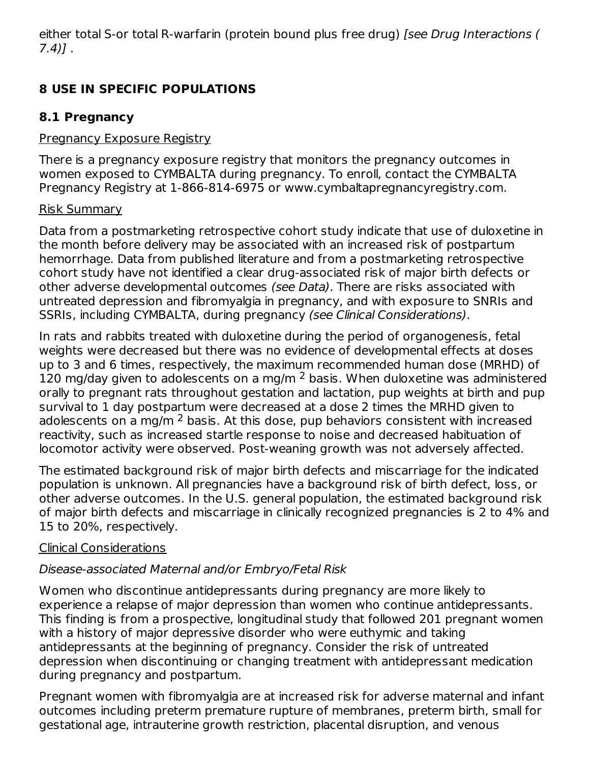either total S-or total R-warfarin (protein bound plus free drug) [see Drug Interactions (  $7.4)$ ].

# **8 USE IN SPECIFIC POPULATIONS**

### **8.1 Pregnancy**

#### Pregnancy Exposure Registry

There is a pregnancy exposure registry that monitors the pregnancy outcomes in women exposed to CYMBALTA during pregnancy. To enroll, contact the CYMBALTA Pregnancy Registry at 1-866-814-6975 or www.cymbaltapregnancyregistry.com.

#### Risk Summary

Data from a postmarketing retrospective cohort study indicate that use of duloxetine in the month before delivery may be associated with an increased risk of postpartum hemorrhage. Data from published literature and from a postmarketing retrospective cohort study have not identified a clear drug-associated risk of major birth defects or other adverse developmental outcomes (see Data). There are risks associated with untreated depression and fibromyalgia in pregnancy, and with exposure to SNRIs and SSRIs, including CYMBALTA, during pregnancy (see Clinical Considerations).

In rats and rabbits treated with duloxetine during the period of organogenesis, fetal weights were decreased but there was no evidence of developmental effects at doses up to 3 and 6 times, respectively, the maximum recommended human dose (MRHD) of 120 mg/day given to adolescents on a mg/m  $2$  basis. When duloxetine was administered orally to pregnant rats throughout gestation and lactation, pup weights at birth and pup survival to 1 day postpartum were decreased at a dose 2 times the MRHD given to adolescents on a mg/m  $^2$  basis. At this dose, pup behaviors consistent with increased reactivity, such as increased startle response to noise and decreased habituation of locomotor activity were observed. Post-weaning growth was not adversely affected.

The estimated background risk of major birth defects and miscarriage for the indicated population is unknown. All pregnancies have a background risk of birth defect, loss, or other adverse outcomes. In the U.S. general population, the estimated background risk of major birth defects and miscarriage in clinically recognized pregnancies is 2 to 4% and 15 to 20%, respectively.

### Clinical Considerations

### Disease-associated Maternal and/or Embryo/Fetal Risk

Women who discontinue antidepressants during pregnancy are more likely to experience a relapse of major depression than women who continue antidepressants. This finding is from a prospective, longitudinal study that followed 201 pregnant women with a history of major depressive disorder who were euthymic and taking antidepressants at the beginning of pregnancy. Consider the risk of untreated depression when discontinuing or changing treatment with antidepressant medication during pregnancy and postpartum.

Pregnant women with fibromyalgia are at increased risk for adverse maternal and infant outcomes including preterm premature rupture of membranes, preterm birth, small for gestational age, intrauterine growth restriction, placental disruption, and venous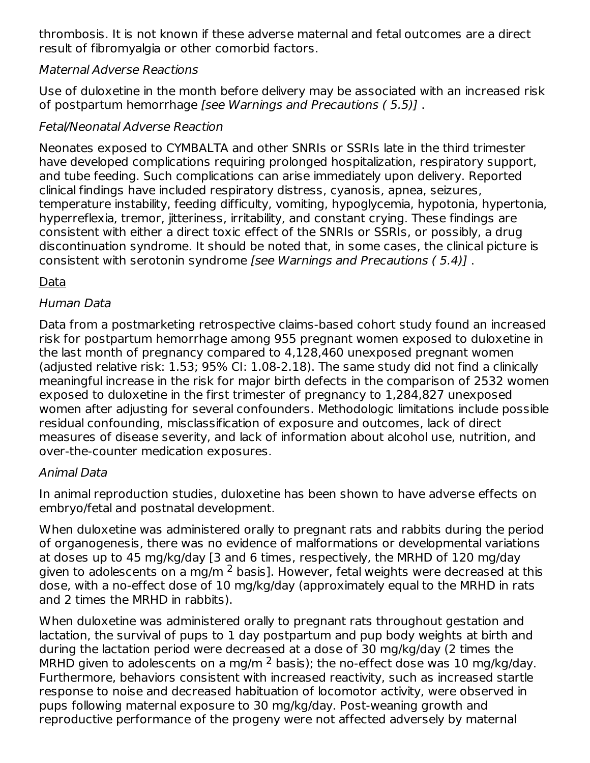thrombosis. It is not known if these adverse maternal and fetal outcomes are a direct result of fibromyalgia or other comorbid factors.

### Maternal Adverse Reactions

Use of duloxetine in the month before delivery may be associated with an increased risk of postpartum hemorrhage [see Warnings and Precautions ( 5.5)] .

### Fetal/Neonatal Adverse Reaction

Neonates exposed to CYMBALTA and other SNRIs or SSRIs late in the third trimester have developed complications requiring prolonged hospitalization, respiratory support, and tube feeding. Such complications can arise immediately upon delivery. Reported clinical findings have included respiratory distress, cyanosis, apnea, seizures, temperature instability, feeding difficulty, vomiting, hypoglycemia, hypotonia, hypertonia, hyperreflexia, tremor, jitteriness, irritability, and constant crying. These findings are consistent with either a direct toxic effect of the SNRIs or SSRIs, or possibly, a drug discontinuation syndrome. It should be noted that, in some cases, the clinical picture is consistent with serotonin syndrome [see Warnings and Precautions ( 5.4)] .

### Data

### Human Data

Data from a postmarketing retrospective claims-based cohort study found an increased risk for postpartum hemorrhage among 955 pregnant women exposed to duloxetine in the last month of pregnancy compared to 4,128,460 unexposed pregnant women (adjusted relative risk: 1.53; 95% CI: 1.08-2.18). The same study did not find a clinically meaningful increase in the risk for major birth defects in the comparison of 2532 women exposed to duloxetine in the first trimester of pregnancy to 1,284,827 unexposed women after adjusting for several confounders. Methodologic limitations include possible residual confounding, misclassification of exposure and outcomes, lack of direct measures of disease severity, and lack of information about alcohol use, nutrition, and over-the-counter medication exposures.

### Animal Data

In animal reproduction studies, duloxetine has been shown to have adverse effects on embryo/fetal and postnatal development.

When duloxetine was administered orally to pregnant rats and rabbits during the period of organogenesis, there was no evidence of malformations or developmental variations at doses up to 45 mg/kg/day [3 and 6 times, respectively, the MRHD of 120 mg/day given to adolescents on a mg/m  $^2$  basis]. However, fetal weights were decreased at this dose, with a no-effect dose of 10 mg/kg/day (approximately equal to the MRHD in rats and 2 times the MRHD in rabbits).

When duloxetine was administered orally to pregnant rats throughout gestation and lactation, the survival of pups to 1 day postpartum and pup body weights at birth and during the lactation period were decreased at a dose of 30 mg/kg/day (2 times the MRHD given to adolescents on a mg/m  $^2$  basis); the no-effect dose was 10 mg/kg/day. Furthermore, behaviors consistent with increased reactivity, such as increased startle response to noise and decreased habituation of locomotor activity, were observed in pups following maternal exposure to 30 mg/kg/day. Post-weaning growth and reproductive performance of the progeny were not affected adversely by maternal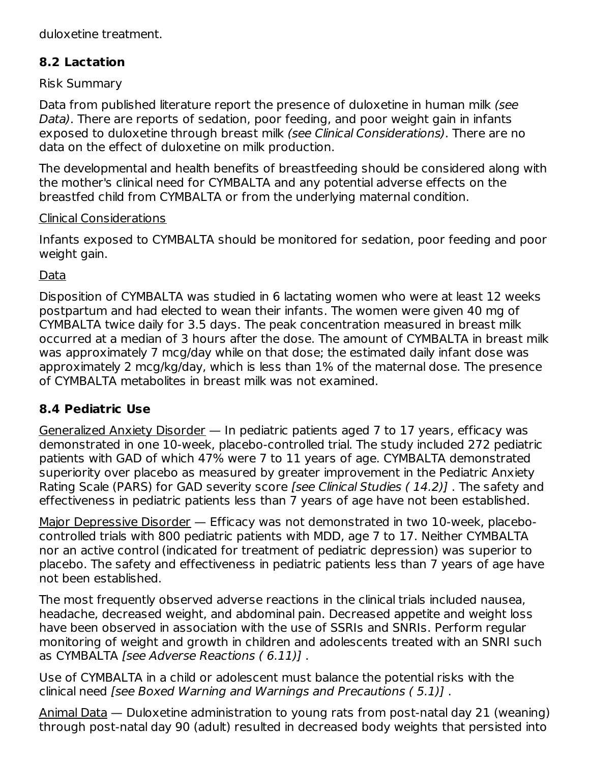duloxetine treatment.

### **8.2 Lactation**

#### Risk Summary

Data from published literature report the presence of duloxetine in human milk (see Data). There are reports of sedation, poor feeding, and poor weight gain in infants exposed to duloxetine through breast milk (see Clinical Considerations). There are no data on the effect of duloxetine on milk production.

The developmental and health benefits of breastfeeding should be considered along with the mother's clinical need for CYMBALTA and any potential adverse effects on the breastfed child from CYMBALTA or from the underlying maternal condition.

#### Clinical Considerations

Infants exposed to CYMBALTA should be monitored for sedation, poor feeding and poor weight gain.

### **Data**

Disposition of CYMBALTA was studied in 6 lactating women who were at least 12 weeks postpartum and had elected to wean their infants. The women were given 40 mg of CYMBALTA twice daily for 3.5 days. The peak concentration measured in breast milk occurred at a median of 3 hours after the dose. The amount of CYMBALTA in breast milk was approximately 7 mcg/day while on that dose; the estimated daily infant dose was approximately 2 mcg/kg/day, which is less than 1% of the maternal dose. The presence of CYMBALTA metabolites in breast milk was not examined.

### **8.4 Pediatric Use**

Generalized Anxiety Disorder — In pediatric patients aged 7 to 17 years, efficacy was demonstrated in one 10-week, placebo-controlled trial. The study included 272 pediatric patients with GAD of which 47% were 7 to 11 years of age. CYMBALTA demonstrated superiority over placebo as measured by greater improvement in the Pediatric Anxiety Rating Scale (PARS) for GAD severity score [see Clinical Studies (14.2)]. The safety and effectiveness in pediatric patients less than 7 years of age have not been established.

Major Depressive Disorder — Efficacy was not demonstrated in two 10-week, placebocontrolled trials with 800 pediatric patients with MDD, age 7 to 17. Neither CYMBALTA nor an active control (indicated for treatment of pediatric depression) was superior to placebo. The safety and effectiveness in pediatric patients less than 7 years of age have not been established.

The most frequently observed adverse reactions in the clinical trials included nausea, headache, decreased weight, and abdominal pain. Decreased appetite and weight loss have been observed in association with the use of SSRIs and SNRIs. Perform regular monitoring of weight and growth in children and adolescents treated with an SNRI such as CYMBALTA [see Adverse Reactions ( 6.11)] .

Use of CYMBALTA in a child or adolescent must balance the potential risks with the clinical need [see Boxed Warning and Warnings and Precautions ( 5.1)] .

Animal Data — Duloxetine administration to young rats from post-natal day 21 (weaning) through post-natal day 90 (adult) resulted in decreased body weights that persisted into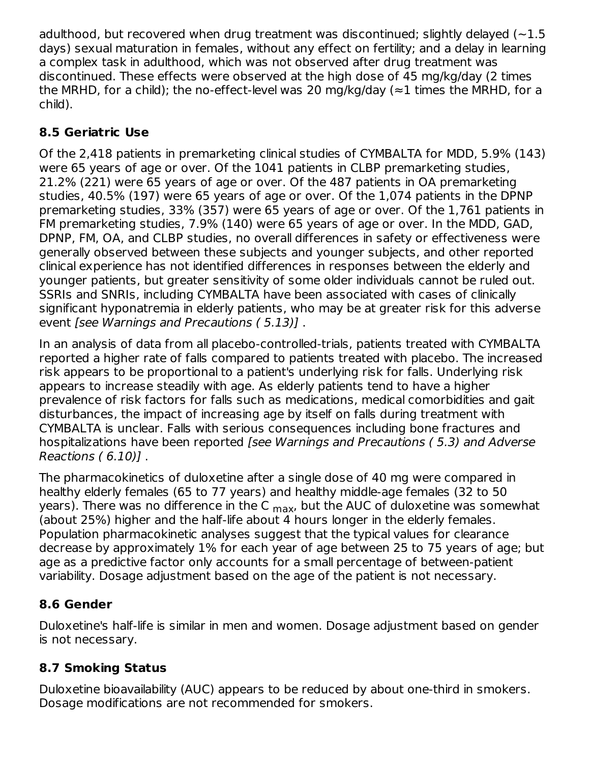adulthood, but recovered when drug treatment was discontinued; slightly delayed  $(-1.5)$ days) sexual maturation in females, without any effect on fertility; and a delay in learning a complex task in adulthood, which was not observed after drug treatment was discontinued. These effects were observed at the high dose of 45 mg/kg/day (2 times the MRHD, for a child); the no-effect-level was 20 mg/kg/day ( $\approx$ 1 times the MRHD, for a child).

# **8.5 Geriatric Use**

Of the 2,418 patients in premarketing clinical studies of CYMBALTA for MDD, 5.9% (143) were 65 years of age or over. Of the 1041 patients in CLBP premarketing studies, 21.2% (221) were 65 years of age or over. Of the 487 patients in OA premarketing studies, 40.5% (197) were 65 years of age or over. Of the 1,074 patients in the DPNP premarketing studies, 33% (357) were 65 years of age or over. Of the 1,761 patients in FM premarketing studies, 7.9% (140) were 65 years of age or over. In the MDD, GAD, DPNP, FM, OA, and CLBP studies, no overall differences in safety or effectiveness were generally observed between these subjects and younger subjects, and other reported clinical experience has not identified differences in responses between the elderly and younger patients, but greater sensitivity of some older individuals cannot be ruled out. SSRIs and SNRIs, including CYMBALTA have been associated with cases of clinically significant hyponatremia in elderly patients, who may be at greater risk for this adverse event [see Warnings and Precautions ( 5.13)] .

In an analysis of data from all placebo-controlled-trials, patients treated with CYMBALTA reported a higher rate of falls compared to patients treated with placebo. The increased risk appears to be proportional to a patient's underlying risk for falls. Underlying risk appears to increase steadily with age. As elderly patients tend to have a higher prevalence of risk factors for falls such as medications, medical comorbidities and gait disturbances, the impact of increasing age by itself on falls during treatment with CYMBALTA is unclear. Falls with serious consequences including bone fractures and hospitalizations have been reported [see Warnings and Precautions ( 5.3) and Adverse Reactions ( 6.10)] .

The pharmacokinetics of duloxetine after a single dose of 40 mg were compared in healthy elderly females (65 to 77 years) and healthy middle-age females (32 to 50 years). There was no difference in the C <sub>max</sub>, but the AUC of duloxetine was somewhat (about 25%) higher and the half-life about 4 hours longer in the elderly females. Population pharmacokinetic analyses suggest that the typical values for clearance decrease by approximately 1% for each year of age between 25 to 75 years of age; but age as a predictive factor only accounts for a small percentage of between-patient variability. Dosage adjustment based on the age of the patient is not necessary.

### **8.6 Gender**

Duloxetine's half-life is similar in men and women. Dosage adjustment based on gender is not necessary.

### **8.7 Smoking Status**

Duloxetine bioavailability (AUC) appears to be reduced by about one-third in smokers. Dosage modifications are not recommended for smokers.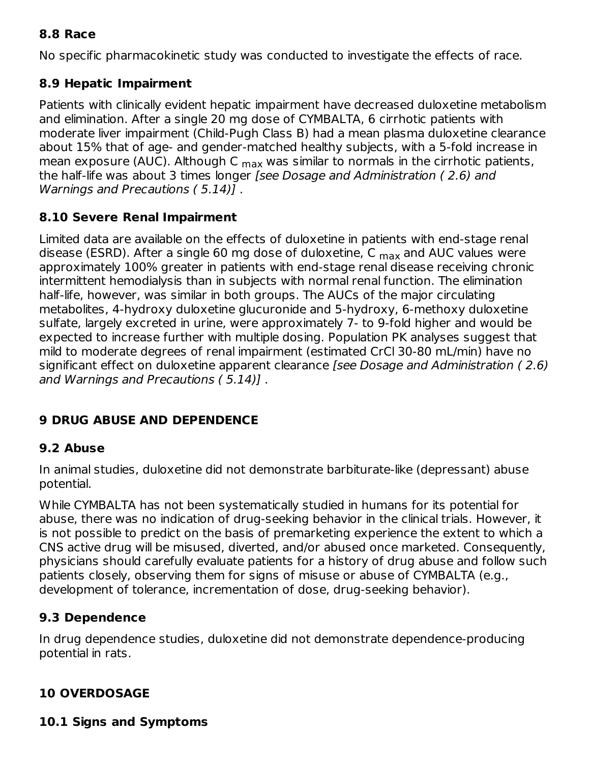#### **8.8 Race**

No specific pharmacokinetic study was conducted to investigate the effects of race.

#### **8.9 Hepatic Impairment**

Patients with clinically evident hepatic impairment have decreased duloxetine metabolism and elimination. After a single 20 mg dose of CYMBALTA, 6 cirrhotic patients with moderate liver impairment (Child-Pugh Class B) had a mean plasma duloxetine clearance about 15% that of age- and gender-matched healthy subjects, with a 5-fold increase in mean exposure (AUC). Although C <sub>max</sub> was similar to normals in the cirrhotic patients, the half-life was about 3 times longer [see Dosage and Administration ( 2.6) and Warnings and Precautions ( 5.14)] .

#### **8.10 Severe Renal Impairment**

Limited data are available on the effects of duloxetine in patients with end-stage renal disease (ESRD). After a single 60 mg dose of duloxetine, C <sub>max</sub> and AUC values were approximately 100% greater in patients with end-stage renal disease receiving chronic intermittent hemodialysis than in subjects with normal renal function. The elimination half-life, however, was similar in both groups. The AUCs of the major circulating metabolites, 4-hydroxy duloxetine glucuronide and 5-hydroxy, 6-methoxy duloxetine sulfate, largely excreted in urine, were approximately 7- to 9-fold higher and would be expected to increase further with multiple dosing. Population PK analyses suggest that mild to moderate degrees of renal impairment (estimated CrCl 30-80 mL/min) have no significant effect on duloxetine apparent clearance [see Dosage and Administration (2.6) and Warnings and Precautions ( 5.14)] .

### **9 DRUG ABUSE AND DEPENDENCE**

#### **9.2 Abuse**

In animal studies, duloxetine did not demonstrate barbiturate-like (depressant) abuse potential.

While CYMBALTA has not been systematically studied in humans for its potential for abuse, there was no indication of drug-seeking behavior in the clinical trials. However, it is not possible to predict on the basis of premarketing experience the extent to which a CNS active drug will be misused, diverted, and/or abused once marketed. Consequently, physicians should carefully evaluate patients for a history of drug abuse and follow such patients closely, observing them for signs of misuse or abuse of CYMBALTA (e.g., development of tolerance, incrementation of dose, drug-seeking behavior).

### **9.3 Dependence**

In drug dependence studies, duloxetine did not demonstrate dependence-producing potential in rats.

### **10 OVERDOSAGE**

#### **10.1 Signs and Symptoms**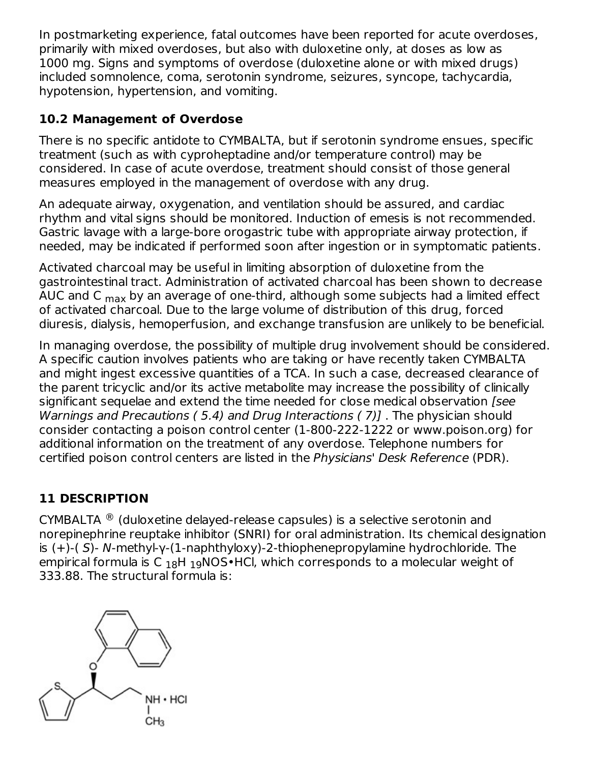In postmarketing experience, fatal outcomes have been reported for acute overdoses, primarily with mixed overdoses, but also with duloxetine only, at doses as low as 1000 mg. Signs and symptoms of overdose (duloxetine alone or with mixed drugs) included somnolence, coma, serotonin syndrome, seizures, syncope, tachycardia, hypotension, hypertension, and vomiting.

### **10.2 Management of Overdose**

There is no specific antidote to CYMBALTA, but if serotonin syndrome ensues, specific treatment (such as with cyproheptadine and/or temperature control) may be considered. In case of acute overdose, treatment should consist of those general measures employed in the management of overdose with any drug.

An adequate airway, oxygenation, and ventilation should be assured, and cardiac rhythm and vital signs should be monitored. Induction of emesis is not recommended. Gastric lavage with a large-bore orogastric tube with appropriate airway protection, if needed, may be indicated if performed soon after ingestion or in symptomatic patients.

Activated charcoal may be useful in limiting absorption of duloxetine from the gastrointestinal tract. Administration of activated charcoal has been shown to decrease AUC and C <sub>max</sub> by an average of one-third, although some subjects had a limited effect of activated charcoal. Due to the large volume of distribution of this drug, forced diuresis, dialysis, hemoperfusion, and exchange transfusion are unlikely to be beneficial.

In managing overdose, the possibility of multiple drug involvement should be considered. A specific caution involves patients who are taking or have recently taken CYMBALTA and might ingest excessive quantities of a TCA. In such a case, decreased clearance of the parent tricyclic and/or its active metabolite may increase the possibility of clinically significant sequelae and extend the time needed for close medical observation [see Warnings and Precautions (5.4) and Drug Interactions (7). The physician should consider contacting a poison control center (1-800-222-1222 or www.poison.org) for additional information on the treatment of any overdose. Telephone numbers for certified poison control centers are listed in the Physicians' Desk Reference (PDR).

# **11 DESCRIPTION**

CYMBALTA  $\mathcal{R}$  (duloxetine delayed-release capsules) is a selective serotonin and norepinephrine reuptake inhibitor (SNRI) for oral administration. Its chemical designation is (+)-( S)- N-methyl-γ-(1-naphthyloxy)-2-thiophenepropylamine hydrochloride. The empirical formula is C  $_{18}$ H  $_{19}$ NOS•HCl, which corresponds to a molecular weight of 333.88. The structural formula is:

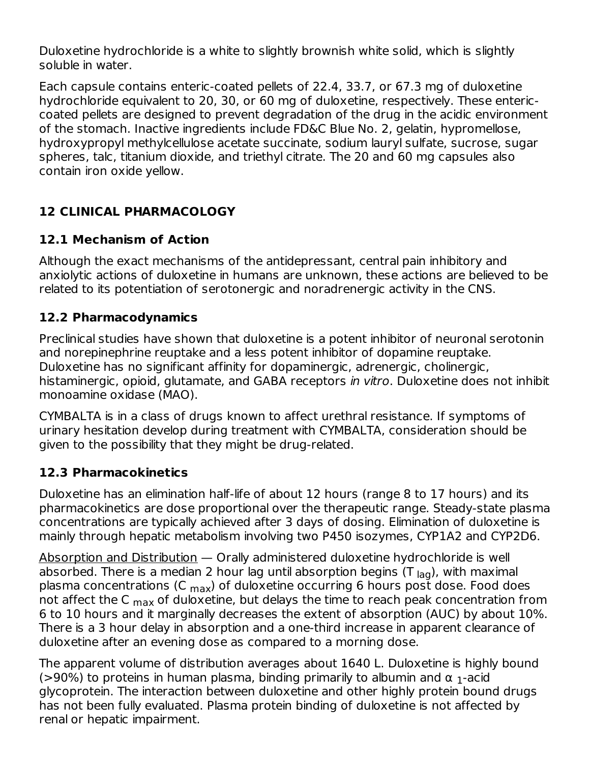Duloxetine hydrochloride is a white to slightly brownish white solid, which is slightly soluble in water.

Each capsule contains enteric-coated pellets of 22.4, 33.7, or 67.3 mg of duloxetine hydrochloride equivalent to 20, 30, or 60 mg of duloxetine, respectively. These entericcoated pellets are designed to prevent degradation of the drug in the acidic environment of the stomach. Inactive ingredients include FD&C Blue No. 2, gelatin, hypromellose, hydroxypropyl methylcellulose acetate succinate, sodium lauryl sulfate, sucrose, sugar spheres, talc, titanium dioxide, and triethyl citrate. The 20 and 60 mg capsules also contain iron oxide yellow.

# **12 CLINICAL PHARMACOLOGY**

### **12.1 Mechanism of Action**

Although the exact mechanisms of the antidepressant, central pain inhibitory and anxiolytic actions of duloxetine in humans are unknown, these actions are believed to be related to its potentiation of serotonergic and noradrenergic activity in the CNS.

### **12.2 Pharmacodynamics**

Preclinical studies have shown that duloxetine is a potent inhibitor of neuronal serotonin and norepinephrine reuptake and a less potent inhibitor of dopamine reuptake. Duloxetine has no significant affinity for dopaminergic, adrenergic, cholinergic, histaminergic, opioid, glutamate, and GABA receptors in vitro. Duloxetine does not inhibit monoamine oxidase (MAO).

CYMBALTA is in a class of drugs known to affect urethral resistance. If symptoms of urinary hesitation develop during treatment with CYMBALTA, consideration should be given to the possibility that they might be drug-related.

### **12.3 Pharmacokinetics**

Duloxetine has an elimination half-life of about 12 hours (range 8 to 17 hours) and its pharmacokinetics are dose proportional over the therapeutic range. Steady-state plasma concentrations are typically achieved after 3 days of dosing. Elimination of duloxetine is mainly through hepatic metabolism involving two P450 isozymes, CYP1A2 and CYP2D6.

Absorption and Distribution — Orally administered duloxetine hydrochloride is well absorbed. There is a median 2 hour lag until absorption begins (T <sub>lag</sub>), with maximal plasma concentrations (C <sub>max</sub>) of duloxetine occurring 6 hours post dose. Food does not affect the C <sub>max</sub> of duloxetine, but delays the time to reach peak concentration from 6 to 10 hours and it marginally decreases the extent of absorption (AUC) by about 10%. There is a 3 hour delay in absorption and a one-third increase in apparent clearance of duloxetine after an evening dose as compared to a morning dose.

The apparent volume of distribution averages about 1640 L. Duloxetine is highly bound (>90%) to proteins in human plasma, binding primarily to albumin and  $\alpha$  <sub>1</sub>-acid glycoprotein. The interaction between duloxetine and other highly protein bound drugs has not been fully evaluated. Plasma protein binding of duloxetine is not affected by renal or hepatic impairment.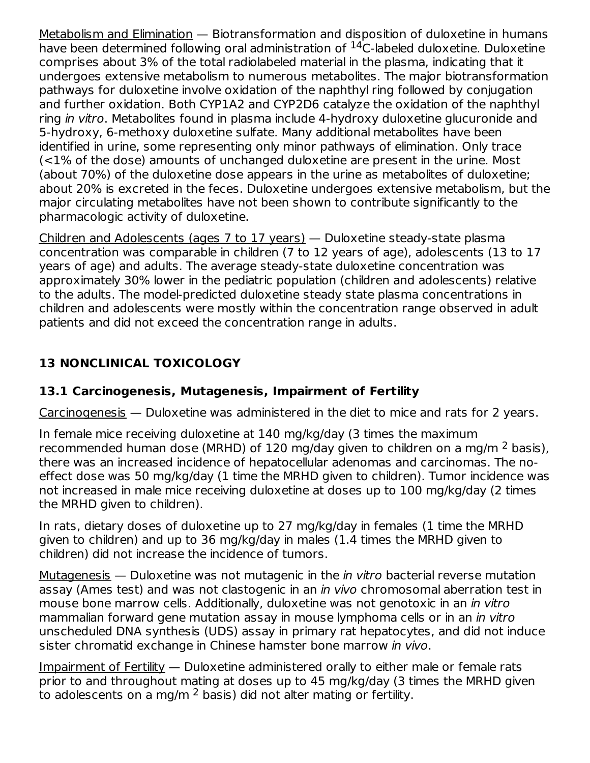Metabolism and Elimination — Biotransformation and disposition of duloxetine in humans have been determined following oral administration of  $^{14}$ C-labeled duloxetine. Duloxetine comprises about 3% of the total radiolabeled material in the plasma, indicating that it undergoes extensive metabolism to numerous metabolites. The major biotransformation pathways for duloxetine involve oxidation of the naphthyl ring followed by conjugation and further oxidation. Both CYP1A2 and CYP2D6 catalyze the oxidation of the naphthyl ring *in vitro*. Metabolites found in plasma include 4-hydroxy duloxetine glucuronide and 5-hydroxy, 6-methoxy duloxetine sulfate. Many additional metabolites have been identified in urine, some representing only minor pathways of elimination. Only trace (<1% of the dose) amounts of unchanged duloxetine are present in the urine. Most (about 70%) of the duloxetine dose appears in the urine as metabolites of duloxetine; about 20% is excreted in the feces. Duloxetine undergoes extensive metabolism, but the major circulating metabolites have not been shown to contribute significantly to the pharmacologic activity of duloxetine.

Children and Adolescents (ages 7 to 17 years) — Duloxetine steady-state plasma concentration was comparable in children (7 to 12 years of age), adolescents (13 to 17 years of age) and adults. The average steady-state duloxetine concentration was approximately 30% lower in the pediatric population (children and adolescents) relative to the adults. The model-predicted duloxetine steady state plasma concentrations in children and adolescents were mostly within the concentration range observed in adult patients and did not exceed the concentration range in adults.

# **13 NONCLINICAL TOXICOLOGY**

### **13.1 Carcinogenesis, Mutagenesis, Impairment of Fertility**

Carcinogenesis — Duloxetine was administered in the diet to mice and rats for 2 years.

In female mice receiving duloxetine at 140 mg/kg/day (3 times the maximum recommended human dose (MRHD) of 120 mg/day given to children on a mg/m  $^2$  basis), there was an increased incidence of hepatocellular adenomas and carcinomas. The noeffect dose was 50 mg/kg/day (1 time the MRHD given to children). Tumor incidence was not increased in male mice receiving duloxetine at doses up to 100 mg/kg/day (2 times the MRHD given to children).

In rats, dietary doses of duloxetine up to 27 mg/kg/day in females (1 time the MRHD given to children) and up to 36 mg/kg/day in males (1.4 times the MRHD given to children) did not increase the incidence of tumors.

Mutagenesis  $-$  Duloxetine was not mutagenic in the *in vitro* bacterial reverse mutation assay (Ames test) and was not clastogenic in an in vivo chromosomal aberration test in mouse bone marrow cells. Additionally, duloxetine was not genotoxic in an in vitro mammalian forward gene mutation assay in mouse lymphoma cells or in an in vitro unscheduled DNA synthesis (UDS) assay in primary rat hepatocytes, and did not induce sister chromatid exchange in Chinese hamster bone marrow in vivo.

Impairment of Fertility — Duloxetine administered orally to either male or female rats prior to and throughout mating at doses up to 45 mg/kg/day (3 times the MRHD given to adolescents on a mg/m  $^2$  basis) did not alter mating or fertility.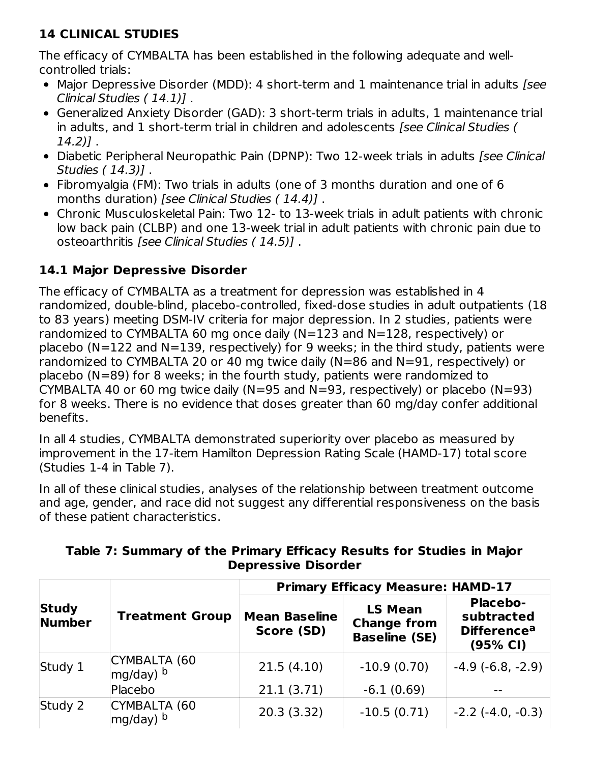# **14 CLINICAL STUDIES**

The efficacy of CYMBALTA has been established in the following adequate and wellcontrolled trials:

- Major Depressive Disorder (MDD): 4 short-term and 1 maintenance trial in adults [see Clinical Studies ( 14.1)] .
- Generalized Anxiety Disorder (GAD): 3 short-term trials in adults, 1 maintenance trial in adults, and 1 short-term trial in children and adolescents [see Clinical Studies ( 14.2)] .
- Diabetic Peripheral Neuropathic Pain (DPNP): Two 12-week trials in adults [see Clinical Studies ( 14.3)] .
- Fibromyalgia (FM): Two trials in adults (one of 3 months duration and one of 6 months duration) [see Clinical Studies (14.4)].
- Chronic Musculoskeletal Pain: Two 12- to 13-week trials in adult patients with chronic low back pain (CLBP) and one 13-week trial in adult patients with chronic pain due to osteoarthritis [see Clinical Studies ( 14.5)] .

# **14.1 Major Depressive Disorder**

The efficacy of CYMBALTA as a treatment for depression was established in 4 randomized, double-blind, placebo-controlled, fixed-dose studies in adult outpatients (18 to 83 years) meeting DSM-IV criteria for major depression. In 2 studies, patients were randomized to CYMBALTA 60 mg once daily (N=123 and N=128, respectively) or placebo ( $N=122$  and  $N=139$ , respectively) for 9 weeks; in the third study, patients were randomized to CYMBALTA 20 or 40 mg twice daily (N=86 and N=91, respectively) or placebo (N=89) for 8 weeks; in the fourth study, patients were randomized to CYMBALTA 40 or 60 mg twice daily ( $N=95$  and  $N=93$ , respectively) or placebo ( $N=93$ ) for 8 weeks. There is no evidence that doses greater than 60 mg/day confer additional benefits.

In all 4 studies, CYMBALTA demonstrated superiority over placebo as measured by improvement in the 17-item Hamilton Depression Rating Scale (HAMD-17) total score (Studies 1-4 in Table 7).

In all of these clinical studies, analyses of the relationship between treatment outcome and age, gender, and race did not suggest any differential responsiveness on the basis of these patient characteristics.

|                        |                           | <b>Primary Efficacy Measure: HAMD-17</b> |                                                              |                                                                            |  |
|------------------------|---------------------------|------------------------------------------|--------------------------------------------------------------|----------------------------------------------------------------------------|--|
| <b>Study</b><br>Number | <b>Treatment Group</b>    | <b>Mean Baseline</b><br>Score (SD)       | <b>LS Mean</b><br><b>Change from</b><br><b>Baseline (SE)</b> | <b>Placebo-</b><br>subtracted<br><b>Difference<sup>a</sup></b><br>(95% CI) |  |
| Study 1                | CYMBALTA (60<br>mg/day) b | 21.5(4.10)                               | $-10.9(0.70)$                                                | $-4.9$ ( $-6.8$ , $-2.9$ )                                                 |  |
|                        | Placebo                   | 21.1(3.71)                               | $-6.1(0.69)$                                                 |                                                                            |  |
| Study 2                | CYMBALTA (60<br>mg/day) b | 20.3(3.32)                               | $-10.5(0.71)$                                                | $-2.2$ ( $-4.0, -0.3$ )                                                    |  |

#### **Table 7: Summary of the Primary Efficacy Results for Studies in Major Depressive Disorder**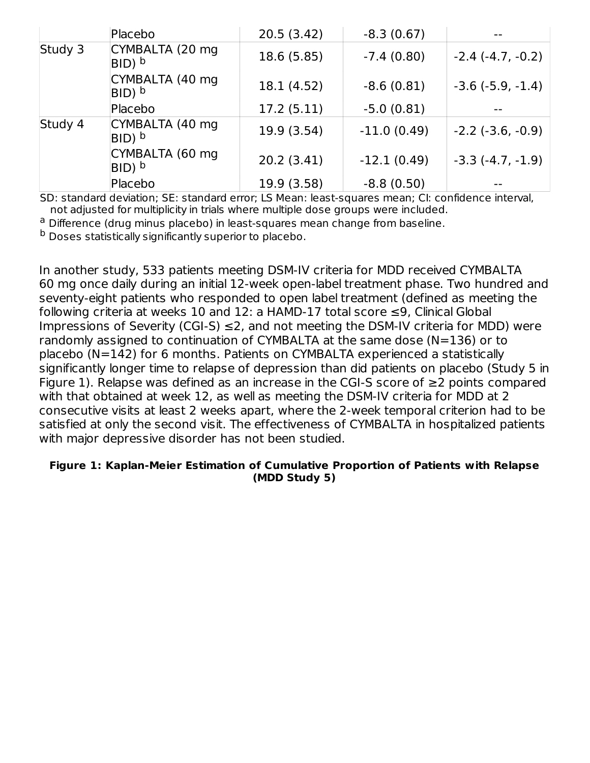|         | Placebo                                 | 20.5(3.42)  | $-8.3(0.67)$  | --                         |
|---------|-----------------------------------------|-------------|---------------|----------------------------|
| Study 3 | CYMBALTA (20 mg<br>BID) b               | 18.6 (5.85) | $-7.4(0.80)$  | $-2.4$ ( $-4.7, -0.2$ )    |
|         | CYMBALTA (40 mg<br>$BD)$ <sup>b</sup>   | 18.1 (4.52) | $-8.6(0.81)$  | $-3.6(-5.9, -1.4)$         |
|         | Placebo                                 | 17.2(5.11)  | $-5.0(0.81)$  |                            |
| Study 4 | CYMBALTA (40 mg<br>BID) b               | 19.9 (3.54) | $-11.0(0.49)$ | $-2.2$ ( $-3.6$ , $-0.9$ ) |
|         | CYMBALTA (60 mg<br>$ BID $ <sup>b</sup> | 20.2(3.41)  | $-12.1(0.49)$ | $-3.3$ $(-4.7, -1.9)$      |
|         | Placebo                                 | 19.9 (3.58) | $-8.8(0.50)$  |                            |

SD: standard deviation; SE: standard error; LS Mean: least-squares mean; CI: confidence interval, not adjusted for multiplicity in trials where multiple dose groups were included.

<sup>a</sup> Difference (drug minus placebo) in least-squares mean change from baseline.

<sup>b</sup> Doses statistically significantly superior to placebo.

In another study, 533 patients meeting DSM-IV criteria for MDD received CYMBALTA 60 mg once daily during an initial 12-week open-label treatment phase. Two hundred and seventy-eight patients who responded to open label treatment (defined as meeting the following criteria at weeks 10 and 12: a HAMD-17 total score ≤9, Clinical Global Impressions of Severity (CGI-S)  $\leq$ 2, and not meeting the DSM-IV criteria for MDD) were randomly assigned to continuation of CYMBALTA at the same dose (N=136) or to placebo (N=142) for 6 months. Patients on CYMBALTA experienced a statistically significantly longer time to relapse of depression than did patients on placebo (Study 5 in Figure 1). Relapse was defined as an increase in the CGI-S score of  $\geq$ 2 points compared with that obtained at week 12, as well as meeting the DSM-IV criteria for MDD at 2 consecutive visits at least 2 weeks apart, where the 2-week temporal criterion had to be satisfied at only the second visit. The effectiveness of CYMBALTA in hospitalized patients with major depressive disorder has not been studied.

#### **Figure 1: Kaplan-Meier Estimation of Cumulative Proportion of Patients with Relapse (MDD Study 5)**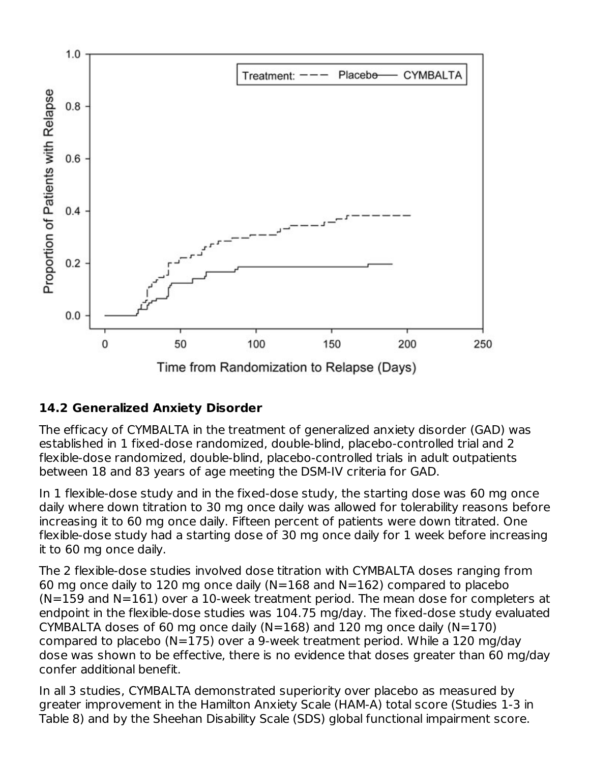

### **14.2 Generalized Anxiety Disorder**

The efficacy of CYMBALTA in the treatment of generalized anxiety disorder (GAD) was established in 1 fixed-dose randomized, double-blind, placebo-controlled trial and 2 flexible-dose randomized, double-blind, placebo-controlled trials in adult outpatients between 18 and 83 years of age meeting the DSM-IV criteria for GAD.

In 1 flexible-dose study and in the fixed-dose study, the starting dose was 60 mg once daily where down titration to 30 mg once daily was allowed for tolerability reasons before increasing it to 60 mg once daily. Fifteen percent of patients were down titrated. One flexible-dose study had a starting dose of 30 mg once daily for 1 week before increasing it to 60 mg once daily.

The 2 flexible-dose studies involved dose titration with CYMBALTA doses ranging from 60 mg once daily to 120 mg once daily (N=168 and N=162) compared to placebo  $(N=159$  and  $N=161$ ) over a 10-week treatment period. The mean dose for completers at endpoint in the flexible-dose studies was 104.75 mg/day. The fixed-dose study evaluated CYMBALTA doses of 60 mg once daily ( $N=168$ ) and 120 mg once daily ( $N=170$ ) compared to placebo (N=175) over a 9-week treatment period. While a 120 mg/day dose was shown to be effective, there is no evidence that doses greater than 60 mg/day confer additional benefit.

In all 3 studies, CYMBALTA demonstrated superiority over placebo as measured by greater improvement in the Hamilton Anxiety Scale (HAM-A) total score (Studies 1-3 in Table 8) and by the Sheehan Disability Scale (SDS) global functional impairment score.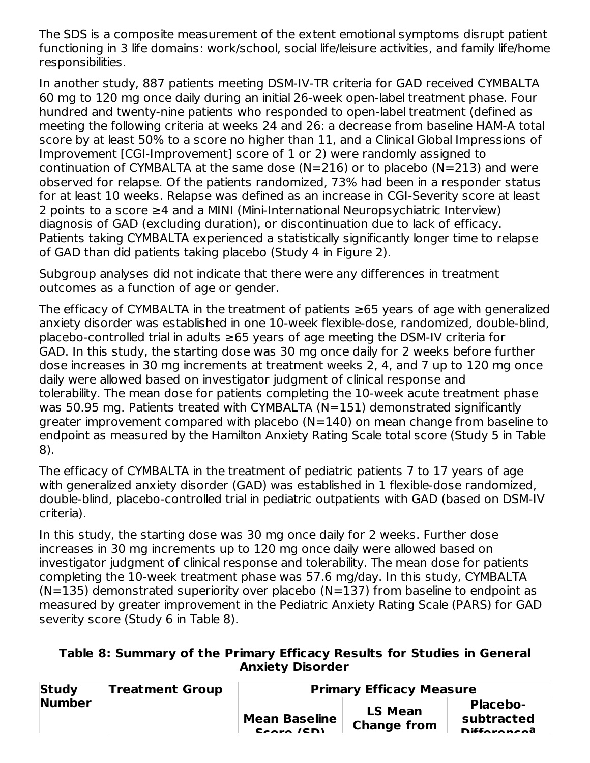The SDS is a composite measurement of the extent emotional symptoms disrupt patient functioning in 3 life domains: work/school, social life/leisure activities, and family life/home responsibilities.

In another study, 887 patients meeting DSM-IV-TR criteria for GAD received CYMBALTA 60 mg to 120 mg once daily during an initial 26-week open-label treatment phase. Four hundred and twenty-nine patients who responded to open-label treatment (defined as meeting the following criteria at weeks 24 and 26: a decrease from baseline HAM-A total score by at least 50% to a score no higher than 11, and a Clinical Global Impressions of Improvement [CGI-Improvement] score of 1 or 2) were randomly assigned to continuation of CYMBALTA at the same dose  $(N=216)$  or to placebo  $(N=213)$  and were observed for relapse. Of the patients randomized, 73% had been in a responder status for at least 10 weeks. Relapse was defined as an increase in CGI-Severity score at least 2 points to a score ≥4 and a MINI (Mini-International Neuropsychiatric Interview) diagnosis of GAD (excluding duration), or discontinuation due to lack of efficacy. Patients taking CYMBALTA experienced a statistically significantly longer time to relapse of GAD than did patients taking placebo (Study 4 in Figure 2).

Subgroup analyses did not indicate that there were any differences in treatment outcomes as a function of age or gender.

The efficacy of CYMBALTA in the treatment of patients ≥65 years of age with generalized anxiety disorder was established in one 10-week flexible-dose, randomized, double-blind, placebo-controlled trial in adults ≥65 years of age meeting the DSM-IV criteria for GAD. In this study, the starting dose was 30 mg once daily for 2 weeks before further dose increases in 30 mg increments at treatment weeks 2, 4, and 7 up to 120 mg once daily were allowed based on investigator judgment of clinical response and tolerability. The mean dose for patients completing the 10-week acute treatment phase was 50.95 mg. Patients treated with CYMBALTA (N=151) demonstrated significantly greater improvement compared with placebo (N=140) on mean change from baseline to endpoint as measured by the Hamilton Anxiety Rating Scale total score (Study 5 in Table 8).

The efficacy of CYMBALTA in the treatment of pediatric patients 7 to 17 years of age with generalized anxiety disorder (GAD) was established in 1 flexible-dose randomized, double-blind, placebo-controlled trial in pediatric outpatients with GAD (based on DSM-IV criteria).

In this study, the starting dose was 30 mg once daily for 2 weeks. Further dose increases in 30 mg increments up to 120 mg once daily were allowed based on investigator judgment of clinical response and tolerability. The mean dose for patients completing the 10-week treatment phase was 57.6 mg/day. In this study, CYMBALTA  $(N=135)$  demonstrated superiority over placebo  $(N=137)$  from baseline to endpoint as measured by greater improvement in the Pediatric Anxiety Rating Scale (PARS) for GAD severity score (Study 6 in Table 8).

| Table 8: Summary of the Primary Efficacy Results for Studies in General |
|-------------------------------------------------------------------------|
| <b>Anxiety Disorder</b>                                                 |

| <b>Study</b>  | <b>Treatment Group</b> | <b>Primary Efficacy Measure</b>        |                                      |                                                     |
|---------------|------------------------|----------------------------------------|--------------------------------------|-----------------------------------------------------|
| <b>Number</b> |                        | <b>Mean Baseline</b><br>C <sub>0</sub> | <b>LS Mean</b><br><b>Change from</b> | <b>Placebo-</b><br>subtracted<br><b>Difforonced</b> |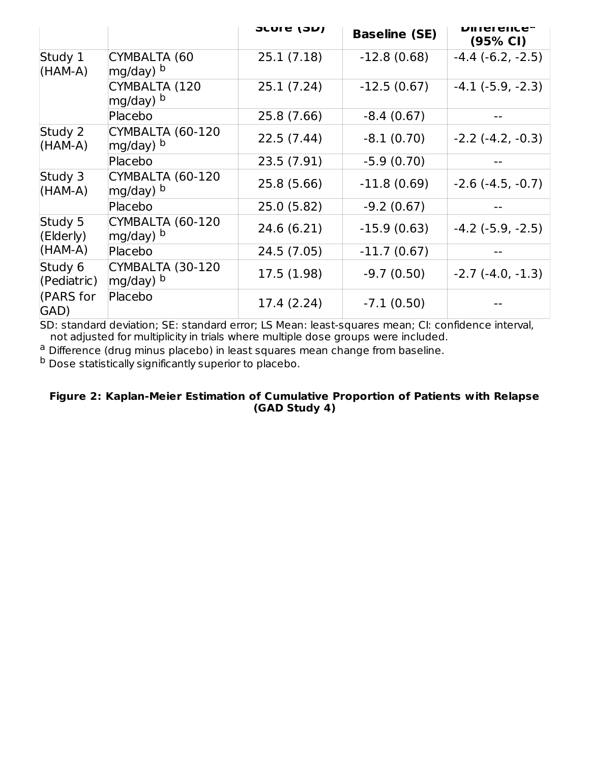|                        |                               | JUUE (JU)   | <b>Baseline (SE)</b> | Pillerence-<br>(95% CI)    |
|------------------------|-------------------------------|-------------|----------------------|----------------------------|
| Study 1<br>$(HAM-A)$   | CYMBALTA (60<br>mg/day) b     | 25.1 (7.18) | $-12.8(0.68)$        | $-4.4$ $(-6.2, -2.5)$      |
|                        | CYMBALTA (120<br>mg/day) b    | 25.1 (7.24) | $-12.5(0.67)$        | $-4.1$ $(-5.9, -2.3)$      |
|                        | Placebo                       | 25.8 (7.66) | $-8.4(0.67)$         |                            |
| Study 2<br>$ $ (HAM-A) | CYMBALTA (60-120<br>mg/day) b | 22.5 (7.44) | $-8.1(0.70)$         | $-2.2$ $(-4.2, -0.3)$      |
|                        | Placebo                       | 23.5 (7.91) | $-5.9(0.70)$         |                            |
| Study 3<br>$(HAM-A)$   | CYMBALTA (60-120<br>mg/day) b | 25.8 (5.66) | $-11.8(0.69)$        | $-2.6$ ( $-4.5$ , $-0.7$ ) |
|                        | Placebo                       | 25.0 (5.82) | $-9.2(0.67)$         |                            |
| Study 5<br>(Elderly)   | CYMBALTA (60-120<br>mg/day) b | 24.6 (6.21) | $-15.9(0.63)$        | $-4.2$ ( $-5.9$ , $-2.5$ ) |
| $(HAM-A)$              | Placebo                       | 24.5 (7.05) | $-11.7(0.67)$        |                            |
| Study 6<br>(Pediatric) | CYMBALTA (30-120<br>mg/day) b | 17.5 (1.98) | $-9.7(0.50)$         | $-2.7$ $(-4.0, -1.3)$      |
| (PARS for<br>GAD)      | Placebo                       | 17.4 (2.24) | $-7.1(0.50)$         |                            |

SD: standard deviation; SE: standard error; LS Mean: least-squares mean; CI: confidence interval, not adjusted for multiplicity in trials where multiple dose groups were included.

<sup>a</sup> Difference (drug minus placebo) in least squares mean change from baseline.

 $^{\rm b}$  Dose statistically significantly superior to placebo.

#### **Figure 2: Kaplan-Meier Estimation of Cumulative Proportion of Patients with Relapse (GAD Study 4)**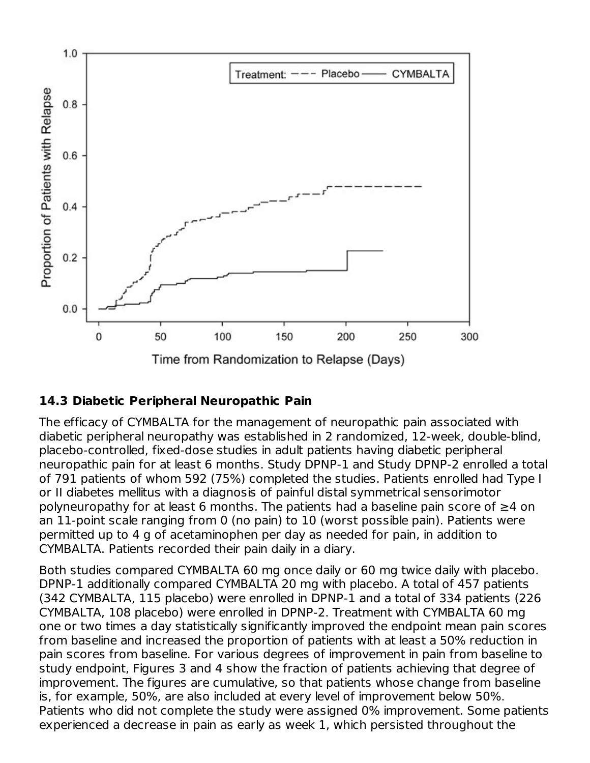

### **14.3 Diabetic Peripheral Neuropathic Pain**

The efficacy of CYMBALTA for the management of neuropathic pain associated with diabetic peripheral neuropathy was established in 2 randomized, 12-week, double-blind, placebo-controlled, fixed-dose studies in adult patients having diabetic peripheral neuropathic pain for at least 6 months. Study DPNP-1 and Study DPNP-2 enrolled a total of 791 patients of whom 592 (75%) completed the studies. Patients enrolled had Type I or II diabetes mellitus with a diagnosis of painful distal symmetrical sensorimotor polyneuropathy for at least 6 months. The patients had a baseline pain score of ≥4 on an 11-point scale ranging from 0 (no pain) to 10 (worst possible pain). Patients were permitted up to 4 g of acetaminophen per day as needed for pain, in addition to CYMBALTA. Patients recorded their pain daily in a diary.

Both studies compared CYMBALTA 60 mg once daily or 60 mg twice daily with placebo. DPNP-1 additionally compared CYMBALTA 20 mg with placebo. A total of 457 patients (342 CYMBALTA, 115 placebo) were enrolled in DPNP-1 and a total of 334 patients (226 CYMBALTA, 108 placebo) were enrolled in DPNP-2. Treatment with CYMBALTA 60 mg one or two times a day statistically significantly improved the endpoint mean pain scores from baseline and increased the proportion of patients with at least a 50% reduction in pain scores from baseline. For various degrees of improvement in pain from baseline to study endpoint, Figures 3 and 4 show the fraction of patients achieving that degree of improvement. The figures are cumulative, so that patients whose change from baseline is, for example, 50%, are also included at every level of improvement below 50%. Patients who did not complete the study were assigned 0% improvement. Some patients experienced a decrease in pain as early as week 1, which persisted throughout the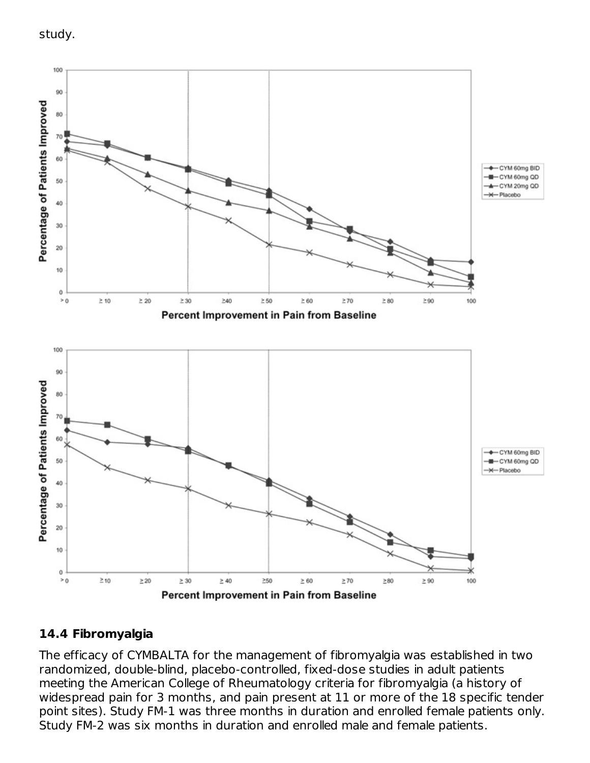

### **14.4 Fibromyalgia**

The efficacy of CYMBALTA for the management of fibromyalgia was established in two randomized, double-blind, placebo-controlled, fixed-dose studies in adult patients meeting the American College of Rheumatology criteria for fibromyalgia (a history of widespread pain for 3 months, and pain present at 11 or more of the 18 specific tender point sites). Study FM-1 was three months in duration and enrolled female patients only. Study FM-2 was six months in duration and enrolled male and female patients.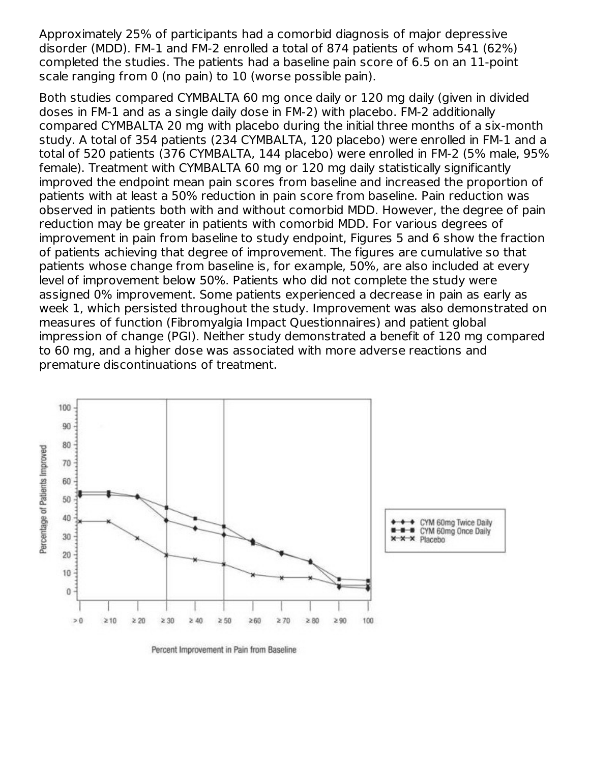Approximately 25% of participants had a comorbid diagnosis of major depressive disorder (MDD). FM-1 and FM-2 enrolled a total of 874 patients of whom 541 (62%) completed the studies. The patients had a baseline pain score of 6.5 on an 11-point scale ranging from 0 (no pain) to 10 (worse possible pain).

Both studies compared CYMBALTA 60 mg once daily or 120 mg daily (given in divided doses in FM-1 and as a single daily dose in FM-2) with placebo. FM-2 additionally compared CYMBALTA 20 mg with placebo during the initial three months of a six-month study. A total of 354 patients (234 CYMBALTA, 120 placebo) were enrolled in FM-1 and a total of 520 patients (376 CYMBALTA, 144 placebo) were enrolled in FM-2 (5% male, 95% female). Treatment with CYMBALTA 60 mg or 120 mg daily statistically significantly improved the endpoint mean pain scores from baseline and increased the proportion of patients with at least a 50% reduction in pain score from baseline. Pain reduction was observed in patients both with and without comorbid MDD. However, the degree of pain reduction may be greater in patients with comorbid MDD. For various degrees of improvement in pain from baseline to study endpoint, Figures 5 and 6 show the fraction of patients achieving that degree of improvement. The figures are cumulative so that patients whose change from baseline is, for example, 50%, are also included at every level of improvement below 50%. Patients who did not complete the study were assigned 0% improvement. Some patients experienced a decrease in pain as early as week 1, which persisted throughout the study. Improvement was also demonstrated on measures of function (Fibromyalgia Impact Questionnaires) and patient global impression of change (PGI). Neither study demonstrated a benefit of 120 mg compared to 60 mg, and a higher dose was associated with more adverse reactions and premature discontinuations of treatment.



Percent Improvement in Pain from Baseline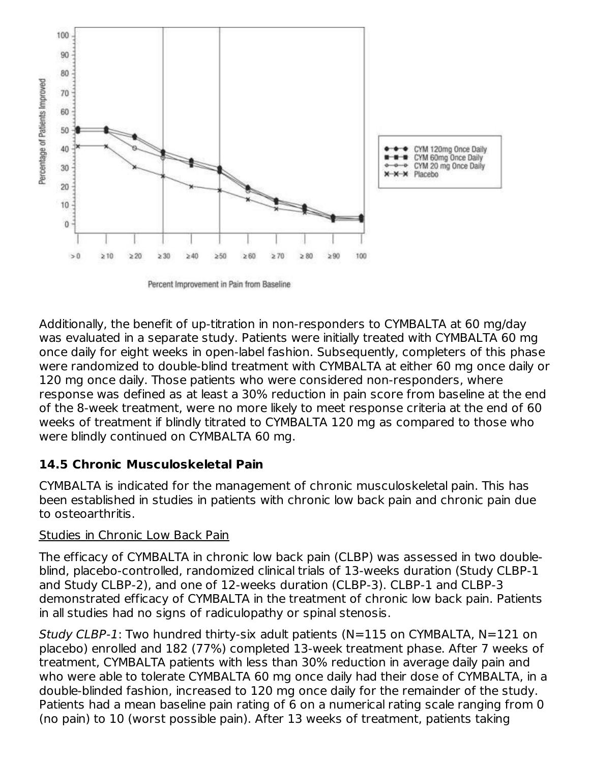

Additionally, the benefit of up-titration in non-responders to CYMBALTA at 60 mg/day was evaluated in a separate study. Patients were initially treated with CYMBALTA 60 mg once daily for eight weeks in open-label fashion. Subsequently, completers of this phase were randomized to double-blind treatment with CYMBALTA at either 60 mg once daily or 120 mg once daily. Those patients who were considered non-responders, where response was defined as at least a 30% reduction in pain score from baseline at the end of the 8-week treatment, were no more likely to meet response criteria at the end of 60 weeks of treatment if blindly titrated to CYMBALTA 120 mg as compared to those who were blindly continued on CYMBALTA 60 mg.

### **14.5 Chronic Musculoskeletal Pain**

CYMBALTA is indicated for the management of chronic musculoskeletal pain. This has been established in studies in patients with chronic low back pain and chronic pain due to osteoarthritis.

#### Studies in Chronic Low Back Pain

The efficacy of CYMBALTA in chronic low back pain (CLBP) was assessed in two doubleblind, placebo-controlled, randomized clinical trials of 13-weeks duration (Study CLBP-1 and Study CLBP-2), and one of 12-weeks duration (CLBP-3). CLBP-1 and CLBP-3 demonstrated efficacy of CYMBALTA in the treatment of chronic low back pain. Patients in all studies had no signs of radiculopathy or spinal stenosis.

Study CLBP-1: Two hundred thirty-six adult patients (N=115 on CYMBALTA, N=121 on placebo) enrolled and 182 (77%) completed 13-week treatment phase. After 7 weeks of treatment, CYMBALTA patients with less than 30% reduction in average daily pain and who were able to tolerate CYMBALTA 60 mg once daily had their dose of CYMBALTA, in a double-blinded fashion, increased to 120 mg once daily for the remainder of the study. Patients had a mean baseline pain rating of 6 on a numerical rating scale ranging from 0 (no pain) to 10 (worst possible pain). After 13 weeks of treatment, patients taking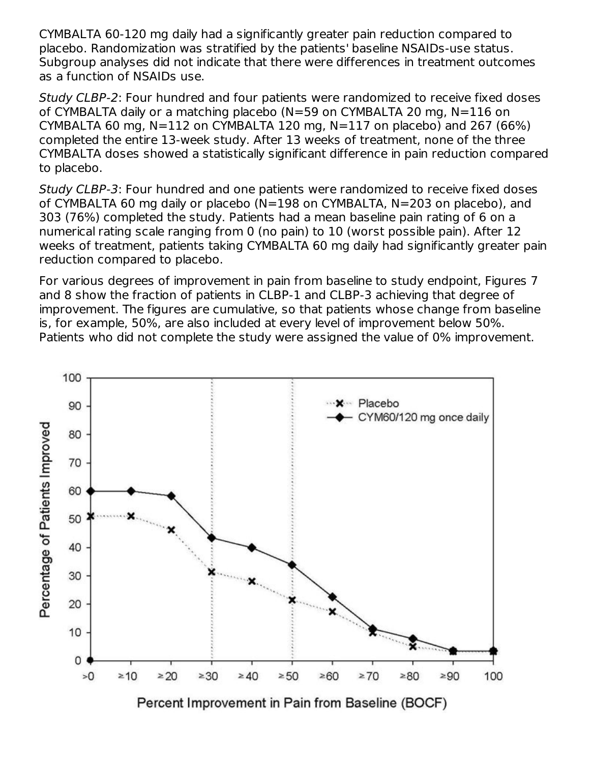CYMBALTA 60-120 mg daily had a significantly greater pain reduction compared to placebo. Randomization was stratified by the patients' baseline NSAIDs-use status. Subgroup analyses did not indicate that there were differences in treatment outcomes as a function of NSAIDs use.

Study CLBP-2: Four hundred and four patients were randomized to receive fixed doses of CYMBALTA daily or a matching placebo (N=59 on CYMBALTA 20 mg, N=116 on CYMBALTA 60 mg,  $N=112$  on CYMBALTA 120 mg,  $N=117$  on placebo) and 267 (66%) completed the entire 13-week study. After 13 weeks of treatment, none of the three CYMBALTA doses showed a statistically significant difference in pain reduction compared to placebo.

Study CLBP-3: Four hundred and one patients were randomized to receive fixed doses of CYMBALTA 60 mg daily or placebo (N=198 on CYMBALTA, N=203 on placebo), and 303 (76%) completed the study. Patients had a mean baseline pain rating of 6 on a numerical rating scale ranging from 0 (no pain) to 10 (worst possible pain). After 12 weeks of treatment, patients taking CYMBALTA 60 mg daily had significantly greater pain reduction compared to placebo.

For various degrees of improvement in pain from baseline to study endpoint, Figures 7 and 8 show the fraction of patients in CLBP-1 and CLBP-3 achieving that degree of improvement. The figures are cumulative, so that patients whose change from baseline is, for example, 50%, are also included at every level of improvement below 50%. Patients who did not complete the study were assigned the value of 0% improvement.

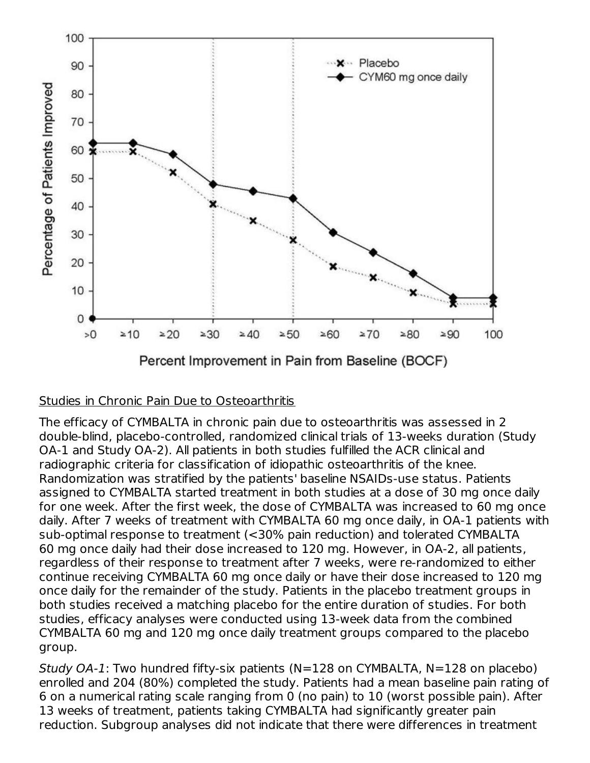

#### Studies in Chronic Pain Due to Osteoarthritis

The efficacy of CYMBALTA in chronic pain due to osteoarthritis was assessed in 2 double-blind, placebo-controlled, randomized clinical trials of 13-weeks duration (Study OA-1 and Study OA-2). All patients in both studies fulfilled the ACR clinical and radiographic criteria for classification of idiopathic osteoarthritis of the knee. Randomization was stratified by the patients' baseline NSAIDs-use status. Patients assigned to CYMBALTA started treatment in both studies at a dose of 30 mg once daily for one week. After the first week, the dose of CYMBALTA was increased to 60 mg once daily. After 7 weeks of treatment with CYMBALTA 60 mg once daily, in OA-1 patients with sub-optimal response to treatment (<30% pain reduction) and tolerated CYMBALTA 60 mg once daily had their dose increased to 120 mg. However, in OA-2, all patients, regardless of their response to treatment after 7 weeks, were re-randomized to either continue receiving CYMBALTA 60 mg once daily or have their dose increased to 120 mg once daily for the remainder of the study. Patients in the placebo treatment groups in both studies received a matching placebo for the entire duration of studies. For both studies, efficacy analyses were conducted using 13-week data from the combined CYMBALTA 60 mg and 120 mg once daily treatment groups compared to the placebo group.

Study OA-1: Two hundred fifty-six patients (N=128 on CYMBALTA, N=128 on placebo) enrolled and 204 (80%) completed the study. Patients had a mean baseline pain rating of 6 on a numerical rating scale ranging from 0 (no pain) to 10 (worst possible pain). After 13 weeks of treatment, patients taking CYMBALTA had significantly greater pain reduction. Subgroup analyses did not indicate that there were differences in treatment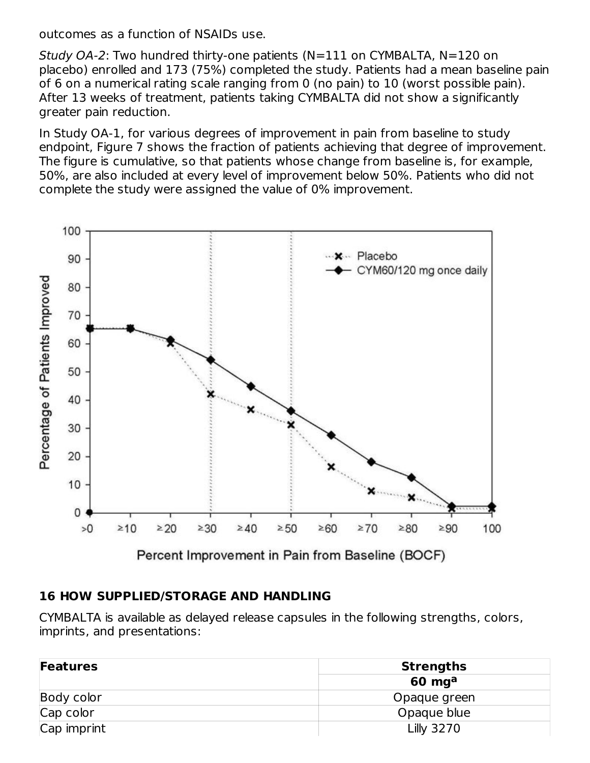outcomes as a function of NSAIDs use.

Study OA-2: Two hundred thirty-one patients (N=111 on CYMBALTA, N=120 on placebo) enrolled and 173 (75%) completed the study. Patients had a mean baseline pain of 6 on a numerical rating scale ranging from 0 (no pain) to 10 (worst possible pain). After 13 weeks of treatment, patients taking CYMBALTA did not show a significantly greater pain reduction.

In Study OA-1, for various degrees of improvement in pain from baseline to study endpoint, Figure 7 shows the fraction of patients achieving that degree of improvement. The figure is cumulative, so that patients whose change from baseline is, for example, 50%, are also included at every level of improvement below 50%. Patients who did not complete the study were assigned the value of 0% improvement.



### **16 HOW SUPPLIED/STORAGE AND HANDLING**

CYMBALTA is available as delayed release capsules in the following strengths, colors, imprints, and presentations:

| <b>Features</b> | <b>Strengths</b>           |  |  |
|-----------------|----------------------------|--|--|
|                 | $60 \text{ mg}^{\text{a}}$ |  |  |
| Body color      | Opaque green               |  |  |
| Cap color       | Opaque blue                |  |  |
| Cap imprint     | <b>Lilly 3270</b>          |  |  |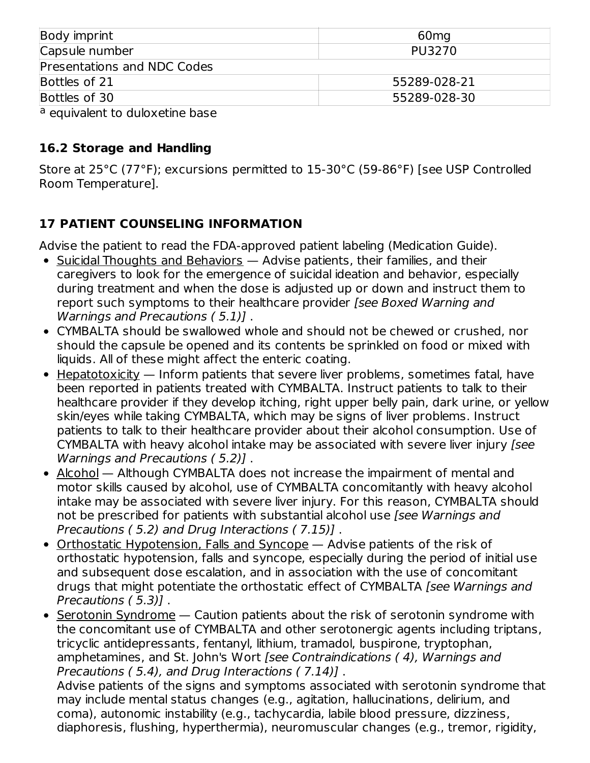| Body imprint                | 60 <sub>mg</sub> |  |  |
|-----------------------------|------------------|--|--|
| Capsule number              | PU3270           |  |  |
| Presentations and NDC Codes |                  |  |  |
| Bottles of 21               | 55289-028-21     |  |  |
| Bottles of 30               | 55289-028-30     |  |  |

<sup>a</sup> equivalent to duloxetine base

#### **16.2 Storage and Handling**

Store at 25°C (77°F); excursions permitted to 15-30°C (59-86°F) [see USP Controlled Room Temperature].

### **17 PATIENT COUNSELING INFORMATION**

Advise the patient to read the FDA-approved patient labeling (Medication Guide).

- Suicidal Thoughts and Behaviors Advise patients, their families, and their caregivers to look for the emergence of suicidal ideation and behavior, especially during treatment and when the dose is adjusted up or down and instruct them to report such symptoms to their healthcare provider [see Boxed Warning and Warnings and Precautions ( 5.1)] .
- CYMBALTA should be swallowed whole and should not be chewed or crushed, nor should the capsule be opened and its contents be sprinkled on food or mixed with liquids. All of these might affect the enteric coating.
- $\bullet$  Hepatotoxicity Inform patients that severe liver problems, sometimes fatal, have been reported in patients treated with CYMBALTA. Instruct patients to talk to their healthcare provider if they develop itching, right upper belly pain, dark urine, or yellow skin/eyes while taking CYMBALTA, which may be signs of liver problems. Instruct patients to talk to their healthcare provider about their alcohol consumption. Use of CYMBALTA with heavy alcohol intake may be associated with severe liver injury [see Warnings and Precautions ( 5.2)] .
- Alcohol Although CYMBALTA does not increase the impairment of mental and motor skills caused by alcohol, use of CYMBALTA concomitantly with heavy alcohol intake may be associated with severe liver injury. For this reason, CYMBALTA should not be prescribed for patients with substantial alcohol use *[see Warnings and* Precautions ( 5.2) and Drug Interactions ( 7.15)] .
- Orthostatic Hypotension, Falls and Syncope Advise patients of the risk of orthostatic hypotension, falls and syncope, especially during the period of initial use and subsequent dose escalation, and in association with the use of concomitant drugs that might potentiate the orthostatic effect of CYMBALTA [see Warnings and Precautions ( 5.3)] .
- Serotonin Syndrome Caution patients about the risk of serotonin syndrome with the concomitant use of CYMBALTA and other serotonergic agents including triptans, tricyclic antidepressants, fentanyl, lithium, tramadol, buspirone, tryptophan, amphetamines, and St. John's Wort [see Contraindications ( 4), Warnings and Precautions ( 5.4), and Drug Interactions ( 7.14)] .

Advise patients of the signs and symptoms associated with serotonin syndrome that may include mental status changes (e.g., agitation, hallucinations, delirium, and coma), autonomic instability (e.g., tachycardia, labile blood pressure, dizziness, diaphoresis, flushing, hyperthermia), neuromuscular changes (e.g., tremor, rigidity,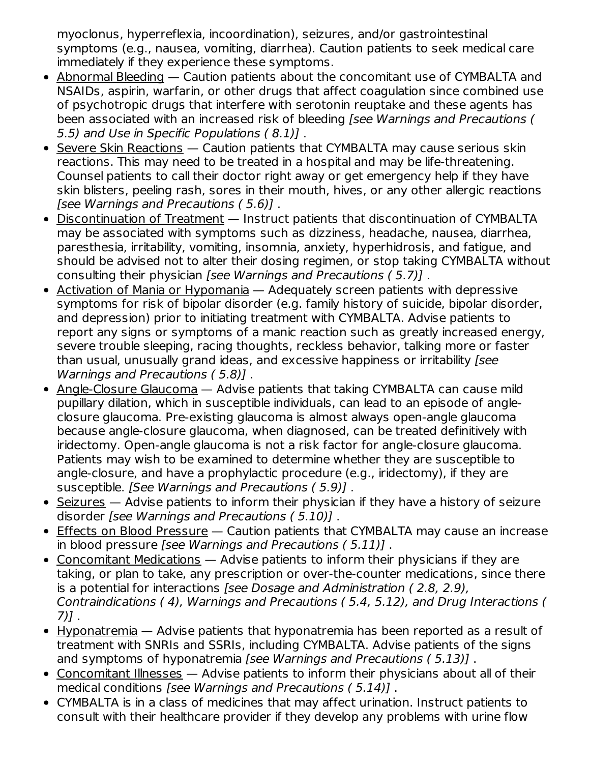myoclonus, hyperreflexia, incoordination), seizures, and/or gastrointestinal symptoms (e.g., nausea, vomiting, diarrhea). Caution patients to seek medical care immediately if they experience these symptoms.

- Abnormal Bleeding Caution patients about the concomitant use of CYMBALTA and NSAIDs, aspirin, warfarin, or other drugs that affect coagulation since combined use of psychotropic drugs that interfere with serotonin reuptake and these agents has been associated with an increased risk of bleeding [see Warnings and Precautions ( 5.5) and Use in Specific Populations ( 8.1)] .
- Severe Skin Reactions Caution patients that CYMBALTA may cause serious skin reactions. This may need to be treated in a hospital and may be life-threatening. Counsel patients to call their doctor right away or get emergency help if they have skin blisters, peeling rash, sores in their mouth, hives, or any other allergic reactions [see Warnings and Precautions ( 5.6)] .
- Discontinuation of Treatment Instruct patients that discontinuation of CYMBALTA may be associated with symptoms such as dizziness, headache, nausea, diarrhea, paresthesia, irritability, vomiting, insomnia, anxiety, hyperhidrosis, and fatigue, and should be advised not to alter their dosing regimen, or stop taking CYMBALTA without consulting their physician [see Warnings and Precautions ( 5.7)] .
- Activation of Mania or Hypomania Adequately screen patients with depressive symptoms for risk of bipolar disorder (e.g. family history of suicide, bipolar disorder, and depression) prior to initiating treatment with CYMBALTA. Advise patients to report any signs or symptoms of a manic reaction such as greatly increased energy, severe trouble sleeping, racing thoughts, reckless behavior, talking more or faster than usual, unusually grand ideas, and excessive happiness or irritability [see Warnings and Precautions ( 5.8)] .
- Angle-Closure Glaucoma Advise patients that taking CYMBALTA can cause mild pupillary dilation, which in susceptible individuals, can lead to an episode of angleclosure glaucoma. Pre-existing glaucoma is almost always open-angle glaucoma because angle-closure glaucoma, when diagnosed, can be treated definitively with iridectomy. Open-angle glaucoma is not a risk factor for angle-closure glaucoma. Patients may wish to be examined to determine whether they are susceptible to angle-closure, and have a prophylactic procedure (e.g., iridectomy), if they are susceptible. [See Warnings and Precautions ( 5.9)] .
- Seizures Advise patients to inform their physician if they have a history of seizure disorder [see Warnings and Precautions ( 5.10)] .
- Effects on Blood Pressure Caution patients that CYMBALTA may cause an increase in blood pressure [see Warnings and Precautions ( 5.11)] .
- Concomitant Medications Advise patients to inform their physicians if they are taking, or plan to take, any prescription or over-the-counter medications, since there is a potential for interactions [see Dosage and Administration ( 2.8, 2.9), Contraindications ( 4), Warnings and Precautions ( 5.4, 5.12), and Drug Interactions (  $7)1$ .
- Hyponatremia Advise patients that hyponatremia has been reported as a result of treatment with SNRIs and SSRIs, including CYMBALTA. Advise patients of the signs and symptoms of hyponatremia [see Warnings and Precautions (5.13)].
- Concomitant Illnesses Advise patients to inform their physicians about all of their medical conditions [see Warnings and Precautions ( 5.14)] .
- CYMBALTA is in a class of medicines that may affect urination. Instruct patients to consult with their healthcare provider if they develop any problems with urine flow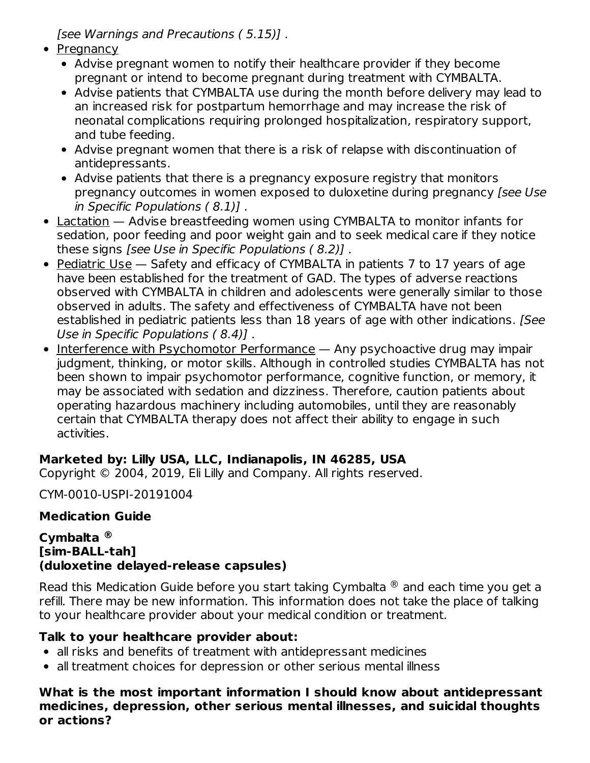[see Warnings and Precautions ( 5.15)] .

- Pregnancy
	- Advise pregnant women to notify their healthcare provider if they become pregnant or intend to become pregnant during treatment with CYMBALTA.
	- Advise patients that CYMBALTA use during the month before delivery may lead to an increased risk for postpartum hemorrhage and may increase the risk of neonatal complications requiring prolonged hospitalization, respiratory support, and tube feeding.
	- Advise pregnant women that there is a risk of relapse with discontinuation of antidepressants.
	- Advise patients that there is a pregnancy exposure registry that monitors pregnancy outcomes in women exposed to duloxetine during pregnancy [see Use in Specific Populations ( 8.1)] .
- Lactation Advise breastfeeding women using CYMBALTA to monitor infants for sedation, poor feeding and poor weight gain and to seek medical care if they notice these signs [see Use in Specific Populations ( 8.2)] .
- Pediatric Use Safety and efficacy of CYMBALTA in patients 7 to 17 years of age have been established for the treatment of GAD. The types of adverse reactions observed with CYMBALTA in children and adolescents were generally similar to those observed in adults. The safety and effectiveness of CYMBALTA have not been established in pediatric patients less than 18 years of age with other indications. [See Use in Specific Populations ( 8.4)] .
- Interference with Psychomotor Performance Any psychoactive drug may impair judgment, thinking, or motor skills. Although in controlled studies CYMBALTA has not been shown to impair psychomotor performance, cognitive function, or memory, it may be associated with sedation and dizziness. Therefore, caution patients about operating hazardous machinery including automobiles, until they are reasonably certain that CYMBALTA therapy does not affect their ability to engage in such activities.

### **Marketed by: Lilly USA, LLC, Indianapolis, IN 46285, USA**

Copyright © 2004, 2019, Eli Lilly and Company. All rights reserved.

CYM-0010-USPI-20191004

### **Medication Guide**

#### **Cymbalta ® [sim-BALL-tah] (duloxetine delayed-release capsules)**

Read this Medication Guide before you start taking Cymbalta  $^{\circledR}$  and each time you get a refill. There may be new information. This information does not take the place of talking to your healthcare provider about your medical condition or treatment.

### **Talk to your healthcare provider about:**

- all risks and benefits of treatment with antidepressant medicines
- all treatment choices for depression or other serious mental illness

**What is the most important information I should know about antidepressant medicines, depression, other serious mental illnesses, and suicidal thoughts or actions?**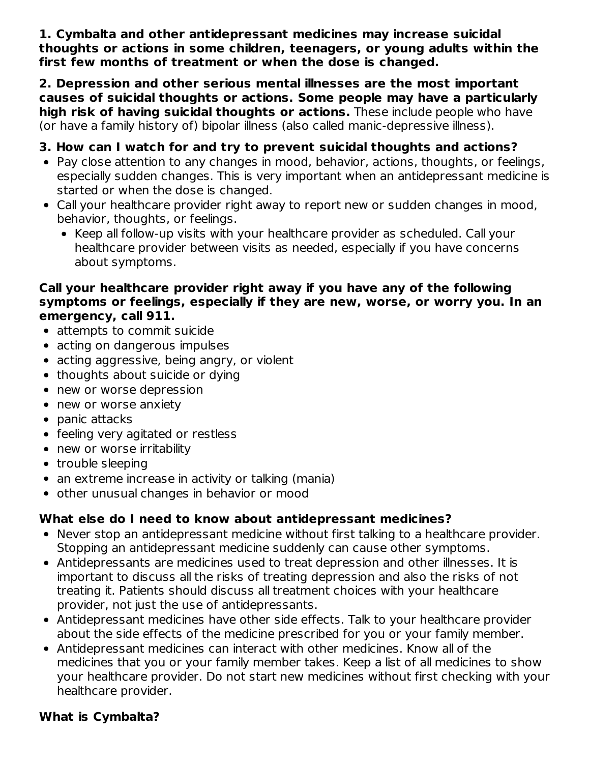**1. Cymbalta and other antidepressant medicines may increase suicidal thoughts or actions in some children, teenagers, or young adults within the first few months of treatment or when the dose is changed.**

**2. Depression and other serious mental illnesses are the most important causes of suicidal thoughts or actions. Some people may have a particularly high risk of having suicidal thoughts or actions.** These include people who have (or have a family history of) bipolar illness (also called manic-depressive illness).

#### **3. How can I watch for and try to prevent suicidal thoughts and actions?**

- Pay close attention to any changes in mood, behavior, actions, thoughts, or feelings, especially sudden changes. This is very important when an antidepressant medicine is started or when the dose is changed.
- Call your healthcare provider right away to report new or sudden changes in mood, behavior, thoughts, or feelings.
	- Keep all follow-up visits with your healthcare provider as scheduled. Call your healthcare provider between visits as needed, especially if you have concerns about symptoms.

#### **Call your healthcare provider right away if you have any of the following symptoms or feelings, especially if they are new, worse, or worry you. In an emergency, call 911.**

- attempts to commit suicide
- acting on dangerous impulses
- acting aggressive, being angry, or violent
- thoughts about suicide or dying
- new or worse depression
- new or worse anxiety
- panic attacks
- feeling very agitated or restless
- new or worse irritability
- trouble sleeping
- an extreme increase in activity or talking (mania)
- other unusual changes in behavior or mood

### **What else do I need to know about antidepressant medicines?**

- Never stop an antidepressant medicine without first talking to a healthcare provider. Stopping an antidepressant medicine suddenly can cause other symptoms.
- Antidepressants are medicines used to treat depression and other illnesses. It is important to discuss all the risks of treating depression and also the risks of not treating it. Patients should discuss all treatment choices with your healthcare provider, not just the use of antidepressants.
- Antidepressant medicines have other side effects. Talk to your healthcare provider about the side effects of the medicine prescribed for you or your family member.
- Antidepressant medicines can interact with other medicines. Know all of the medicines that you or your family member takes. Keep a list of all medicines to show your healthcare provider. Do not start new medicines without first checking with your healthcare provider.

### **What is Cymbalta?**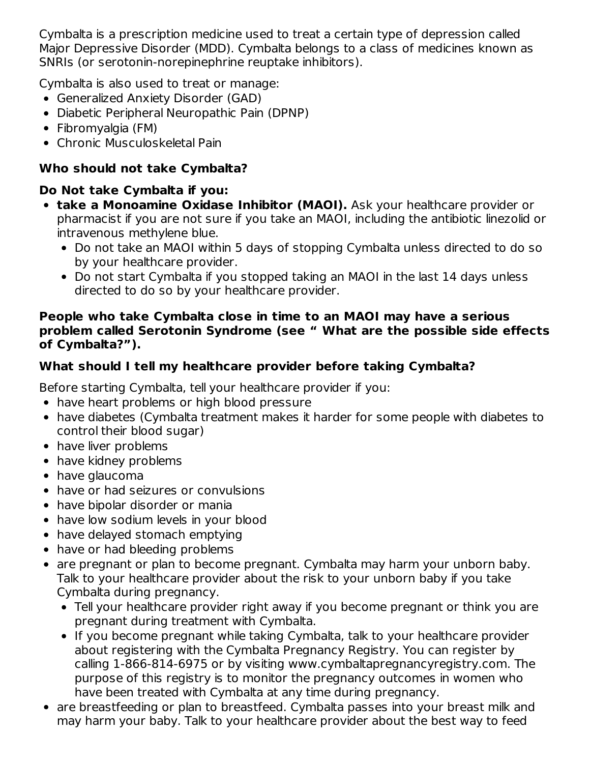Cymbalta is a prescription medicine used to treat a certain type of depression called Major Depressive Disorder (MDD). Cymbalta belongs to a class of medicines known as SNRIs (or serotonin-norepinephrine reuptake inhibitors).

Cymbalta is also used to treat or manage:

- Generalized Anxiety Disorder (GAD)
- Diabetic Peripheral Neuropathic Pain (DPNP)
- Fibromyalgia (FM)
- Chronic Musculoskeletal Pain

### **Who should not take Cymbalta?**

### **Do Not take Cymbalta if you:**

- **take a Monoamine Oxidase Inhibitor (MAOI).** Ask your healthcare provider or pharmacist if you are not sure if you take an MAOI, including the antibiotic linezolid or intravenous methylene blue.
	- Do not take an MAOI within 5 days of stopping Cymbalta unless directed to do so by your healthcare provider.
	- Do not start Cymbalta if you stopped taking an MAOI in the last 14 days unless directed to do so by your healthcare provider.

#### **People who take Cymbalta close in time to an MAOI may have a serious problem called Serotonin Syndrome (see " What are the possible side effects of Cymbalta?").**

### **What should I tell my healthcare provider before taking Cymbalta?**

Before starting Cymbalta, tell your healthcare provider if you:

- have heart problems or high blood pressure
- have diabetes (Cymbalta treatment makes it harder for some people with diabetes to control their blood sugar)
- have liver problems
- have kidney problems
- have glaucoma
- have or had seizures or convulsions
- have bipolar disorder or mania
- have low sodium levels in your blood
- have delayed stomach emptying
- have or had bleeding problems
- are pregnant or plan to become pregnant. Cymbalta may harm your unborn baby. Talk to your healthcare provider about the risk to your unborn baby if you take Cymbalta during pregnancy.
	- Tell your healthcare provider right away if you become pregnant or think you are pregnant during treatment with Cymbalta.
	- If you become pregnant while taking Cymbalta, talk to your healthcare provider about registering with the Cymbalta Pregnancy Registry. You can register by calling 1-866-814-6975 or by visiting www.cymbaltapregnancyregistry.com. The purpose of this registry is to monitor the pregnancy outcomes in women who have been treated with Cymbalta at any time during pregnancy.
- are breastfeeding or plan to breastfeed. Cymbalta passes into your breast milk and may harm your baby. Talk to your healthcare provider about the best way to feed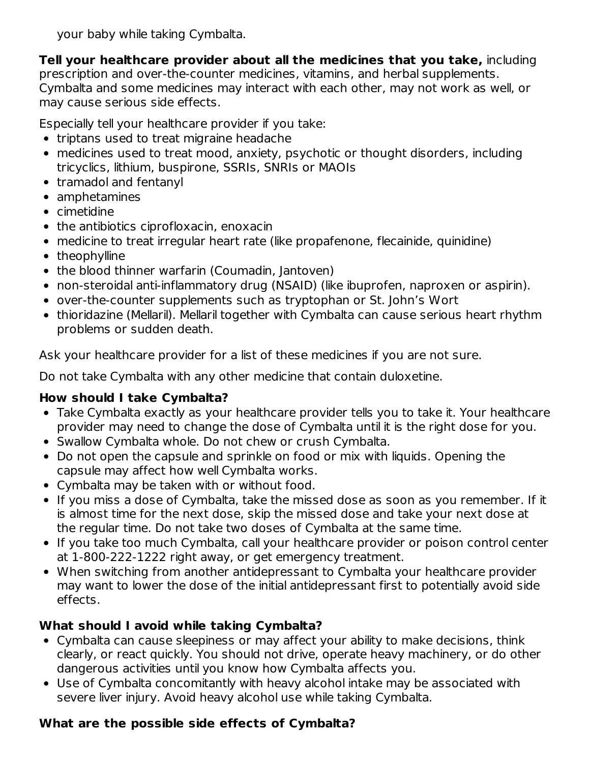your baby while taking Cymbalta.

**Tell your healthcare provider about all the medicines that you take,** including prescription and over-the-counter medicines, vitamins, and herbal supplements. Cymbalta and some medicines may interact with each other, may not work as well, or may cause serious side effects.

Especially tell your healthcare provider if you take:

- triptans used to treat migraine headache
- medicines used to treat mood, anxiety, psychotic or thought disorders, including tricyclics, lithium, buspirone, SSRIs, SNRIs or MAOIs
- tramadol and fentanyl
- amphetamines
- cimetidine
- the antibiotics ciprofloxacin, enoxacin
- medicine to treat irregular heart rate (like propafenone, flecainide, quinidine)
- theophylline
- the blood thinner warfarin (Coumadin, Jantoven)
- non-steroidal anti-inflammatory drug (NSAID) (like ibuprofen, naproxen or aspirin).
- over-the-counter supplements such as tryptophan or St. John's Wort
- thioridazine (Mellaril). Mellaril together with Cymbalta can cause serious heart rhythm problems or sudden death.

Ask your healthcare provider for a list of these medicines if you are not sure.

Do not take Cymbalta with any other medicine that contain duloxetine.

### **How should I take Cymbalta?**

- Take Cymbalta exactly as your healthcare provider tells you to take it. Your healthcare provider may need to change the dose of Cymbalta until it is the right dose for you.
- Swallow Cymbalta whole. Do not chew or crush Cymbalta.
- Do not open the capsule and sprinkle on food or mix with liquids. Opening the capsule may affect how well Cymbalta works.
- Cymbalta may be taken with or without food.
- If you miss a dose of Cymbalta, take the missed dose as soon as you remember. If it is almost time for the next dose, skip the missed dose and take your next dose at the regular time. Do not take two doses of Cymbalta at the same time.
- If you take too much Cymbalta, call your healthcare provider or poison control center at 1-800-222-1222 right away, or get emergency treatment.
- When switching from another antidepressant to Cymbalta your healthcare provider may want to lower the dose of the initial antidepressant first to potentially avoid side effects.

### **What should I avoid while taking Cymbalta?**

- Cymbalta can cause sleepiness or may affect your ability to make decisions, think clearly, or react quickly. You should not drive, operate heavy machinery, or do other dangerous activities until you know how Cymbalta affects you.
- Use of Cymbalta concomitantly with heavy alcohol intake may be associated with severe liver injury. Avoid heavy alcohol use while taking Cymbalta.

### **What are the possible side effects of Cymbalta?**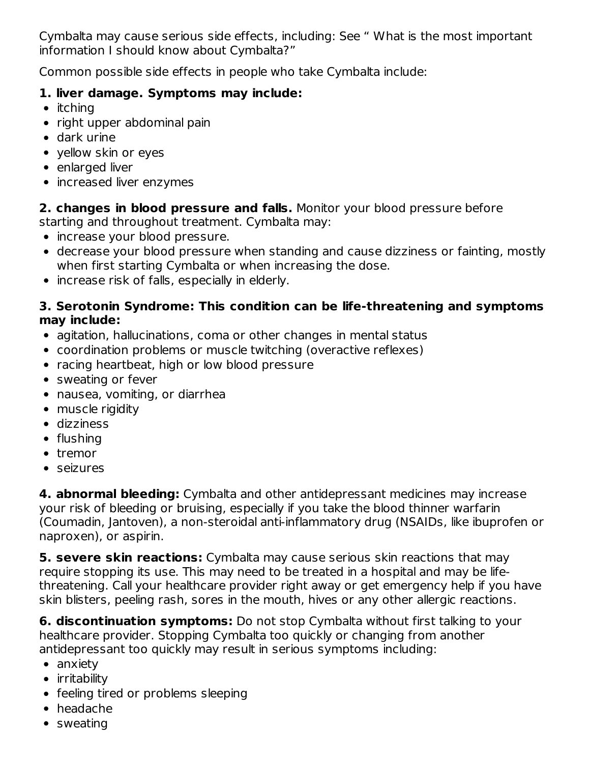Cymbalta may cause serious side effects, including: See " What is the most important information I should know about Cymbalta?"

Common possible side effects in people who take Cymbalta include:

### **1. liver damage. Symptoms may include:**

- $\bullet$  itching
- right upper abdominal pain
- dark urine
- yellow skin or eyes
- enlarged liver
- increased liver enzymes

**2. changes in blood pressure and falls.** Monitor your blood pressure before starting and throughout treatment. Cymbalta may:

- increase your blood pressure.
- decrease your blood pressure when standing and cause dizziness or fainting, mostly when first starting Cymbalta or when increasing the dose.
- increase risk of falls, especially in elderly.

### **3. Serotonin Syndrome: This condition can be life-threatening and symptoms may include:**

- agitation, hallucinations, coma or other changes in mental status
- coordination problems or muscle twitching (overactive reflexes)
- racing heartbeat, high or low blood pressure
- sweating or fever
- nausea, vomiting, or diarrhea
- muscle rigidity
- dizziness
- flushing
- tremor
- seizures

**4. abnormal bleeding:** Cymbalta and other antidepressant medicines may increase your risk of bleeding or bruising, especially if you take the blood thinner warfarin (Coumadin, Jantoven), a non-steroidal anti-inflammatory drug (NSAIDs, like ibuprofen or naproxen), or aspirin.

**5. severe skin reactions:** Cymbalta may cause serious skin reactions that may require stopping its use. This may need to be treated in a hospital and may be lifethreatening. Call your healthcare provider right away or get emergency help if you have skin blisters, peeling rash, sores in the mouth, hives or any other allergic reactions.

**6. discontinuation symptoms:** Do not stop Cymbalta without first talking to your healthcare provider. Stopping Cymbalta too quickly or changing from another antidepressant too quickly may result in serious symptoms including:

- anxiety
- irritability
- feeling tired or problems sleeping
- headache
- sweating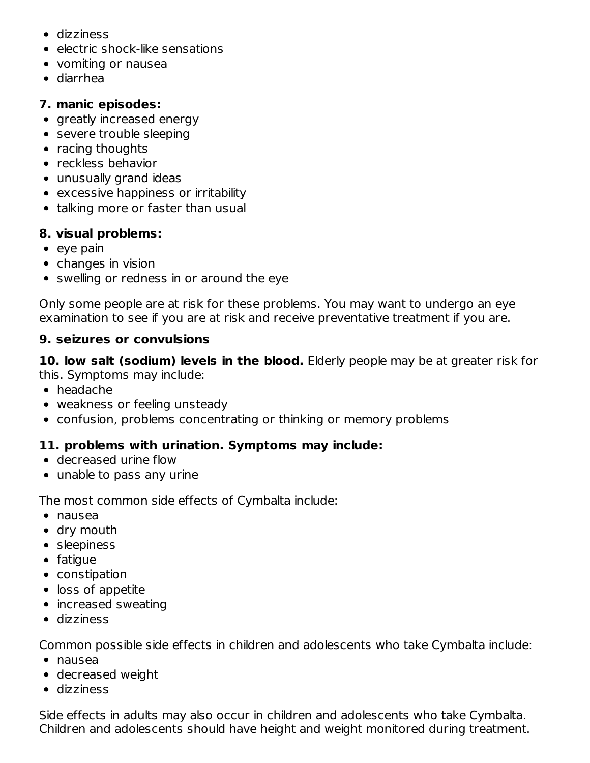- dizziness
- electric shock-like sensations
- vomiting or nausea
- diarrhea

### **7. manic episodes:**

- greatly increased energy
- severe trouble sleeping
- racing thoughts
- reckless behavior
- unusually grand ideas
- excessive happiness or irritability
- talking more or faster than usual

### **8. visual problems:**

- $\bullet$  eye pain
- changes in vision
- swelling or redness in or around the eye

Only some people are at risk for these problems. You may want to undergo an eye examination to see if you are at risk and receive preventative treatment if you are.

### **9. seizures or convulsions**

**10. low salt (sodium) levels in the blood.** Elderly people may be at greater risk for this. Symptoms may include:

- headache
- weakness or feeling unsteady
- confusion, problems concentrating or thinking or memory problems

### **11. problems with urination. Symptoms may include:**

- decreased urine flow
- unable to pass any urine

The most common side effects of Cymbalta include:

- nausea
- dry mouth
- sleepiness
- fatigue
- constipation
- loss of appetite
- increased sweating
- dizziness

Common possible side effects in children and adolescents who take Cymbalta include:

- nausea
- decreased weight
- dizziness

Side effects in adults may also occur in children and adolescents who take Cymbalta. Children and adolescents should have height and weight monitored during treatment.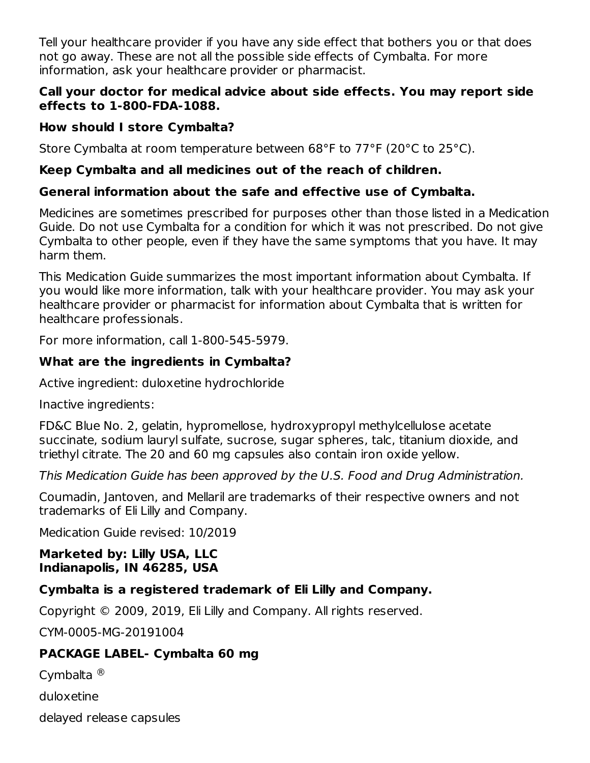Tell your healthcare provider if you have any side effect that bothers you or that does not go away. These are not all the possible side effects of Cymbalta. For more information, ask your healthcare provider or pharmacist.

#### **Call your doctor for medical advice about side effects. You may report side effects to 1-800-FDA-1088.**

### **How should I store Cymbalta?**

Store Cymbalta at room temperature between 68°F to 77°F (20°C to 25°C).

#### **Keep Cymbalta and all medicines out of the reach of children.**

#### **General information about the safe and effective use of Cymbalta.**

Medicines are sometimes prescribed for purposes other than those listed in a Medication Guide. Do not use Cymbalta for a condition for which it was not prescribed. Do not give Cymbalta to other people, even if they have the same symptoms that you have. It may harm them.

This Medication Guide summarizes the most important information about Cymbalta. If you would like more information, talk with your healthcare provider. You may ask your healthcare provider or pharmacist for information about Cymbalta that is written for healthcare professionals.

For more information, call 1-800-545-5979.

### **What are the ingredients in Cymbalta?**

Active ingredient: duloxetine hydrochloride

Inactive ingredients:

FD&C Blue No. 2, gelatin, hypromellose, hydroxypropyl methylcellulose acetate succinate, sodium lauryl sulfate, sucrose, sugar spheres, talc, titanium dioxide, and triethyl citrate. The 20 and 60 mg capsules also contain iron oxide yellow.

This Medication Guide has been approved by the U.S. Food and Drug Administration.

Coumadin, Jantoven, and Mellaril are trademarks of their respective owners and not trademarks of Eli Lilly and Company.

Medication Guide revised: 10/2019

#### **Marketed by: Lilly USA, LLC Indianapolis, IN 46285, USA**

### **Cymbalta is a registered trademark of Eli Lilly and Company.**

Copyright © 2009, 2019, Eli Lilly and Company. All rights reserved.

CYM-0005-MG-20191004

### **PACKAGE LABEL- Cymbalta 60 mg**

Cymbalta<sup>®</sup>

duloxetine

delayed release capsules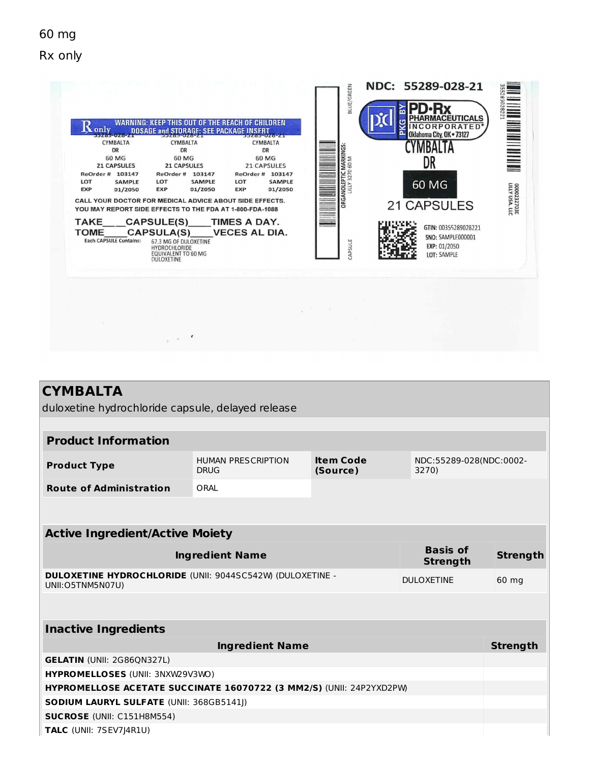

### **CYMBALTA**

duloxetine hydrochloride capsule, delayed release

| <b>Product Information</b>                                                                   |                                                                          |  |                                  |       |  |
|----------------------------------------------------------------------------------------------|--------------------------------------------------------------------------|--|----------------------------------|-------|--|
| <b>Product Type</b>                                                                          | <b>Item Code</b><br><b>HUMAN PRESCRIPTION</b><br><b>DRUG</b><br>(Source) |  | NDC:55289-028(NDC:0002-<br>3270) |       |  |
| <b>Route of Administration</b>                                                               | ORAL                                                                     |  |                                  |       |  |
|                                                                                              |                                                                          |  |                                  |       |  |
| <b>Active Ingredient/Active Moiety</b>                                                       |                                                                          |  |                                  |       |  |
|                                                                                              |                                                                          |  |                                  |       |  |
| <b>Basis of</b><br><b>Ingredient Name</b><br><b>Strength</b>                                 |                                                                          |  |                                  |       |  |
| DULOXETINE HYDROCHLORIDE (UNII: 9044SC542W) (DULOXETINE -<br>DUI OXETINE<br>UNII:O5TNM5N07U) |                                                                          |  |                                  | 60 mg |  |
|                                                                                              |                                                                          |  |                                  |       |  |
| <b>Inactive Ingredients</b>                                                                  |                                                                          |  |                                  |       |  |
| <b>Ingredient Name</b>                                                                       |                                                                          |  |                                  |       |  |
| <b>GELATIN (UNII: 2G86QN327L)</b>                                                            |                                                                          |  |                                  |       |  |
| <b>HYPROMELLOSES (UNII: 3NXW29V3WO)</b>                                                      |                                                                          |  |                                  |       |  |
| HYPROMELLOSE ACETATE SUCCINATE 16070722 (3 MM2/S) (UNII: 24P2YXD2PW)                         |                                                                          |  |                                  |       |  |
| SODIUM LAURYL SULFATE (UNII: 368GB5141J)                                                     |                                                                          |  |                                  |       |  |
| <b>SUCROSE (UNII: C151H8M554)</b>                                                            |                                                                          |  |                                  |       |  |
| <b>TALC</b> (UNII: 7SEV7J4R1U)                                                               |                                                                          |  |                                  |       |  |